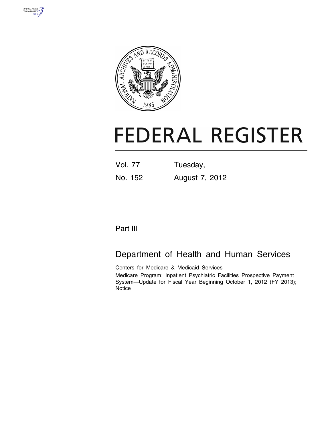



# **FEDERAL REGISTER**

| <b>Vol. 77</b> | Tuesday,       |
|----------------|----------------|
| No. 152        | August 7, 2012 |

## Part III

# Department of Health and Human Services

Centers for Medicare & Medicaid Services Medicare Program; Inpatient Psychiatric Facilities Prospective Payment System—Update for Fiscal Year Beginning October 1, 2012 (FY 2013); **Notice**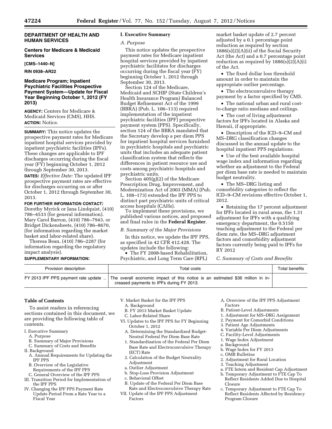#### **DEPARTMENT OF HEALTH AND HUMAN SERVICES**

#### **Centers for Medicare & Medicaid Services**

**[CMS–1440–N]** 

**RIN 0938–AR22** 

#### **Medicare Program; Inpatient Psychiatric Facilities Prospective Payment System—Update for Fiscal Year Beginning October 1, 2012 (FY 2013)**

**AGENCY:** Centers for Medicare & Medicaid Services (CMS), HHS. **ACTION:** Notice.

**SUMMARY:** This notice updates the prospective payment rates for Medicare inpatient hospital services provided by inpatient psychiatric facilities (IPFs). These changes are applicable to IPF discharges occurring during the fiscal year (FY) beginning October 1, 2012 through September 30, 2013.

**DATES:** *Effective Date:* The updated IPF prospective payment rates are effective for discharges occurring on or after October 1, 2012 through September 30, 2013.

#### **FOR FURTHER INFORMATION CONTACT:**

Dorothy Myrick or Jana Lindquist, (410) 786–4533 (for general information). Mary Carol Barron, (410) 786–7943, or Bridget Dickensheets, (410) 786–8670, (for information regarding the market basket and labor-related share).

Theresa Bean, (410) 786–2287 (for information regarding the regulatory impact analysis).

#### **SUPPLEMENTARY INFORMATION:**

#### **I. Executive Summary**

#### *A. Purpose*

This notice updates the prospective payment rates for Medicare inpatient hospital services provided by inpatient psychiatric facilitates for discharges occurring during the fiscal year (FY) beginning October 1, 2012 through September 30, 2013.

Section 124 of the Medicare, Medicaid and SCHIP (State Children's Health Insurance Program) Balanced Budget Refinement Act of the 1999 (BBRA) (Pub. L. 106–113) required implementation of the inpatient psychiatric facilities (IPF) prospective payment system (PPS). Specifically, section 124 of the BBRA mandated that the Secretary develop a per diem PPS for inpatient hospital services furnished in psychiatric hospitals and psychiatric units that includes an adequate patient classification system that reflects the differences in patient resource use and costs among psychiatric hospitals and psychiatric units.

Section 405(g)(2) of the Medicare Prescription Drug, Improvement, and Modernization Act of 2003 (MMA) (Pub. L. 108–173) extended the IPF PPS to distinct part psychiatric units of critical access hospitals (CAHs).

To implement these provisions, we published various notices, and proposed and final rules in the **Federal Register**.

#### *B. Summary of the Major Provisions*

In this notice, we update the IPF PPS, as specified in 42 CFR 412.428. The updates include the following:

• The FY 2008-based Rehabilitation, Psychiatric, and Long Term Care (RPL)

market basket update of 2.7 percent adjusted by a 0.1 percentage point reduction as required by section 1886(s)(2)(A)(ii) of the Social Security Act (the Act) and a 0.7 percentage point reduction as required by  $1886(s)(2)(A)(i)$ of the Act.

• The fixed dollar loss threshold amount in order to maintain the appropriate outlier percentage.

• The electroconvulsive therapy payment by a factor specified by CMS.

• The national urban and rural costto-charge ratio medians and ceilings.

• The cost of living adjustment factors for IPFs located in Alaska and Hawaii, if appropriate.

• Description of the ICD–9–CM and MS–DRG classification changes discussed in the annual update to the hospital inpatient PPS regulations.

• Use of the best available hospital wage index and information regarding whether an adjustment to the Federal per diem base rate is needed to maintain budget neutrality.

• The MS–DRG listing and comorbidity categories to reflect the ICD–9–CM revisions effective October 1, 2012.

• Retaining the 17 percent adjustment for IPFs located in rural areas, the 1.31 adjustment for IPFs with a qualifying emergency department, the 0.5150 teaching adjustment to the Federal per diem rate, the MS–DRG adjustment factors and comorbidity adjustment factors currently being paid to IPFs for RY 2012

*C. Summary of Costs and Benefits* 

| Provision description | Total costs                                                                                                                                                     | Total benefits |
|-----------------------|-----------------------------------------------------------------------------------------------------------------------------------------------------------------|----------------|
|                       | FY 2013 IPF PPS payment rate update  The overall economic impact of this notice is an estimated \$36 million in in-<br>creased payments to IPFs during FY 2013. |                |

#### **Table of Contents**

To assist readers in referencing sections contained in this document, we are providing the following table of contents.

I. Executive Summary

- A. Purpose
- B. Summary of Major Provisions
- C. Summary of Costs and Benefits
- II. Background
	- A. Annual Requirements for Updating the IPF PPS
	- B. Overview of the Legislative
	- Requirements of the IPF PPS
- C. General Overview of the IPF PPS III. Transition Period for Implementation of
- the IPF PPS IV. Changing the IPF PPS Payment Rate
- Update Period From a Rate Year to a Fiscal Year
- V. Market Basket for the IPF PPS
- A. Background
- B. FY 2013 Market Basket Update
- C. Labor-Related Share
- VI. Updates to the IPF PPS for FY Beginning October 1, 2012
	- A. Determining the Standardized Budget-Neutral Federal Per Diem Base Rate
	- 1. Standardization of the Federal Per Diem Base Rate and Electroconvulsive Therapy (ECT) Rate
	- 2. Calculation of the Budget Neutrality Adjustment
	- a. Outlier Adjustment
	- b. Stop-Loss Provision Adjustment
	- c. Behavioral Offset
- B. Update of the Federal Per Diem Base Rate and Electroconvulsive Therapy Rate
- VII. Update of the IPF PPS Adjustment Factors
- A. Overview of the IPF PPS Adjustment Factors
- B. Patient-Level Adjustments
- 1. Adjustment for MS–DRG Assignment
- 2. Payment for Comorbid Conditions
- 3. Patient Age Adjustments
- 4. Variable Per Diem Adjustments
- C. Facility-Level Adjustments
- 1. Wage Index Adjustment
- a. Background
- b. Wage Index for FY 2013
- c. OMB Bulletins
- 2. Adjustment for Rural Location
- 3. Teaching Adjustment
- a. FTE Intern and Resident Cap Adjustment
- b. Temporary Adjustment to FTE Cap To Reflect Residents Added Due to Hospital Closure
- c. Temporary Adjustment to FTE Cap To Reflect Residents Affected by Residency Program Closure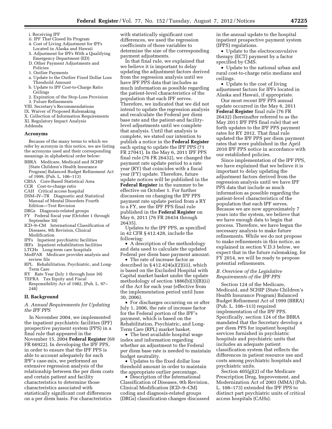- i. Receiving IPF
- ii. IPF That Closed Its Program
- 4. Cost of Living Adjustment for IPFs Located in Alaska and Hawaii
- 5. Adjustment for IPFs With a Qualifying Emergency Department (ED)
- D. Other Payment Adjustments and Policies
- 1. Outlier Payments
- a. Update to the Outlier Fixed Dollar Loss Threshold Amount
- b. Update to IPF Cost-to-Charge Ratio Ceilings
- 2. Expiration of the Stop-Loss Provision
- 3. Future Refinements
- VIII. Secretary's Recommendations
- IX. Waiver of Proposed Rulemaking
- X. Collection of Information Requirements
- XI. Regulatory Impact Analysis Addenda

#### **Acronyms**

Because of the many terms to which we refer by acronym in this notice, we are listing the acronyms used and their corresponding meanings in alphabetical order below:

- BBRA Medicare, Medicaid and SCHIP [State Children's Health Insurance Program] Balanced Budget Refinement Act of 1999, (Pub. L. 106–113)
- CBSA Core-Based Statistical Area
- CCR Cost-to-charge ratio
- CAH Critical access hospital
- DSM–IV–TR Diagnostic and Statistical Manual of Mental Disorders Fourth Edition—Text Revision
- DRGs Diagnosis-related groups
- FY Federal fiscal year (October 1 through September 30)
- ICD–9–CM International Classification of Diseases, 9th Revision, Clinical Modification
- IPFs Inpatient psychiatric facilities
- IRFs Inpatient rehabilitation facilities
- LTCHs Long-term care hospitals
- MedPAR Medicare provider analysis and
- review file RPL Rehabilitation, Psychiatric, and Long-
- Term Care RY Rate Year (July 1 through June 30) TEFRA Tax Equity and Fiscal
- Responsibility Act of 1982, (Pub. L. 97–  $248)$

#### **II. Background**

#### *A. Annual Requirements for Updating the IPF PPS*

In November 2004, we implemented the inpatient psychiatric facilities (IPF) prospective payment system (PPS) in a final rule that appeared in the November 15, 2004 **Federal Register** (69 FR 66922). In developing the IPF PPS, in order to ensure that the IPF PPS is able to account adequately for each IPF's case-mix, we performed an extensive regression analysis of the relationship between the per diem costs and certain patient and facility characteristics to determine those characteristics associated with statistically significant cost differences on a per diem basis. For characteristics

with statistically significant cost differences, we used the regression coefficients of those variables to determine the size of the corresponding payment adjustments.

In that final rule, we explained that we believe it is important to delay updating the adjustment factors derived from the regression analysis until we have IPF PPS data that includes as much information as possible regarding the patient-level characteristics of the population that each IPF serves. Therefore, we indicated that we did not intend to update the regression analysis and recalculate the Federal per diem base rate and the patient-and facilitylevel adjustments until we complete that analysis. Until that analysis is complete, we stated our intention to publish a notice in the **Federal Register**  each spring to update the IPF PPS (71 FR 27041). In the May 6, 2011 IPF PPS final rule (76 FR 26432), we changed the payment rate update period to a rate year (RY) that coincides with a fiscal year (FY) update. Therefore, future update notices will be published in the **Federal Register** in the summer to be effective on October 1. For further discussion on changing the IPF PPS payment rate update period from a RY to a FY, see the IPF PPS final rule published in the **Federal Register** on May 6, 2011 (76 FR 26434 through 26435).

Updates to the IPF PPS, as specified in 42 CFR § 412.428, include the following:

• A description of the methodology and data used to calculate the updated Federal per diem base payment amount.

The rate of increase factor as described in § 412.424(a)(2)(iii), which is based on the Excluded Hospital with Capital market basket under the update methodology of section 1886(b)(3)(B)(ii) of the Act for each year (effective from the implementation period until June 30, 2006).

• For discharges occurring on or after July 1, 2006, the rate of increase factor for the Federal portion of the IPF's payment, which is based on the Rehabilitation, Psychiatric, and Long-Term Care (RPL) market basket.

• The best available hospital wage index and information regarding whether an adjustment to the Federal per diem base rate is needed to maintain budget neutrality.

• Updates to the fixed dollar loss threshold amount in order to maintain the appropriate outlier percentage.

• Description of the International Classification of Diseases, 9th Revision, Clinical Modification (ICD–9–CM) coding and diagnosis-related groups (DRGs) classification changes discussed in the annual update to the hospital inpatient prospective payment system (IPPS) regulations.

• Update to the electroconvulsive therapy (ECT) payment by a factor specified by CMS.

• Update to the national urban and rural cost-to-charge ratio medians and ceilings.

• Update to the cost of living adjustment factors for IPFs located in Alaska and Hawaii, if appropriate.

Our most recent IPF PPS annual update occurred in the May 6, 2011 **Federal Register** final rule (76 FR 26432) (hereinafter referred to as the May 2011 IPF PPS final rule) that set forth updates to the IPF PPS payment rates for RY 2012. That final rule updated the IPF PPS per diem payment rates that were published in the April 2010 IPF PPS notice in accordance with our established policies.

Since implementation of the IPF PPS, we have explained that we believe it is important to delay updating the adjustment factors derived from the regression analysis until we have IPF PPS data that include as much information as possible regarding the patient-level characteristics of the population that each IPF serves. Because we are now approximately 7 years into the system, we believe that we have enough data to begin that process. Therefore, we have begun the necessary analysis to make future refinements. While we do not propose to make refinements in this notice, as explained in section V.D.3 below, we expect that in the future rulemaking, for FY 2014, we will be ready to propose potential refinements.

#### *B. Overview of the Legislative Requirements of the IPF PPS*

Section 124 of the Medicare, Medicaid, and SCHIP (State Children's Health Insurance Program) Balanced Budget Refinement Act of 1999 (BBRA) (Pub. L. 106–113) required implementation of the IPF PPS. Specifically, section 124 of the BBRA mandated that the Secretary develop a per diem PPS for inpatient hospital services furnished in psychiatric hospitals and psychiatric units that includes an adequate patient classification system that reflects the differences in patient resource use and costs among psychiatric hospitals and psychiatric units.

Section 405(g)(2) of the Medicare Prescription Drug, Improvement, and Modernization Act of 2003 (MMA) (Pub. L. 108–173) extended the IPF PPS to distinct part psychiatric units of critical access hospitals (CAHs).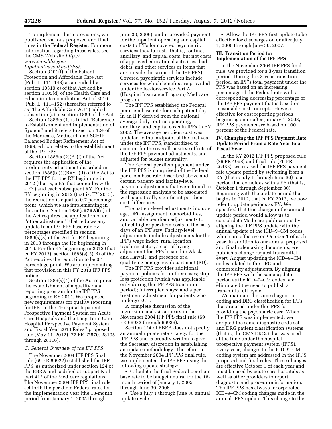To implement these provisions, we published various proposed and final rules in the **Federal Register**. For more information regarding these rules, see the CMS Web site *[http://](http://www.cms.hhs.gov/InpatientPsychFacilPPS/) [www.cms.hhs.gov/](http://www.cms.hhs.gov/InpatientPsychFacilPPS/)* 

#### *[InpatientPsychFacilPPS/.](http://www.cms.hhs.gov/InpatientPsychFacilPPS/)*

Section 3401(f) of the Patient Protection and Affordable Care Act (Pub. L. 111–148) as amended by section 10319(e) of that Act and by section 1105(d) of the Health Care and Education Reconciliation Act of 2010 (Pub. L. 111–152) (hereafter referred to as ''the Affordable Care Act'') added subsection (s) to section 1886 of the Act.

Section 1886(s)(1) is titled ''Reference to Establishment and Implementation of System'' and it refers to section 124 of the Medicare, Medicaid, and SCHIP Balanced Budget Refinement Act of 1999, which relates to the establishment of the IPF PPS.

Section  $1886(s)(2)(A)(i)$  of the Act requires the application of the productivity adjustment described in section  $1886(b)(3)(B)(xi)(II)$  of the Act to the IPF PPS for the RY beginning in 2012 (that is, a RY that coincides with a FY) and each subsequent RY. For the RY beginning in 2012 (that is, FY 2013), the reduction is equal to 0.7 percentage point, which we are implementing in this notice. Section  $1886(s)(2)(A)(ii)$  of the Act requires the application of an ''other adjustment'' that reduces any update to an IPF PPS base rate by percentages specified in section 1886(s)(3) of the Act for RY beginning in 2010 through the RY beginning in 2019. For the RY beginning in 2012 (that is, FY 2013), section 1886(s)(3)(B) of the Act requires the reduction to be 0.1 percentage point. We are implementing that provision in this FY 2013 IPF PPS notice.

Section 1886(s)(4) of the Act requires the establishment of a quality data reporting program for the IPF PPS beginning in RY 2014. We proposed new requirements for quality reporting for IPFs in the ''Hospital Inpatient Prospective Payment System for Acute Care Hospitals and the Long Term Care Hospital Prospective Payment System and Fiscal Year 2013 Rates'' proposed rule (May 11, 2012) (77 FR 27870, 28105 through 28116).

#### *C. General Overview of the IPF PPS*

The November 2004 IPF PPS final rule (69 FR 66922) established the IPF PPS, as authorized under section 124 of the BBRA and codified at subpart N of part 412 of the Medicare regulations. The November 2004 IPF PPS final rule set forth the per diem Federal rates for the implementation year (the 18-month period from January 1, 2005 through

June 30, 2006), and it provided payment for the inpatient operating and capital costs to IPFs for covered psychiatric services they furnish (that is, routine, ancillary, and capital costs, but not costs of approved educational activities, bad debts, and other services or items that are outside the scope of the IPF PPS). Covered psychiatric services include services for which benefits are provided under the fee-for-service Part A (Hospital Insurance Program) Medicare program.

The IPF PPS established the Federal per diem base rate for each patient day in an IPF derived from the national average daily routine operating, ancillary, and capital costs in IPFs in FY 2002. The average per diem cost was updated to the midpoint of the first year under the IPF PPS, standardized to account for the overall positive effects of the IPF PPS payment adjustments, and adjusted for budget neutrality.

The Federal per diem payment under the IPF PPS is comprised of the Federal per diem base rate described above and certain patient- and facility-level payment adjustments that were found in the regression analysis to be associated with statistically significant per diem cost differences.

The patient-level adjustments include age, DRG assignment, comorbidities, and variable per diem adjustments to reflect higher per diem costs in the early days of an IPF stay. Facility-level adjustments include adjustments for the IPF's wage index, rural location, teaching status, a cost of living adjustment for IPFs located in Alaska and Hawaii, and presence of a qualifying emergency department (ED).

The IPF PPS provides additional payment policies for: outlier cases; stoploss protection (which was applicable only during the IPF PPS transition period); interrupted stays; and a per treatment adjustment for patients who undergo ECT.

A complete discussion of the regression analysis appears in the November 2004 IPF PPS final rule (69 FR 66933 through 66936).

Section 124 of BBRA does not specify an annual update rate strategy for the IPF PPS and is broadly written to give the Secretary discretion in establishing an update methodology. Therefore, in the November 2004 IPF PPS final rule, we implemented the IPF PPS using the following update strategy:

• Calculate the final Federal per diem base rate to be budget neutral for the 18 month period of January 1, 2005 through June 30, 2006.

• Use a July 1 through June 30 annual update cycle.

• Allow the IPF PPS first update to be effective for discharges on or after July 1, 2006 through June 30, 2007.

#### **III. Transition Period for Implementation of the IPF PPS**

In the November 2004 IPF PPS final rule, we provided for a 3-year transition period. During this 3-year transition period, an IPF's total payment under the PPS was based on an increasing percentage of the Federal rate with a corresponding decreasing percentage of the IPF PPS payment that is based on reasonable cost concepts. However, effective for cost reporting periods beginning on or after January 1, 2008, IPF PPS payments are based on 100 percent of the Federal rate.

#### **IV. Changing the IPF PPS Payment Rate Update Period From a Rate Year to a Fiscal Year**

In the RY 2012 IPF PPS proposed rule (76 FR 4998) and final rule (76 FR 26432), we revised the IPF PPS payment rate update period by switching from a RY (that is July 1 through June 30) to a period that coincides with a FY (that is, October 1 through September 30). Beginning with the update period that begins in 2012, that is, FY 2013, we now refer to update periods as FY. We specified that this change in the annual update period would allow us to consolidate Medicare publications by aligning the IPF PPS update with the annual update of the ICD–9–CM codes, which are effective on October 1 of each year. In addition to our annual proposed and final rulemaking documents, we publish a change request transmittal every August updating the ICD–9–CM codes related to the DRG and comorbidity adjustments. By aligning the IPF PPS with the same update period as the ICD–9–CM codes, we eliminated the need to publish a transmittal off-cycle.

We maintain the same diagnostic coding and DRG classification for IPFs that are used under the IPPS for providing the psychiatric care. When the IPF PPS was implemented, we adopted the same diagnostic code set and DRG patient classification systems (that is, the CMS DRGs) that was used at the time under the hospital prospective payment system (IPPS). Every year, changes to the ICD–9–CM coding system are addressed in the IPPS proposed and final rules. These changes are effective October 1 of each year and must be used by acute care hospitals as well as other providers to report diagnostic and procedure information. The IPF PPS has always incorporated ICD–9–CM coding changes made in the annual IPPS update. This change to the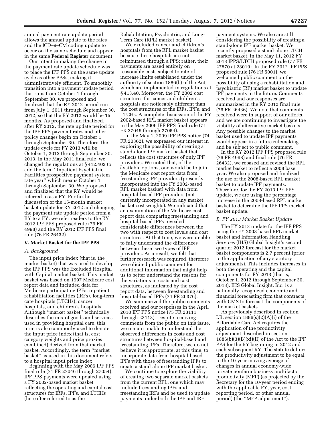annual payment rate update period allows the annual update to the rates and the ICD–9–CM coding update to occur on the same schedule and appear in the same **Federal Register** document.

Our intent in making the change in the payment rate update schedule was to place the IPF PPS on the same update cycle as other PPSs, making it administratively efficient. To smoothly transition into a payment update period that runs from October 1 through September 30, we proposed and finalized that the RY 2012 period run from July 1, 2011 through September 30, 2012, so that the RY 2012 would be 15 months. As proposed and finalized, after RY 2012, the rate update period for the IPF PPS payment rates and other policy changes begin on October 1 through September 30. Therefore, the update cycle for FY 2013 will be October 1, 2012 through September 30, 2013. In the May 2011 final rule, we changed the regulations at § 412.402 to add the term ''Inpatient Psychiatric Facilities prospective payment system rate year'' which means October 1 through September 30. We proposed and finalized that the RY would be referred to as a FY. For further discussion of the 15-month market basket update for RY 2012 and changing the payment rate update period from a RY to a FY, we refer readers to the RY 2012 IPF PPS proposed rule (76 FR 4998) and the RY 2012 IPF PPS final rule (76 FR 26432).

#### **V. Market Basket for the IPF PPS**

#### *A. Background*

The input price index (that is, the market basket) that was used to develop the IPF PPS was the Excluded Hospital with Capital market basket. This market basket was based on 1997 Medicare cost report data and included data for Medicare participating IPFs, inpatient rehabilitation facilities (IRFs), long-term care hospitals (LTCHs), cancer hospitals, and children's hospitals. Although ''market basket'' technically describes the mix of goods and services used in providing hospital care, this term is also commonly used to denote the input price index (that is, cost category weights and price proxies combined) derived from that market basket. Accordingly, the term ''market basket'' as used in this document refers to a hospital input price index.

Beginning with the May 2006 IPF PPS final rule (71 FR 27046 through 27054), IPF PPS payments were updated using a FY 2002-based market basket reflecting the operating and capital cost structures for IRFs, IPFs, and LTCHs (hereafter referred to as the

Rehabilitation, Psychiatric, and Long-Term Care (RPL) market basket).

We excluded cancer and children's hospitals from the RPL market basket because these hospitals are not reimbursed through a PPS; rather, their payments are based entirely on reasonable costs subject to rate-ofincrease limits established under the authority of section 1886(b) of the Act, which are implemented in regulations at § 413.40. Moreover, the FY 2002 cost structures for cancer and children's hospitals are noticeably different than the cost structures of the IRFs, IPFs, and LTCHs. A complete discussion of the FY 2002-based RPL market basket appears in the May 2006 IPF PPS final rule (71 FR 27046 through 27054).

In the May 1, 2009 IPF PPS notice (74 FR 20362), we expressed our interest in exploring the possibility of creating a stand-alone IPF market basket that reflects the cost structures of only IPF providers. We noted that, of the available options, one would be to join the Medicare cost report data from freestanding IPF providers (presently incorporated into the FY 2002-based RPL market basket) with data from hospital-based IPF providers (not currently incorporated in any market basket cost weights). We indicated that an examination of the Medicare cost report data comparing freestanding and hospital-based IPFs revealed considerable differences between the two with respect to cost levels and cost structures. At that time, we were unable to fully understand the differences between these two types of IPF providers. As a result, we felt that further research was required, therefore we solicited public comment for additional information that might help us to better understand the reasons for the variations in costs and cost structures, as indicated by the cost report data, between freestanding and hospital-based IPFs (74 FR 20376).

We summarized the public comments received and our responses in the April 2010 IPF PPS notice (75 FR 23111 through 23113). Despite receiving comments from the public on this issue, we remain unable to understand the observed differences in costs and cost structures between hospital-based and freestanding IPFs. Therefore, we do not believe it is appropriate, at this time, to incorporate data from hospital-based IPFs with those of freestanding IPFs to create a stand-alone IPF market basket.

We continue to explore the viability of creating two separate market baskets from the current RPL, one which may include freestanding IPFs and freestanding IRFs and be used to update payments under both the IPF and IRF

payment systems. We also are still considering the possibility of creating a stand-alone IPF market basket. We recently proposed a stand-alone LTCH market basket, in the May 11, 2012 FY 2013 IPPS/LTCH proposed rule (77 FR 27870 at 28019). In the RY 2012 IPF PPS proposed rule (76 FR 5001), we welcomed public comment on the possibility of using a rehabilitation and psychiatric (RP) market basket to update IPF payments in the future. Comments received and our responses are summarized in the RY 2012 final rule (76 FR 26436). We note that comments received were in support of our efforts, and we are continuing to investigate the viability of alternative market baskets. Any possible changes to the market basket used to update IPF payments would appear in a future rulemaking and be subject to public comment.

In the RY 2012 IPF PPS proposed rule (76 FR 4998) and final rule (76 FR 26432), we rebased and revised the RPL market basket to reflect a 2008 base year. We also proposed and finalized the use of the 2008-based RPL market basket to update IPF payments. Therefore, for the FY 2013 IPF PPS update, we are using the percentage increase in the 2008-based RPL market basket to determine the IPF PPS market basket update.

#### *B. FY 2013 Market Basket Update*

The FY 2013 update for the IPF PPS using the FY 2008-based RPL market basket and Information Handling Services (IHS) Global Insight's second quarter 2012 forecast for the market basket components is 2.7 percent (prior to the application of any statutory adjustments). This includes increases in both the operating and the capital components for FY 2013 (that is, October 1, 2012 through September 30, 2013). IHS Global Insight, Inc. is a nationally recognized economic and financial forecasting firm that contracts with CMS to forecast the components of the market baskets.

As previously described in section I.B, section  $1886(s)(2)(A)(i)$  of the Affordable Care Act requires the application of the productivity adjustment described in section  $1886(b)(3)(B)(xi)(II)$  of the Act to the IPF PPS for the RY beginning in 2012 and each subsequent RY. The statute defines the productivity adjustment to be equal to the 10-year moving average of changes in annual economy-wide private nonfarm business multifactor productivity (MFP) (as projected by the Secretary for the 10-year period ending with the applicable FY, year, cost reporting period, or other annual period) (the ''MFP adjustment'').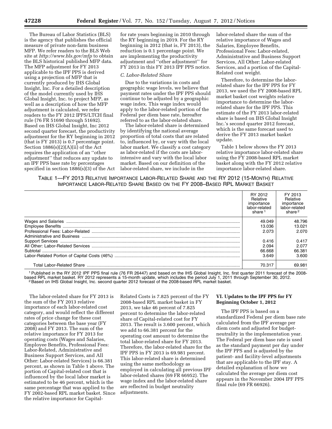The Bureau of Labor Statistics (BLS) is the agency that publishes the official measure of private non-farm business MFP. We refer readers to the BLS Web site at *<http://www.bls.gov/mfp>*to obtain the BLS historical published MFP data. The MFP adjustment for FY 2013 applicable to the IPF PPS is derived using a projection of MFP that is currently produced by IHS Global Insight, Inc. For a detailed description of the model currently used by IHS Global Insight, Inc. to project MFP, as well as a description of how the MFP adjustment is calculated, we refer readers to the FY 2012 IPPS/LTCH final rule (76 FR 51690 through 51692). Based on IHS Global Insight, Inc 2012 second quarter forecast, the productivity adjustment for the RY beginning in 2012 (that is FY 2013) is 0.7 percentage point. Section 1886(s)(2)(A)(ii) of the Act requires the application of an ''other adjustment'' that reduces any update to an IPF PPS base rate by percentages specified in section 1886(s)(3) of the Act

for rate years beginning in 2010 through the RY beginning in 2019. For the RY beginning in 2012 (that is, FY 2013), the reduction is 0.1 percentage point. We are implementing the productivity adjustment and ''other adjustment'' for FY 2013 in this FY 2013 IPF PPS notice.

#### *C. Labor-Related Share*

Due to the variations in costs and geographic wage levels, we believe that payment rates under the IPF PPS should continue to be adjusted by a geographic wage index. This wage index would apply to the labor-related portion of the Federal per diem base rate, hereafter referred to as the labor-related share.

The labor-related share is determined by identifying the national average proportion of total costs that are related to, influenced by, or vary with the local labor market. We classify a cost category as labor-related if the costs are laborintensive and vary with the local labor market. Based on our definition of the labor-related share, we include in the

labor-related share the sum of the relative importance of Wages and Salaries, Employee Benefits, Professional Fees: Labor-related, Administrative and Business Support Services, All Other: Labor-related Services, and a portion of the Capital-Related cost weight.

Therefore, to determine the laborrelated share for the IPF PPS for FY 2013, we used the FY 2008-based RPL market basket cost weights relative importance to determine the laborrelated share for the IPF PPS. This estimate of the FY 2013 labor-related share is based on IHS Global Insight Inc.'s second quarter 2012 forecast, which is the same forecast used to derive the FY 2013 market basket update.

Table 1 below shows the FY 2013 relative importance labor-related share using the FY 2008-based RPL market basket along with the FY 2012 relative importance labor-related share.

| TABLE 1-FY 2013 RELATIVE IMPORTANCE LABOR-RELATED SHARE AND THE RY 2012 (15-MONTH) RELATIVE |
|---------------------------------------------------------------------------------------------|
| IMPORTANCE LABOR-RELATED SHARE BASED ON THE FY 2008-BASED RPL MARKET BASKET                 |

|                                  | RY 2012<br>Relative<br>importance<br>labor-related<br>share <sup>1</sup> | FY 2013<br>Relative<br>importance<br>labor-related<br>share <sup>2</sup> |
|----------------------------------|--------------------------------------------------------------------------|--------------------------------------------------------------------------|
|                                  | 49.049                                                                   | 48.796                                                                   |
|                                  | 13.036                                                                   | 13.021                                                                   |
|                                  | 2.073                                                                    | 2.070                                                                    |
|                                  | 0.416                                                                    | 0.417                                                                    |
|                                  | 2.094                                                                    | 2.077                                                                    |
|                                  | 66.668                                                                   | 66.381                                                                   |
|                                  | 3.649                                                                    | 3.600                                                                    |
| <b>Total Labor-Related Share</b> | 70.317                                                                   | 69.981                                                                   |

1Published in the RY 2012 IPF PPS final rule (76 FR 26447) and based on the IHS Global Insight, Inc. first quarter 2011 forecast of the 2008 based RPL market basket. RY 2012 represents a 15-month update, which includes the period July 1, 2011 through September 30, 2012.<br><sup>2</sup> Based on IHS Global Insight, Inc. second quarter 2012 forecast of the 2008-based RPL mar

The labor-related share for FY 2013 is the sum of the FY 2013 relative importance of each labor-related cost category, and would reflect the different rates of price change for these cost categories between the base year (FY 2008) and FY 2013. The sum of the relative importance for FY 2013 for operating costs (Wages and Salaries, Employee Benefits, Professional Fees: Labor-Related, Administrative and Business Support Services, and All Other: Labor-related Services) is 66.381 percent, as shown in Table 1 above. The portion of Capital-related cost that is influenced by the local labor market is estimated to be 46 percent, which is the same percentage that was applied to the FY 2002-based RPL market basket. Since the relative importance for Capital-

Related Costs is 7.825 percent of the FY 2008-based RPL market basket in FY 2013, we take 46 percent of 7.825 percent to determine the labor-related share of Capital-related cost for FY 2013. The result is 3.600 percent, which we add to 66.381 percent for the operating cost amount to determine the total labor-related share for FY 2013. Therefore, the labor-related share for the IPF PPS in FY 2013 is 69.981 percent. This labor-related share is determined using the same methodology as employed in calculating all previous IPF labor-related shares (69 FR 66952). The wage index and the labor-related share are reflected in budget neutrality adjustments.

#### **VI. Updates to the IPF PPS for FY Beginning October 1, 2012**

The IPF PPS is based on a standardized Federal per diem base rate calculated from the IPF average per diem costs and adjusted for budgetneutrality in the implementation year. The Federal per diem base rate is used as the standard payment per day under the IPF PPS and is adjusted by the patient- and facility-level adjustments that are applicable to the IPF stay. A detailed explanation of how we calculated the average per diem cost appears in the November 2004 IPF PPS final rule (69 FR 66926).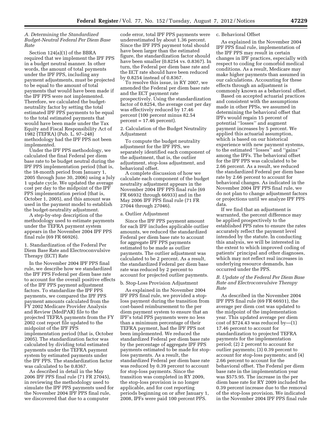#### *A. Determining the Standardized Budget-Neutral Federal Per Diem Base Rate*

Section 124(a)(1) of the BBRA required that we implement the IPF PPS in a budget neutral manner. In other words, the amount of total payments under the IPF PPS, including any payment adjustments, must be projected to be equal to the amount of total payments that would have been made if the IPF PPS were not implemented. Therefore, we calculated the budgetneutrality factor by setting the total estimated IPF PPS payments to be equal to the total estimated payments that would have been made under the Tax Equity and Fiscal Responsibility Act of 1982 (TEFRA) (Pub. L. 97–248) methodology had the IPF PPS not been implemented.

Under the IPF PPS methodology, we calculated the final Federal per diem base rate to be budget neutral during the IPF PPS implementation period (that is, the 18-month period from January 1, 2005 through June 30, 2006) using a July 1 update cycle. We updated the average cost per day to the midpoint of the IPF PPS implementation period (that is, October 1, 2005), and this amount was used in the payment model to establish the budget-neutrality adjustment.

A step-by-step description of the methodology used to estimate payments under the TEFRA payment system appears in the November 2004 IPF PPS final rule (69 FR 66926).

1. Standardization of the Federal Per Diem Base Rate and Electroconvulsive Therapy (ECT) Rate

In the November 2004 IPF PPS final rule, we describe how we standardized the IPF PPS Federal per diem base rate to account for the overall positive effects of the IPF PPS payment adjustment factors. To standardize the IPF PPS payments, we compared the IPF PPS payment amounts calculated from the FY 2002 Medicare Provider Analysis and Review (MedPAR) file to the projected TEFRA payments from the FY 2002 cost report file updated to the midpoint of the IPF PPS implementation period (that is, October 2005). The standardization factor was calculated by dividing total estimated payments under the TEFRA payment system by estimated payments under the IPF PPS. The standardization factor was calculated to be 0.8367.

As described in detail in the May 2006 IPF PPS final rule (71 FR 27045), in reviewing the methodology used to simulate the IPF PPS payments used for the November 2004 IPF PPS final rule, we discovered that due to a computer

code error, total IPF PPS payments were underestimated by about 1.36 percent. Since the IPF PPS payment total should have been larger than the estimated figure, the standardization factor should have been smaller (0.8254 vs. 0.8367). In turn, the Federal per diem base rate and the ECT rate should have been reduced by 0.8254 instead of 0.8367.

To resolve this issue, in RY 2007, we amended the Federal per diem base rate and the ECT payment rate prospectively. Using the standardization factor of 0.8254, the average cost per day was effectively reduced by 17.46 percent (100 percent minus 82.54  $percent = 17.46 percent$ .

#### 2. Calculation of the Budget Neutrality Adjustment

To compute the budget neutrality adjustment for the IPF PPS, we separately identified each component of the adjustment, that is, the outlier adjustment, stop-loss adjustment, and behavioral offset.

A complete discussion of how we calculate each component of the budget neutrality adjustment appears in the November 2004 IPF PPS final rule (69 FR 66932 through 66933) and in the May 2006 IPF PPS final rule (71 FR 27044 through 27046).

#### a. Outlier Adjustment

Since the IPF PPS payment amount for each IPF includes applicable outlier amounts, we reduced the standardized Federal per diem base rate to account for aggregate IPF PPS payments estimated to be made as outlier payments. The outlier adjustment was calculated to be 2 percent. As a result, the standardized Federal per diem base rate was reduced by 2 percent to account for projected outlier payments.

#### b. Stop-Loss Provision Adjustment

As explained in the November 2004 IPF PPS final rule, we provided a stoploss payment during the transition from cost-based reimbursement to the per diem payment system to ensure that an IPF's total PPS payments were no less than a minimum percentage of their TEFRA payment, had the IPF PPS not been implemented. We reduced the standardized Federal per diem base rate by the percentage of aggregate IPF PPS payments estimated to be made for stoploss payments. As a result, the standardized Federal per diem base rate was reduced by 0.39 percent to account for stop-loss payments. Since the transition was completed in RY 2009, the stop-loss provision is no longer applicable, and for cost reporting periods beginning on or after January 1, 2008, IPFs were paid 100 percent PPS.

#### c. Behavioral Offset

As explained in the November 2004 IPF PPS final rule, implementation of the IPF PPS may result in certain changes in IPF practices, especially with respect to coding for comorbid medical conditions. As a result, Medicare may make higher payments than assumed in our calculations. Accounting for these effects through an adjustment is commonly known as a behavioral offset.

Based on accepted actuarial practices and consistent with the assumptions made in other PPSs, we assumed in determining the behavioral offset that IPFs would regain 15 percent of potential ''losses'' and augment payment increases by 5 percent. We applied this actuarial assumption, which is based on our historical experience with new payment systems, to the estimated ''losses'' and ''gains'' among the IPFs. The behavioral offset for the IPF PPS was calculated to be 2.66 percent. As a result, we reduced the standardized Federal per diem base rate by 2.66 percent to account for behavioral changes. As indicated in the November 2004 IPF PPS final rule, we do not plan to change adjustment factors or projections until we analyze IPF PPS data.

If we find that an adjustment is warranted, the percent difference may be applied prospectively to the established PPS rates to ensure the rates accurately reflect the payment level intended by the statute. In conducting this analysis, we will be interested in the extent to which improved coding of patients' principal and other diagnoses, which may not reflect real increases in underlying resource demands, has occurred under the PPS.

#### *B. Update of the Federal Per Diem Base Rate and Electroconvulsive Therapy Rate*

As described in the November 2004 IPF PPS final rule (69 FR 66931), the average per diem cost was updated to the midpoint of the implementation year. This updated average per diem cost of  $$724.43$  was reduced by-(1) 17.46 percent to account for standardization to projected TEFRA payments for the implementation period; (2) 2 percent to account for outlier payments; (3) 0.39 percent to account for stop-loss payments; and (4) 2.66 percent to account for the behavioral offset. The Federal per diem base rate in the implementation year was \$575.95. The increase in the per diem base rate for RY 2009 included the 0.39 percent increase due to the removal of the stop-loss provision. We indicated in the November 2004 IPF PPS final rule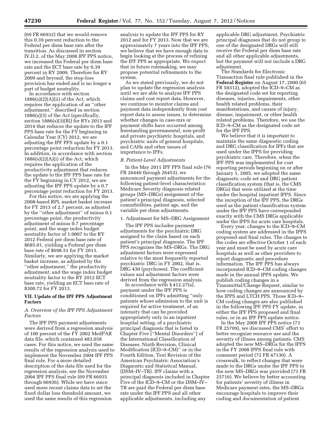(69 FR 66932) that we would remove this 0.39 percent reduction to the Federal per diem base rate after the transition. As discussed in section IV.D.2. of the May 2008 IPF PPS notice, we increased the Federal per diem base rate and the ECT base rate by 0.39 percent in RY 2009. Therefore for RY 2009 and beyond, the stop-loss provision has ended and is no longer a part of budget neutrality.

In accordance with section  $1886(s)(2)(A)(ii)$  of the Act, which requires the application of an ''other adjustment,'' described in section 1886(s)(3) of the Act (specifically, section 1886(s)(3)(B)) for RYs 2013 and 2014 that reduces the update to the IPF PPS base rate for the FY beginning in Calendar Year (CY) 2012, we are adjusting the IPF PPS update by a 0.1 percentage point reduction for FY 2013. In addition, in accordance with section  $1886(s)(2)(A)(i)$  of the Act, which requires the application of the productivity adjustment that reduces the update to the IPF PPS base rate for the FY beginning in CY 2012, we are adjusting the IPF PPS update by a 0.7 percentage point reduction for FY 2013.

For this notice, we are applying the 2008-based RPL market basket increase for FY 2013 of 2.7 percent, as adjusted by the ''other adjustment'' of minus 0.1 percentage point, the productivity adjustment of minus 0.7 percentage point, and the wage index budget neutrality factor of 1.0007 to the RY 2012 Federal per diem base rate of \$685.01, yielding a Federal per diem base rate of \$698.51 for FY 2013. Similarly, we are applying the market basket increase, as adjusted by the ''other adjustment,'' the productivity adjustment, and the wage index budget neutrality factor to the RY 2012 ECT base rate, yielding an ECT base rate of \$300.72 for FY 2013.

#### **VII. Update of the IPF PPS Adjustment Factors**

#### *A. Overview of the IPF PPS Adjustment Factors*

The IPF PPS payment adjustments were derived from a regression analysis of 100 percent of the FY 2002 MedPAR data file, which contained 483,038 cases. For this notice, we used the same results of the regression analysis used to implement the November 2004 IPF PPS final rule. For a more detailed description of the data file used for the regression analysis, see the November 2004 IPF PPS final rule (69 FR 66935 through 66936). While we have since used more recent claims data to set the fixed dollar loss threshold amount, we used the same results of this regression

analysis to update the IPF PPS for RY 2012 and for FY 2013. Now that we are approximately 7 years into the IPF PPS, we believe that we have enough data to begin looking at the process of refining the IPF PPS as appropriate. We expect that in future rulemaking, we may propose potential refinements to the system.

As we stated previously, we do not plan to update the regression analysis until we are able to analyze IPF PPS claims and cost report data. However, we continue to monitor claims and payment data independently from cost report data to assess issues, to determine whether changes in case-mix or payment shifts have occurred among freestanding governmental, non-profit and private psychiatric hospitals, and psychiatric units of general hospitals, and CAHs and other issues of importance to IPFs.

#### *B. Patient-Level Adjustments*

In the May 2011 IPF PPS final rule (76 FR 26440 through 26453), we announced payment adjustments for the following patient-level characteristics: Medicare Severity diagnosis related groups (MS–DRGs) assignment of the patient's principal diagnosis, selected comorbidities, patient age, and the variable per diem adjustments.

#### 1. Adjustment for MS–DRG Assignment

The IPF PPS includes payment adjustments for the psychiatric DRG assigned to the claim based on each patient's principal diagnosis. The IPF PPS recognizes the MS–DRGs. The DRG adjustment factors were expressed relative to the most frequently reported psychiatric DRG in FY 2002, that is, DRG 430 (psychoses). The coefficient values and adjustment factors were derived from the regression analysis.

In accordance with § 412.27(a), payment under the IPF PPS is conditioned on IPFs admitting ''only patients whose admission to the unit is required for active treatment, of an intensity that can be provided appropriately only in an inpatient hospital setting, of a psychiatric principal diagnosis that is listed in Chapter Five (''Mental Disorders'') of the International Classification of Diseases, Ninth Revision, Clinical Modification (ICD–9–CM)'' or in the Fourth Edition, Text Revision of the American Psychiatric Association's Diagnostic and Statistical Manual, (DSM–IV–TR). IPF claims with a principal diagnosis included in Chapter Five of the ICD–9–CM or the DSM–IV– TR are paid the Federal per diem base rate under the IPF PPS and all other applicable adjustments, including any

applicable DRG adjustment. Psychiatric principal diagnoses that do not group to one of the designated DRGs will still receive the Federal per diem base rate and all other applicable adjustments, but the payment will not include a DRG adjustment.

The Standards for Electronic Transaction final rule published in the **Federal Register** on August 17, 2000 (65 FR 50312), adopted the ICD–9–CM as the designated code set for reporting diseases, injuries, impairments, other health related problems, their manifestations, and causes of injury, disease, impairment, or other health related problems. Therefore, we use the ICD–9–CM as the designated code set for the IPF PPS.

We believe that it is important to maintain the same diagnostic coding and DRG classification for IPFs that are used under the IPPS for providing psychiatric care. Therefore, when the IPF PPS was implemented for cost reporting periods beginning on or after January 1, 2005, we adopted the same diagnostic code set and DRG patient classification system (that is, the CMS DRGs) that were utilized at the time under the hospital inpatient IPPS. Since the inception of the IPF PPS, the DRGs used as the patient classification system under the IPF PPS have corresponded exactly with the CMS DRGs applicable under the IPPS for acute care hospitals.

Every year, changes to the ICD–9–CM coding system are addressed in the IPPS proposed and final rules. The changes to the codes are effective October 1 of each year and must be used by acute care hospitals as well as other providers to report diagnostic and procedure information. The IPF PPS has always incorporated ICD–9–CM coding changes made in the annual IPPS update. We publish coding changes in a Transmittal/Change Request, similar to how coding changes are announced by the IPPS and LTCH PPS. Those ICD–9– CM coding changes are also published in the following IPF PPS FY update, in either the IPF PPS proposed and final rules, or in an IPF PPS update notice.

In the May 2008 IPF PPS notice (73 FR 25709), we discussed CMS' effort to better recognize resource use and the severity of illness among patients. CMS adopted the new MS–DRGs for the IPPS in the FY 2008 IPPS final rule with comment period (72 FR 47130). A crosswalk, to reflect changes that were made to the DRGs under the IPF PPS to the new MS–DRGs was provided (73 FR 25716). We believe by better accounting for patients' severity of illness in Medicare payment rates, the MS–DRGs encourage hospitals to improve their coding and documentation of patient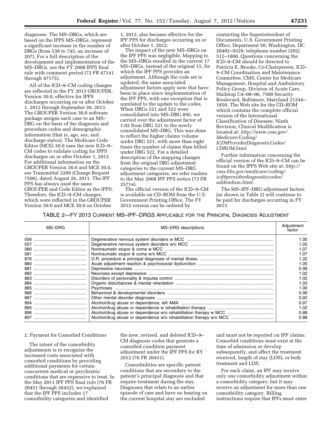diagnoses. The MS–DRGs, which are based on the IPPS MS–DRGs, represent a significant increase in the number of DRGs (from 538 to 745, an increase of 207). For a full description of the development and implementation of the MS–DRGs, see the FY 2008 IPPS final rule with comment period (72 FR 47141 through 47175).

All of the ICD–9–CM coding changes are reflected in the FY 2013 GROUPER, Version 30.0, effective for IPPS discharges occurring on or after October 1, 2012 through September 30, 2013. The GROUPER Version 30.0 software package assigns each case to an MS– DRG on the basis of the diagnosis and procedure codes and demographic information (that is, age, sex, and discharge status). The Medicare Code Editor (MCE) 30.0 uses the new ICD–9– CM codes to validate coding for IPPS discharges on or after October 1, 2012. For additional information on the GROUPER Version 30.0 and MCE 30.0, see Transmittal 2289 (Change Request 7506), dated August 26, 2011. The IPF PPS has always used the same GROUPER and Code Editor as the IPPS. Therefore, the ICD–9–CM changes, which were reflected in the GROUPER Version 30.0 and MCE 30.0 on October

1, 2012, also became effective for the IPF PPS for discharges occurring on or after October 1, 2012.

The impact of the new MS–DRGs on the IPF PPS was negligible. Mapping to the MS–DRGs resulted in the current 17 MS–DRGs, instead of the original 15, for which the IPF PPS provides an adjustment. Although the code set is updated, the same associated adjustment factors apply now that have been in place since implementation of the IPF PPS, with one exception that is unrelated to the update to the codes. When DRGs 521 and 522 were consolidated into MS–DRG 895, we carried over the adjustment factor of 1.02 from DRG 521 to the newly consolidated MS–DRG. This was done to reflect the higher claims volume under DRG 521, with more than eight times the number of claims than billed under DRG 522. For a detailed description of the mapping changes from the original DRG adjustment categories to the current MS–DRG adjustment categories, we refer readers to the May 2008 IPF PPS notice (73 FR 25714).

The official version of the ICD–9–CM is available on CD–ROM from the U.S. Government Printing Office. The FY 2012 version can be ordered by

contacting the Superintendent of Documents, U.S. Government Printing Office, Department 50, Washington, DC 20402–9329, telephone number (202) 512–1800. Questions concerning the ICD–9–CM should be directed to Patricia E. Brooks, Co-Chairperson, ICD– 9–CM Coordination and Maintenance Committee, CMS, Center for Medicare Management, Hospital and Ambulatory Policy Group, Division of Acute Care, Mailstop C4–08–06, 7500 Security Boulevard, Baltimore, Maryland 21244– 1850. The Web site for the CD–ROM which contains the complete official version of the International Classification of Diseases, Ninth Revision, Clinical Modification is located at: *[http://www.cms.gov/](http://www.cms.gov/Medicare/Coding/ICD9ProviderDiagnosticCodes/CDROM.html) [Medicare/Coding/](http://www.cms.gov/Medicare/Coding/ICD9ProviderDiagnosticCodes/CDROM.html)  [ICD9ProviderDiagnosticCodes/](http://www.cms.gov/Medicare/Coding/ICD9ProviderDiagnosticCodes/CDROM.html)  [CDROM.html.](http://www.cms.gov/Medicare/Coding/ICD9ProviderDiagnosticCodes/CDROM.html)* 

Further information concerning the official version of the ICD–9–CM can be found on the IPPS Web site at: *[http://](http://cms.hhs.gov/medicare/coding/icd9providerdiagnosticcodes/addendum.html) [cms.hhs.gov/medicare/coding/](http://cms.hhs.gov/medicare/coding/icd9providerdiagnosticcodes/addendum.html) [icd9providerdiagnosticcodes/](http://cms.hhs.gov/medicare/coding/icd9providerdiagnosticcodes/addendum.html)  [addendum.html.](http://cms.hhs.gov/medicare/coding/icd9providerdiagnosticcodes/addendum.html)* 

The MS–IPF–DRG adjustment factors (as shown in Table 2) will continue to be paid for discharges occurring in FY 2013.

TABLE 2—FY 2013 CURRENT MS–IPF–DRGS APPLICABLE FOR THE PRINCIPAL DIAGNOSIS ADJUSTMENT

| MS-DRG | MS-DRG descriptions | Adiustment<br>factor |
|--------|---------------------|----------------------|
|        |                     | 1.05                 |
|        |                     | 1.05                 |
|        |                     | 1.07                 |
|        |                     | 1.07                 |
|        |                     | 1.22                 |
|        |                     | 1.05                 |
|        |                     | 0.99                 |
|        |                     | 1.02                 |
|        |                     | 1.02                 |
|        |                     | 1.03                 |
|        |                     | 1.00                 |
|        |                     | 0.99                 |
|        |                     | 0.92                 |
|        |                     | 0.97                 |
|        |                     | 1.02                 |
|        |                     | 0.88                 |
|        |                     | 0.88                 |

#### 2. Payment for Comorbid Conditions

The intent of the comorbidity adjustments is to recognize the increased costs associated with comorbid conditions by providing additional payments for certain concurrent medical or psychiatric conditions that are expensive to treat. In the May 2011 IPF PPS final rule (76 FR 26451 through 26452), we explained that the IPF PPS includes 17 comorbidity categories and identified

the new, revised, and deleted ICD–9– CM diagnosis codes that generate a comorbid condition payment adjustment under the IPF PPS for RY 2012 (76 FR 26451).

Comorbidities are specific patient conditions that are secondary to the patient's principal diagnosis and that require treatment during the stay. Diagnoses that relate to an earlier episode of care and have no bearing on the current hospital stay are excluded

and must not be reported on IPF claims. Comorbid conditions must exist at the time of admission or develop subsequently, and affect the treatment received, length of stay (LOS), or both treatment and LOS.

For each claim, an IPF may receive only one comorbidity adjustment within a comorbidity category, but it may receive an adjustment for more than one comorbidity category. Billing instructions require that IPFs must enter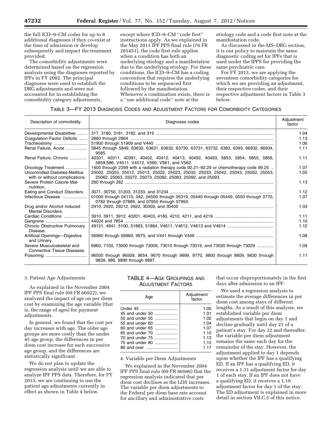the full ICD–9–CM codes for up to 8 additional diagnoses if they co-exist at the time of admission or develop subsequently and impact the treatment provided.

The comorbidity adjustments were determined based on the regression analysis using the diagnoses reported by IPFs in FY 2002. The principal diagnoses were used to establish the DRG adjustments and were not accounted for in establishing the comorbidity category adjustments,

except where ICD–9–CM ''code first'' instructions apply. As we explained in the May 2011 IPF PPS final rule (76 FR 265451), the code first rule applies when a condition has both an underlying etiology and a manifestation due to the underlying etiology. For these conditions, the ICD–9–CM has a coding convention that requires the underlying conditions to be sequenced first followed by the manifestation. Whenever a combination exists, there is a ''use additional code'' note at the

etiology code and a code first note at the manifestation code.

As discussed in the MS–DRG section, it is our policy to maintain the same diagnostic coding set for IPFs that is used under the IPPS for providing the same psychiatric care.

For FY 2013, we are applying the seventeen comorbidity categories for which we are providing an adjustment, their respective codes, and their respective adjustment factors in Table 3 below.

#### TABLE 3—FY 2013 DIAGNOSIS CODES AND ADJUSTMENT FACTORS FOR COMORBIDITY CATEGORIES

| Description of comorbidity                                       | Diagnoses codes                                                                                                                                    | Adjustment<br>factor |
|------------------------------------------------------------------|----------------------------------------------------------------------------------------------------------------------------------------------------|----------------------|
| Developmental Disabilities                                       |                                                                                                                                                    | 1.04                 |
| Coagulation Factor Deficits                                      |                                                                                                                                                    | 1.13                 |
| Tracheostomy                                                     |                                                                                                                                                    | 1.06                 |
| Renal Failure, Acute                                             | 5845 through 5849, 63630, 63631, 63632, 63730, 63731, 63732, 6383, 6393, 66932, 66934,<br>9585.                                                    | 1.11                 |
| Renal Failure, Chronic                                           | 40301, 40311, 40391, 40402, 40412, 40413, 40492, 40493, 5853, 5854, 5855, 5856,<br>5859,586, V4511, V4512, V560, V561, and V562.                   | 1.11                 |
| Oncology Treatment                                               | 1400 through 2399 with a radiation therapy code 92.21–92.29 or chemotherapy code 99.25                                                             | 1.07                 |
| Uncontrolled Diabetes-Mellitus<br>with or without complications. | 25002, 25003, 25012, 25013, 25022, 25023, 25032, 25033, 25042, 25043, 25052, 25053,<br>25062, 25063, 25072, 25073, 25082, 25083, 25092, and 25093. | 1.05                 |
| Severe Protein Calorie Mal-<br>nutrition.                        |                                                                                                                                                    | 1.13                 |
| Eating and Conduct Disorders                                     |                                                                                                                                                    | 1.12                 |
| Infectious Disease                                               | 01000 through 04110, 042, 04500 through 05319, 05440 through 05449, 0550 through 0770,<br>0782 through 07889, and 07950 through 07959.             | 1.07                 |
| Drug and/or Alcohol Induced<br>Mental Disorders.                 |                                                                                                                                                    | 1.03                 |
| Cardiac Conditions                                               |                                                                                                                                                    | 1.11                 |
|                                                                  |                                                                                                                                                    | 1.10                 |
| <b>Chronic Obstructive Pulmonary</b><br>Disease.                 |                                                                                                                                                    | 1.12                 |
| Artificial Openings-Digestive<br>and Urinary.                    |                                                                                                                                                    | 1.08                 |
| Severe Musculoskeletal and<br>Connective Tissue Diseases.        | 6960, 7100, 73000 through 73009, 73010 through 73019, and 73020 through 73029                                                                      | 1.09                 |
|                                                                  | 96500 through 96509, 9654, 9670 through 9699, 9770, 9800 through 9809, 9830 through<br>9839, 986, 9890 through 9897.                               | 1.11                 |

#### 3. Patient Age Adjustments

As explained in the November 2004 IPF PPS final rule (69 FR 66922), we analyzed the impact of age on per diem cost by examining the age variable (that is, the range of ages) for payment adjustments.

In general, we found that the cost per day increases with age. The older age groups are more costly than the under 45 age group, the differences in per diem cost increase for each successive age group, and the differences are statistically significant.

We do not plan to update the regression analysis until we are able to analyze IPF PPS data. Therefore, for FY 2013, we are continuing to use the patient age adjustments currently in effect as shown in Table 4 below.

#### TABLE 4—AGE GROUPINGS AND ADJUSTMENT FACTORS

| Age             | Adjustment<br>factor |  |
|-----------------|----------------------|--|
| Under 45        | 1.00                 |  |
| 45 and under 50 | 1.01                 |  |
|                 | 1.02                 |  |
| 55 and under 60 | 1.04                 |  |
| 60 and under 65 | 1.07                 |  |
| 65 and under 70 | 1.10                 |  |
| 70 and under 75 | 1.13                 |  |
| 75 and under 80 | 1.15                 |  |
|                 | 1 17                 |  |

#### 4. Variable per Diem Adjustments

We explained in the November 2004 IPF PPS final rule (69 FR 66946) that the regression analysis indicated that per diem cost declines as the LOS increases. The variable per diem adjustments to the Federal per diem base rate account for ancillary and administrative costs

that occur disproportionately in the first days after admission to an IPF.

We used a regression analysis to estimate the average differences in per diem cost among stays of different lengths. As a result of this analysis, we established variable per diem adjustments that begin on day 1 and decline gradually until day 21 of a patient's stay. For day 22 and thereafter, the variable per diem adjustment remains the same each day for the remainder of the stay. However, the adjustment applied to day 1 depends upon whether the IPF has a qualifying ED. If an IPF has a qualifying ED, it receives a 1.31 adjustment factor for day 1 of each stay. If an IPF does not have a qualifying ED, it receives a 1.19 adjustment factor for day 1 of the stay. The ED adjustment is explained in more detail in section VII.C.5 of this notice.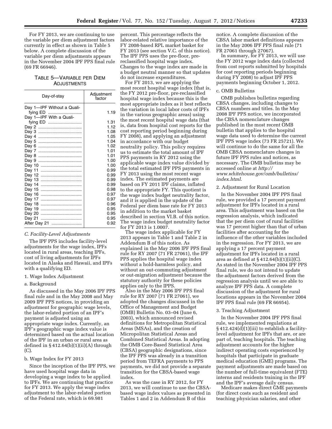For FY 2013, we are continuing to use the variable per diem adjustment factors currently in effect as shown in Table 5 below. A complete discussion of the variable per diem adjustments appears in the November 2004 IPF PPS final rule (69 FR 66946).

#### TABLE 5—VARIABLE PER DIEM ADJUSTMENTS

| Day-of-stay                | Adjustment<br>factor |  |
|----------------------------|----------------------|--|
| Day 1-IPF Without a Quali- |                      |  |
| fying ED                   | 1.19                 |  |
| Day 1-IPF With a Quali-    |                      |  |
| fying ED                   | 1.31                 |  |
|                            | 1.12                 |  |
| Dav 3<br>                  | 1.08                 |  |
| Day 4<br>                  | 1.05                 |  |
| Day 5<br>                  | 1.04                 |  |
| Day 6<br>                  | 1.02                 |  |
| Day 7<br>                  | 1.01                 |  |
| Day 8<br>                  | 1.01                 |  |
| Day 9<br>                  | 1.00                 |  |
| Dav 10                     | 1.00                 |  |
| Day 11                     | 0.99                 |  |
| Day 12                     | 0.99                 |  |
| Day 13                     | 0.99                 |  |
| Day 14                     | 0.99                 |  |
| Day 15<br>                 | 0.98                 |  |
| Day 16                     | 0.97                 |  |
| Day 17                     | 0.97                 |  |
| Day 18                     | 0.96                 |  |
| Day 19                     | 0.95                 |  |
| Day 20                     | 0.95                 |  |
| Day 21                     | 0.95                 |  |
| After Day 21               | 0.92                 |  |

#### *C. Facility-Level Adjustments*

The IPF PPS includes facility-level adjustments for the wage index, IPFs located in rural areas, teaching IPFs, cost of living adjustments for IPFs located in Alaska and Hawaii, and IPFs with a qualifying ED.

#### 1. Wage Index Adjustment

#### a. Background

As discussed in the May 2006 IPF PPS final rule and in the May 2008 and May 2009 IPF PPS notices, in providing an adjustment for geographic wage levels, the labor-related portion of an IPF's payment is adjusted using an appropriate wage index. Currently, an IPF's geographic wage index value is determined based on the actual location of the IPF in an urban or rural area as defined in  $\S 412.64(b)(1)(ii)(A)$  through  $(C)$ 

#### b. Wage Index for FY 2013

Since the inception of the IPF PPS, we have used hospital wage data in developing a wage index to be applied to IPFs. We are continuing that practice for FY 2013. We apply the wage index adjustment to the labor-related portion of the Federal rate, which is 69.981

percent. This percentage reflects the labor-related relative importance of the FY 2008-based RPL market basket for FY 2013 (see section V.C. of this notice). The IPF PPS uses the pre-floor, prereclassified hospital wage index. Changes to the wage index are made in a budget neutral manner so that updates do not increase expenditures.

For FY 2013, we are applying the most recent hospital wage index (that is, the FY 2012 pre-floor, pre-reclassified hospital wage index because this is the most appropriate index as it best reflects the variation in local labor costs of IPFs in the various geographic areas) using the most recent hospital wage data (that is, data from hospital cost reports for the cost reporting period beginning during FY 2008), and applying an adjustment in accordance with our budget neutrality policy. This policy requires us to estimate the total amount of IPF PPS payments in RY 2012 using the applicable wage index value divided by the total estimated IPF PPS payments in FY 2013 using the most recent wage index. The estimated payments are based on FY 2011 IPF claims, inflated to the appropriate FY. This quotient is the wage index budget neutrality factor, and it is applied in the update of the Federal per diem base rate for FY 2013 in addition to the market basket described in section VI.B. of this notice. The wage index budget neutrality factor for FY 2013 is 1.0007.

The wage index applicable for FY 2013 appears in Table 1 and Table 2 in Addendum B of this notice. As explained in the May 2006 IPF PPS final rule for RY 2007 (71 FR 27061), the IPF PPS applies the hospital wage index without a hold-harmless policy, and without an out-commuting adjustment or out-migration adjustment because the statutory authority for these policies applies only to the IPPS.

Also in the May 2006 IPF PPS final rule for RY 2007 (71 FR 27061), we adopted the changes discussed in the Office of Management and Budget (OMB) Bulletin No. 03–04 (June 6, 2003), which announced revised definitions for Metropolitan Statistical Areas (MSAs), and the creation of Micropolitan Statistical Areas and Combined Statistical Areas. In adopting the OMB Core-Based Statistical Area (CBSA) geographic designations, since the IPF PPS was already in a transition period from TEFRA payments to PPS payments, we did not provide a separate transition for the CBSA-based wage index.

As was the case in RY 2012, for FY 2013, we will continue to use the CBSAbased wage index values as presented in Tables 1 and 2 in Addendum B of this

notice. A complete discussion of the CBSA labor market definitions appears in the May 2006 IPF PPS final rule (71 FR 27061 through 27067).

In summary, for FY 2013, we will use the FY 2012 wage index data (collected from cost reports submitted by hospitals for cost reporting periods beginning during FY 2008) to adjust IPF PPS payments beginning October 1, 2012.

#### c. OMB Bulletins

OMB publishes bulletins regarding CBSA changes, including changes to CBSA numbers and titles. In the May 2008 IPF PPS notice, we incorporated the CBSA nomenclature changes published in the most recent OMB bulletin that applies to the hospital wage data used to determine the current IPF PPS wage index (73 FR 25721). We will continue to do the same for all the OMB CBSA nomenclature changes in future IPF PPS rules and notices, as necessary. The OMB bulletins may be accessed online at *[http://](http://www.whitehouse.gov/omb/bulletins/index.html)  [www.whitehouse.gov/omb/bulletins/](http://www.whitehouse.gov/omb/bulletins/index.html) [index.html](http://www.whitehouse.gov/omb/bulletins/index.html)*.

#### 2. Adjustment for Rural Location

In the November 2004 IPF PPS final rule, we provided a 17 percent payment adjustment for IPFs located in a rural area. This adjustment was based on the regression analysis, which indicated that the per diem cost of rural facilities was 17 percent higher than that of urban facilities after accounting for the influence of the other variables included in the regression. For FY 2013, we are applying a 17 percent payment adjustment for IPFs located in a rural area as defined at  $§$  412.64(b)(1)(ii)(C). As stated in the November 2004 IPF PPS final rule, we do not intend to update the adjustment factors derived from the regression analysis until we are able to analyze IPF PPS data. A complete discussion of the adjustment for rural locations appears in the November 2004 IPF PPS final rule (69 FR 66954).

#### 3. Teaching Adjustment

In the November 2004 IPF PPS final rule, we implemented regulations at § 412.424(d)(1)(iii) to establish a facilitylevel adjustment for IPFs that are, or are part of, teaching hospitals. The teaching adjustment accounts for the higher indirect operating costs experienced by hospitals that participate in graduate medical education (GME) programs. The payment adjustments are made based on the number of full-time equivalent (FTE) interns and residents training in the IPF and the IPF's average daily census.

Medicare makes direct GME payments (for direct costs such as resident and teaching physician salaries, and other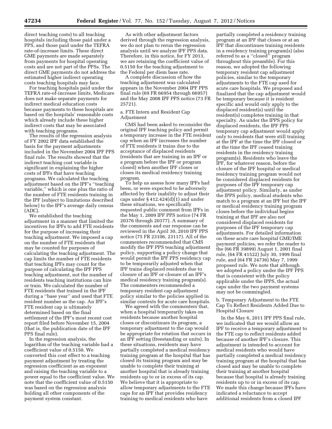direct teaching costs) to all teaching hospitals including those paid under a PPS, and those paid under the TEFRA rate-of-increase limits. These direct GME payments are made separately from payments for hospital operating costs and are not part of the PPSs. The direct GME payments do not address the estimated higher indirect operating costs teaching hospitals may face.

For teaching hospitals paid under the TEFRA rate-of-increase limits, Medicare does not make separate payments for indirect medical education costs because payments to these hospitals are based on the hospitals' reasonable costs which already include these higher indirect costs that may be associated with teaching programs.

The results of the regression analysis of FY 2002 IPF data established the basis for the payment adjustments included in the November 2004 IPF PPS final rule. The results showed that the indirect teaching cost variable is significant in explaining the higher costs of IPFs that have teaching programs. We calculated the teaching adjustment based on the IPF's ''teaching variable,'' which is one plus the ratio of the number of FTE residents training in the IPF (subject to limitations described below) to the IPF's average daily census (ADC).

We established the teaching adjustment in a manner that limited the incentives for IPFs to add FTE residents for the purpose of increasing their teaching adjustment. We imposed a cap on the number of FTE residents that may be counted for purposes of calculating the teaching adjustment. The cap limits the number of FTE residents that teaching IPFs may count for the purpose of calculating the IPF PPS teaching adjustment, not the number of residents teaching institutions can hire or train. We calculated the number of FTE residents that trained in the IPF during a ''base year'' and used that FTE resident number as the cap. An IPF's FTE resident cap is ultimately determined based on the final settlement of the IPF's most recent cost report filed before November 15, 2004 (that is, the publication date of the IPF PPS final rule).

In the regression analysis, the logarithm of the teaching variable had a coefficient value of 0.5150. We converted this cost effect to a teaching payment adjustment by treating the regression coefficient as an exponent and raising the teaching variable to a power equal to the coefficient value. We note that the coefficient value of 0.5150 was based on the regression analysis holding all other components of the payment system constant.

As with other adjustment factors derived through the regression analysis, we do not plan to rerun the regression analysis until we analyze IPF PPS data. Therefore, in this notice, for FY 2013, we are retaining the coefficient value of 0.5150 for the teaching adjustment to the Federal per diem base rate.

A complete discussion of how the teaching adjustment was calculated appears in the November 2004 IPF PPS final rule (69 FR 66954 through 66957) and the May 2008 IPF PPS notice (73 FR 25721).

#### a. FTE Intern and Resident Cap Adjustment

CMS had been asked to reconsider the original IPF teaching policy and permit a temporary increase in the FTE resident cap when an IPF increases the number of FTE residents it trains due to the acceptance of displaced residents (residents that are training in an IPF or a program before the IPF or program closed) when another IPF closes or closes its medical residency training program.

To help us assess how many IPFs had been, or were expected to be adversely affected by their inability to adjust their caps under § 412.424(d)(1) and under these situations, we specifically requested public comment from IPFs in the May 1, 2009 IPF PPS notice (74 FR 20376 through 20377). A summary of the comments and our response can be reviewed in the April 30, 2010 IPF PPS notice (75 FR 23106, 23117). All of the commenters recommended that CMS modify the IPF PPS teaching adjustment policy, supporting a policy change that would permit the IPF PPS residency cap to be temporarily adjusted when that IPF trains displaced residents due to closure of an IPF or closure of an IPF's medical residency training program(s). The commenters recommended a temporary resident cap adjustment policy similar to the policies applied in similar contexts for acute care hospitals.

We agreed with the commenters that, when a hospital temporarily takes on residents because another hospital closes or discontinues its program, a temporary adjustment to the cap would be appropriate for rotation that occurs in an IPF setting (freestanding or units). In these situations, residents may have partially completed a medical residency training program at the hospital that has closed its training program and may be unable to complete their training at another hospital that is already training residents up to or in excess of its cap. We believe that it is appropriate to allow temporary adjustments to the FTE caps for an IPF that provides residency training to medical residents who have

partially completed a residency training program at an IPF that closes or at an IPF that discontinues training residents in a residency training program(s) (also referred to as a ''closed'' program throughout this preamble). For this reason, we adopted the following temporary resident cap adjustment policies, similar to the temporary adjustments to the FTE cap used for acute care hospitals. We proposed and finalized that the cap adjustment would be temporary because it is resident specific and would only apply to the displaced resident(s) until the resident(s) completes training in that specialty. As under the IPPS policy for displaced residents, the IPF PPS temporary cap adjustment would apply only to residents that were still training at the IPF at the time the IPF closed or at the time the IPF ceased training residents in the residency training program(s). Residents who leave the IPF, for whatever reason, before the closure of the IPF hospital or medical residency training program would not be considered displaced residents for purposes of the IPF temporary cap adjustment policy. Similarly, as under the IPPS policy, medical students who match to a program at an IPF but the IPF or medical residency training program closes before the individual begins training at that IPF are also not considered displaced residents for purposes of the IPF temporary cap adjustments. For detailed information on these acute care hospital GME/IME payment policies, we refer the reader to the (66 FR 39899) August 1, 2001 final rule, (64 FR 41522) July 30, 1999 final rule, and (64 FR 24736) May 7, 1999 proposed rule. We note that although we adopted a policy under the IPF PPS that is consistent with the policy applicable under the IPPS, the actual caps under the two payment systems may not be commingled.

b. Temporary Adjustment to the FTE Cap To Reflect Residents Added Due to Hospital Closure

In the May 6, 2011 IPF PPS final rule, we indicated that we would allow an IPF to receive a temporary adjustment to the FTE cap to reflect residents added because of another IPF's closure. This adjustment is intended to account for medical residents who would have partially completed a medical residency training program at the hospital that has closed and may be unable to complete their training at another hospital because that hospital is already training residents up to or in excess of its cap. We made this change because IPFs have indicated a reluctance to accept additional residents from a closed IPF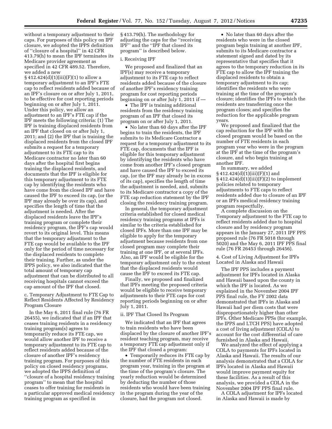without a temporary adjustment to their caps. For purposes of this policy on IPF closure, we adopted the IPPS definition of ''closure of a hospital'' in 42 CFR 413.79(h) to mean the IPF terminates its Medicare provider agreement as specified in 42 CFR 489.52. Therefore, we added a new

 $§ 412.424(d)(1)(iii)(F)(1)$  to allow a temporary adjustment to an IPF's FTE cap to reflect residents added because of an IPF's closure on or after July 1, 2011, to be effective for cost reporting periods beginning on or after July 1, 2011. Under this policy, we allow an adjustment to an IPF's FTE cap if the IPF meets the following criteria: (1) The IPF is training displaced residents from an IPF that closed on or after July 1, 2011; and (2) the IPF that is training the displaced residents from the closed IPF submits a request for a temporary adjustment to its FTE cap to its Medicare contractor no later than 60 days after the hospital first begins training the displaced residents, and documents that the IPF is eligible for this temporary adjustment to its FTE cap by identifying the residents who have come from the closed IPF and have caused the IPF to exceed its cap, (or the IPF may already be over its cap), and specifies the length of time that the adjustment is needed. After the displaced residents leave the IPF's training program or complete their residency program, the IPF's cap would revert to its original level. This means that the temporary adjustment to the FTE cap would be available to the IPF only for the period of time necessary for the displaced residents to complete their training. Further, as under the IPPS policy, we also indicated that the total amount of temporary cap adjustment that can be distributed to all receiving hospitals cannot exceed the cap amount of the IPF that closed.

c. Temporary Adjustment to FTE Cap to Reflect Residents Affected by Residency Program Closure

In the May 6, 2011 final rule (76 FR 26455), we indicated that if an IPF that ceases training residents in a residency training program(s) agrees to temporarily reduce its FTE cap, we would allow another IPF to receive a temporary adjustment to its FTE cap to reflect residents added because of the closure of another IPF's residency training program. For purposes of this policy on closed residency programs, we adopted the IPPS definition of ''closure of a hospital residency training program'' to mean that the hospital ceases to offer training for residents in a particular approved medical residency training program as specified in

§ 413.79(h). The methodology for adjusting the caps for the ''receiving IPF'' and the ''IPF that closed its program'' is described below.

#### i. Receiving IPF

We proposed and finalized that an IPF(s) may receive a temporary adjustment to its FTE cap to reflect residents added because of the closure of another IPF's residency training program for cost reporting periods beginning on or after July 1, 2011 if —

• The IPF is training additional residents from the residency training program of an IPF that closed its program on or after July 1, 2011.

• No later than 60 days after the IPF begins to train the residents, the IPF submits to its Medicare Contractor a request for a temporary adjustment to its FTE cap, documents that the IPF is eligible for this temporary adjustment by identifying the residents who have come from another IPF's closed program and have caused the IPF to exceed its cap, (or the IPF may already be in excess of its cap), specifies the length of time the adjustment is needed, and, submits to its Medicare contractor a copy of the FTE cap reduction statement by the IPF closing the residency training program.

In general, the temporary adjustment criteria established for closed medical residency training programs at IPFs is similar to the criteria established for closed IPFs. More than one IPF may be eligible to apply for the temporary adjustment because residents from one closed program may complete their training at one IPF, or at several IPFs. Also, an IPF would be eligible for the temporary adjustment only to the extent that the displaced residents would cause the IPF to exceed its FTE cap.

Finally, we proposed and finalized that IPFs meeting the proposed criteria would be eligible to receive temporary adjustments to their FTE caps for cost reporting periods beginning on or after July 1, 2011.

#### ii. IPF That Closed Its Program

We indicated that an IPF that agrees to train residents who have been displaced by the closure of another IPF's resident teaching program, may receive a temporary FTE cap adjustment only if the IPF that closed a program:

• Temporarily reduces its FTE cap by the number of FTE residents in each program year, training in the program at the time of the program's closure. The yearly reduction would be determined by deducting the number of those residents who would have been training in the program during the year of the closure, had the program not closed.

• No later than 60 days after the residents who were in the closed program begin training at another IPF, submits to its Medicare contractor a statement signed and dated by its representative that specifies that it agrees to the temporary reduction in its FTE cap to allow the IPF training the displaced residents to obtain a temporary adjustment to its cap; identifies the residents who were training at the time of the program's closure; identifies the IPFs to which the residents are transferring once the program closes; and specifies the reduction for the applicable program years.

We proposed and finalized that the cap reduction for the IPF with the closed program would be based on the number of FTE residents in each program year who were in the program at the IPF at the time of the program's closure, and who begin training at another IPF.

In summary, we added § 412.424(d)(1)(iii)(F)(1) and  $§412.424(d)(1)(iii)(F)(2)$  to implement policies related to temporary adjustments to FTE caps to reflect residents added due to closure of an IPF or an IPFs medical residency training program respectfully.

A complete discussion on the Temporary adjustment to the FTE cap to reflect residents added due to hospital closure and by residency program appears in the January 27, 2011 IPF PPS proposed rule (76 FR 5018 through 5020) and the May 6, 2011 IPF PPS final rule (76 FR 26453 through 26456).

4. Cost of Living Adjustment for IPFs Located in Alaska and Hawaii

The IPF PPS includes a payment adjustment for IPFs located in Alaska and Hawaii based upon the county in which the IPF is located. As we explained in the November 2004 IPF PPS final rule, the FY 2002 data demonstrated that IPFs in Alaska and Hawaii had per diem costs that were disproportionately higher than other IPFs. Other Medicare PPSs (for example, the IPPS and LTCH PPS) have adopted a cost of living adjustment (COLA) to account for the cost differential of care furnished in Alaska and Hawaii.

We analyzed the effect of applying a COLA to payments for IPFs located in Alaska and Hawaii. The results of our analysis demonstrated that a COLA for IPFs located in Alaska and Hawaii would improve payment equity for these facilities. As a result of this analysis, we provided a COLA in the November 2004 IPF PPS final rule.

A COLA adjustment for IPFs located in Alaska and Hawaii is made by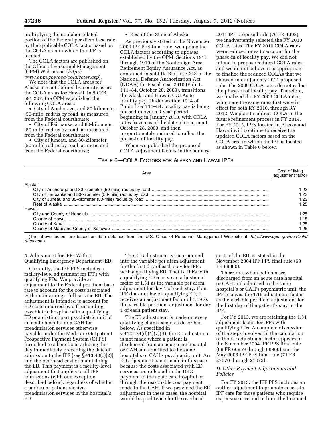multiplying the nonlabor-related portion of the Federal per diem base rate by the applicable COLA factor based on the COLA area in which the IPF is located.

The COLA factors are published on the Office of Personnel Management (OPM) Web site at (*[http://](http://www.opm.gov/oca/cola/rates.asp)  [www.opm.gov/oca/cola/rates.asp](http://www.opm.gov/oca/cola/rates.asp)*).

We note that the COLA areas for Alaska are not defined by county as are the COLA areas for Hawaii. In 5 CFR 591.207, the OPM established the following COLA areas:

• City of Anchorage, and 80-kilometer (50-mile) radius by road, as measured from the Federal courthouse;

• City of Fairbanks, and 80-kilometer (50-mile) radius by road, as measured from the Federal courthouse;

• City of Juneau, and 80-kilometer (50-mile) radius by road, as measured from the Federal courthouse;

• Rest of the State of Alaska.

As previously stated in the November 2004 IPF PPS final rule, we update the COLA factors according to updates established by the OPM. Sections 1911 through 1919 of the Nonforeign Area Retirement Equity Assurance Act, as contained in subtitle B of title XIX of the National Defense Authorization Act (NDAA) for Fiscal Year 2010 (Pub. L. 111–84, October 28, 2009), transitions the Alaska and Hawaii COLAs to locality pay. Under section 1914 of Pubic Law 111–84, locality pay is being phased in over a 3-year period beginning in January 2010, with COLA rates frozen as of the date of enactment, October 28, 2009, and then proportionately reduced to reflect the phase-in of locality pay.

When we published the proposed COLA adjustment factors in the January

2011 IPF proposed rule (76 FR 4998), we inadvertently selected the FY 2010 COLA rates. The FY 2010 COLA rates were reduced rates to account for the phase-in of locality pay. We did not intend to propose reduced COLA rates, and we do not believe it is appropriate to finalize the reduced COLAs that we showed in our January 2011 proposed rule. The 2009 COLA rates do not reflect the phase-in of locality pay. Therefore, we finalized the FY 2009 COLA rates, which are the same rates that were in effect for both RY 2010, through RY 2012. We plan to address COLA in the future refinement process in FY 2014. For FY 2013, IPFs located in Alaska and Hawaii will continue to receive the updated COLA factors based on the COLA area in which the IPF is located as shown in Table 6 below.

#### TABLE 6—COLA FACTORS FOR ALASKA AND HAWAII IPFS

| Area                                                                                                                                                                                                                                             | Cost of living<br>adjustment factor |
|--------------------------------------------------------------------------------------------------------------------------------------------------------------------------------------------------------------------------------------------------|-------------------------------------|
| Alaska:                                                                                                                                                                                                                                          |                                     |
|                                                                                                                                                                                                                                                  | 1.23                                |
|                                                                                                                                                                                                                                                  | - 23                                |
|                                                                                                                                                                                                                                                  | 1.23                                |
|                                                                                                                                                                                                                                                  | 1.25                                |
| Hawaii:                                                                                                                                                                                                                                          |                                     |
|                                                                                                                                                                                                                                                  | 1.25                                |
| $\sim$ 0.0 $\mu$ and 0.0 $\mu$ and 0.0 $\mu$ and 0.0 $\mu$ and 0.0 $\mu$ and 0.0 $\mu$ and 0.0 $\mu$ and 0.0 $\mu$ and 0.0 $\mu$ and 0.0 $\mu$ and 0.0 $\mu$ and 0.0 $\mu$ and 0.0 $\mu$ and 0.0 $\mu$ and 0.0 $\mu$ and 0.0 $\mu$ and 0.0 $\mu$ | l.18                                |
|                                                                                                                                                                                                                                                  | 1.25                                |
|                                                                                                                                                                                                                                                  | -25                                 |

(The above factors are based on data obtained from the U.S. Office of Personnel Management Web site at: *[http://www.opm.gov/oca/cola/](http://www.opm.gov/oca/cola/rates.asp)  [rates.asp](http://www.opm.gov/oca/cola/rates.asp)*.).

#### 5. Adjustment for IPFs With a Qualifying Emergency Department (ED)

Currently, the IPF PPS includes a facility-level adjustment for IPFs with qualifying EDs. We provide an adjustment to the Federal per diem base rate to account for the costs associated with maintaining a full-service ED. The adjustment is intended to account for ED costs incurred by a freestanding psychiatric hospital with a qualifying ED or a distinct part psychiatric unit of an acute hospital or a CAH for preadmission services otherwise payable under the Medicare Outpatient Prospective Payment System (OPPS) furnished to a beneficiary during the day immediately preceding the date of admission to the IPF (see § 413.40(c)(2)) and the overhead cost of maintaining the ED. This payment is a facility-level adjustment that applies to all IPF admissions (with one exception described below), regardless of whether a particular patient receives preadmission services in the hospital's ED.

The ED adjustment is incorporated into the variable per diem adjustment for the first day of each stay for IPFs with a qualifying ED. That is, IPFs with a qualifying ED receive an adjustment factor of 1.31 as the variable per diem adjustment for day 1 of each stay. If an IPF does not have a qualifying ED, it receives an adjustment factor of 1.19 as the variable per diem adjustment for day 1 of each patient stay.

The ED adjustment is made on every qualifying claim except as described below. As specified in  $§ 412.424(d)(1)(v)(B)$ , the ED adjustment is not made where a patient is discharged from an acute care hospital or CAH and admitted to the same hospital's or CAH's psychiatric unit. An ED adjustment is not made in this case because the costs associated with ED services are reflected in the DRG payment to the acute care hospital or through the reasonable cost payment made to the CAH. If we provided the ED adjustment in these cases, the hospital would be paid twice for the overhead

costs of the ED, as stated in the November 2004 IPF PPS final rule (69 FR 66960).

Therefore, when patients are discharged from an acute care hospital or CAH and admitted to the same hospital's or CAH's psychiatric unit, the IPF receives the 1.19 adjustment factor as the variable per diem adjustment for the first day of the patient's stay in the IPF.

For FY 2013, we are retaining the 1.31 adjustment factor for IPFs with qualifying EDs. A complete discussion of the steps involved in the calculation of the ED adjustment factor appears in the November 2004 IPF PPS final rule (69 FR 66959 through 66960) and the May 2006 IPF PPS final rule (71 FR 27070 through 27072).

#### *D. Other Payment Adjustments and Policies*

For FY 2013, the IPF PPS includes an outlier adjustment to promote access to IPF care for those patients who require expensive care and to limit the financial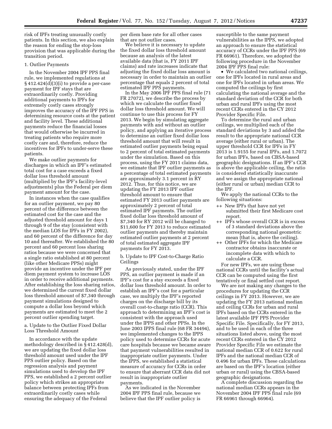risk of IPFs treating unusually costly patients. In this section, we also explain the reason for ending the stop-loss provision that was applicable during the transition period.

#### 1. Outlier Payments

In the November 2004 IPF PPS final rule, we implemented regulations at § 412.424(d)(3)(i) to provide a per-case payment for IPF stays that are extraordinarily costly. Providing additional payments to IPFs for extremely costly cases strongly improves the accuracy of the IPF PPS in determining resource costs at the patient and facility level. These additional payments reduce the financial losses that would otherwise be incurred in treating patients who require more costly care and, therefore, reduce the incentives for IPFs to under-serve these patients.

We make outlier payments for discharges in which an IPF's estimated total cost for a case exceeds a fixed dollar loss threshold amount (multiplied by the IPF's facility-level adjustments) plus the Federal per diem payment amount for the case.

In instances when the case qualifies for an outlier payment, we pay 80 percent of the difference between the estimated cost for the case and the adjusted threshold amount for days 1 through 9 of the stay (consistent with the median LOS for IPFs in FY 2002), and 60 percent of the difference for day 10 and thereafter. We established the 80 percent and 60 percent loss sharing ratios because we were concerned that a single ratio established at 80 percent (like other Medicare PPSs) might provide an incentive under the IPF per diem payment system to increase LOS in order to receive additional payments. After establishing the loss sharing ratios, we determined the current fixed dollar loss threshold amount of \$7,340 through payment simulations designed to compute a dollar loss beyond which payments are estimated to meet the 2 percent outlier spending target.

a. Update to the Outlier Fixed Dollar Loss Threshold Amount

In accordance with the update methodology described in § 412.428(d), we are updating the fixed dollar loss threshold amount used under the IPF PPS outlier policy. Based on the regression analysis and payment simulations used to develop the IPF PPS, we established a 2 percent outlier policy which strikes an appropriate balance between protecting IPFs from extraordinarily costly cases while ensuring the adequacy of the Federal

per diem base rate for all other cases that are not outlier cases.

We believe it is necessary to update the fixed dollar loss threshold amount because an analysis of the latest available data (that is, FY 2011 IPF claims) and rate increases indicate that adjusting the fixed dollar loss amount is necessary in order to maintain an outlier percentage that equals 2 percent of total estimated IPF PPS payments.

In the May 2006 IPF PPS final rule (71 FR 27072), we describe the process by which we calculate the outlier fixed dollar loss threshold amount. We will continue to use this process for FY 2013. We begin by simulating aggregate payments with and without an outlier policy, and applying an iterative process to determine an outlier fixed dollar loss threshold amount that will result in estimated outlier payments being equal to 2 percent of total estimated payments under the simulation. Based on this process, using the FY 2011 claims data, we estimate that IPF outlier payments as a percentage of total estimated payments are approximately 3.1 percent in RY 2012. Thus, for this notice, we are updating the FY 2013 IPF outlier threshold amount to ensure that estimated FY 2013 outlier payments are approximately 2 percent of total estimated IPF payments. The outlier fixed dollar loss threshold amount of \$7,340 for RY 2012 will be changed to \$11,600 for FY 2013 to reduce estimated outlier payments and thereby maintain estimated outlier payments at 2 percent of total estimated aggregate IPF payments for FY 2013.

b. Update to IPF Cost-to-Charge Ratio Ceilings

As previously stated, under the IPF PPS, an outlier payment is made if an IPF's cost for a stay exceeds a fixed dollar loss threshold amount. In order to establish an IPF's cost for a particular case, we multiply the IPF's reported charges on the discharge bill by its overall cost-to-charge ratio (CCR). This approach to determining an IPF's cost is consistent with the approach used under the IPPS and other PPSs. In the June 2003 IPPS final rule (68 FR 34494), we implemented changes to the IPPS policy used to determine CCRs for acute care hospitals because we became aware that payment vulnerabilities resulted in inappropriate outlier payments. Under the IPPS, we established a statistical measure of accuracy for CCRs in order to ensure that aberrant CCR data did not result in inappropriate outlier payments.

As we indicated in the November 2004 IPF PPS final rule, because we believe that the IPF outlier policy is susceptible to the same payment vulnerabilities as the IPPS, we adopted an approach to ensure the statistical accuracy of CCRs under the IPF PPS (69 FR 66961). Therefore, we adopted the following procedure in the November 2004 IPF PPS final rule:

• We calculated two national ceilings, one for IPFs located in rural areas and one for IPFs located in urban areas. We computed the ceilings by first calculating the national average and the standard deviation of the CCR for both urban and rural IPFs using the most recent CCRs entered in the CY 2012 Provider Specific File.

To determine the rural and urban ceilings, we multiplied each of the standard deviations by 3 and added the result to the appropriate national CCR average (either rural or urban). The upper threshold CCR for IPFs in FY 2013 is 1.9155 for rural IPFs, and 1.7072 for urban IPFs, based on CBSA-based geographic designations. If an IPF's CCR is above the applicable ceiling, the ratio is considered statistically inaccurate and we assign the appropriate national (either rural or urban) median CCR to the IPF.

We apply the national CCRs to the following situations:

- ++ New IPFs that have not yet submitted their first Medicare cost report.
- ++ IPFs whose overall CCR is in excess of 3 standard deviations above the corresponding national geometric mean (that is, above the ceiling).
- ++ Other IPFs for which the Medicare contractor obtains inaccurate or incomplete data with which to calculate a CCR.

For new IPFs, we are using these national CCRs until the facility's actual CCR can be computed using the first tentatively or final settled cost report.

We are not making any changes to the procedures for updating the CCR ceilings in FY 2013. However, we are updating the FY 2013 national median and ceiling CCRs for urban and rural IPFs based on the CCRs entered in the latest available IPF PPS Provider Specific File. Specifically, for FY 2013, and to be used in each of the three situations listed above, using the most recent CCRs entered in the CY 2012 Provider Specific File we estimate the national median CCR of 0.622 for rural IPFs and the national median CCR of 0.496 for urban IPFs. These calculations are based on the IPF's location (either urban or rural) using the CBSA-based geographic designations.

A complete discussion regarding the national median CCRs appears in the November 2004 IPF PPS final rule (69 FR 66961 through 66964).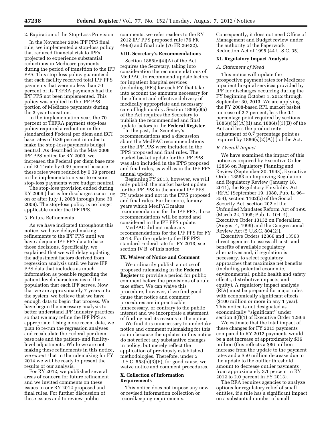#### 2. Expiration of the Stop-Loss Provision

In the November 2004 IPF PPS final rule, we implemented a stop-loss policy that reduced financial risk to IPFs projected to experience substantial reductions in Medicare payments during the period of transition to the IPF PPS. This stop-loss policy guaranteed that each facility received total IPF PPS payments that were no less than 70 percent of its TEFRA payments had the IPF PPS not been implemented. This policy was applied to the IPF PPS portion of Medicare payments during the 3-year transition.

In the implementation year, the 70 percent of TEFRA payment stop-loss policy required a reduction in the standardized Federal per diem and ECT base rates of 0.39 percent in order to make the stop-loss payments budget neutral. As described in the May 2008 IPF PPS notice for RY 2009, we increased the Federal per diem base rate and ECT rate by 0.39 percent because these rates were reduced by 0.39 percent in the implementation year to ensure stop-loss payments were budget neutral.

The stop-loss provision ended during RY 2009 (that is for discharges occurring on or after July 1, 2008 through June 30, 2009). The stop-loss policy is no longer applicable under the IPF PPS.

#### 3. Future Refinements

As we have indicated throughout this notice, we have delayed making refinements to the IPF PPS until we have adequate IPF PPS data to base those decisions. Specifically, we explained that we will delay updating the adjustment factors derived from regression analysis until we have IPF PPS data that includes as much information as possible regarding the patient-level characteristics of the population that each IPF serves. Now that we are approximately 7 years into the system, we believe that we have enough data to begin that process. We have begun the necessary analysis to better understand IPF industry practices so that we may refine the IPF PPS as appropriate. Using more recent data, we plan to re-run the regression analyses and recalculate the Federal per diem base rate and the patient- and facilitylevel adjustments. While we are not making these refinements in this notice, we expect that in the rulemaking for FY 2014 we will be ready to present the results of our analysis.

For RY 2012, we published several areas of concern for future refinement and we invited comments on these issues in our RY 2012 proposed and final rules. For further discussion of these issues and to review public

comments, we refer readers to the RY 2012 IPF PPS proposed rule (76 FR 4998) and final rule (76 FR 26432).

#### **VIII. Secretary's Recommendations**

Section 1886(e)(4)(A) of the Act requires the Secretary, taking into consideration the recommendations of MedPAC, to recommend update factors for inpatient hospital services (including IPFs) for each FY that take into account the amounts necessary for the efficient and effective delivery of medically appropriate and necessary care of high quality. Section 1886(e)(5) of the Act requires the Secretary to publish the recommended and final update factors in the **Federal Register**.

In the past, the Secretary's recommendations and a discussion about the MedPAC recommendations for the IPF PPS were included in the IPPS proposed and final rules. The market basket update for the IPF PPS was also included in the IPPS proposed and final rules, as well as in the IPF PPS annual update.

Beginning FY 2013, however, we will only publish the market basket update for the IPF PPS in the annual IPF PPS FY update and not in the IPPS proposed and final rules. Furthermore, for any years which MedPAC makes recommendations for the IPF PPS, those recommendations will be noted and considered in the IPF PPS update.

MedPAC did not make any recommendations for the IPF PPS for FY 2013. For the update to the IPF PPS standard Federal rate for FY 2013, see section IV B. of this notice.

#### **IX. Waiver of Notice and Comment**

We ordinarily publish a notice of proposed rulemaking in the **Federal Register** to provide a period for public comment before the provisions of a rule take effect. We can waive this procedure, however, if we find good cause that notice and comment procedures are impracticable, unnecessary, or contrary to the public interest and we incorporate a statement of finding and its reasons in the notice.

We find it is unnecessary to undertake notice and comment rulemaking for this action because the updates in this notice do not reflect any substantive changes in policy, but merely reflect the application of previously established methodologies. Therefore, under 5 U.S.C.  $553(b)(3)(B)$ , for good cause, we waive notice and comment procedures.

#### **X. Collection of Information Requirements**

This notice does not impose any new or revised information collection or recordkeeping requirements.

Consequently, it does not need Office of Management and Budget review under the authority of the Paperwork Reduction Act of 1995 (44 U.S.C. 35).

#### **XI. Regulatory Impact Analysis**

#### *A. Statement of Need*

This notice will update the prospective payment rates for Medicare inpatient hospital services provided by IPF for discharges occurring during the FY beginning October 1, 2012 through September 30, 2013. We are applying the FY 2008-based RPL market basket increase of 2.7 percent, less the 0.1 percentage point required by sections 1886(s)(2)(A)(ii) and 1886(s)(3)(B) of the Act and less the productivity adjustment of 0.7 percentage point as required by  $1886(s)(2)(A)(i)$  of the Act.

#### *B. Overall Impact*

We have examined the impact of this notice as required by Executive Order 12866 on Regulatory Planning and Review (September 30, 1993), Executive Order 13563 on Improving Regulation and Regulatory Review (January 18, 2011), the Regulatory Flexibility Act (RFA) (September 19, 1980, Pub. L. 96– 354), section 1102(b) of the Social Security Act, section 202 of the Unfunded Mandates Reform Act of 1995 (March 22, 1995; Pub. L. 104–4), Executive Order 13132 on Federalism (August 4, 1999) and the Congressional Review Act (5 U.S.C. 804(2)).

Executive Orders 12866 and 13563 direct agencies to assess all costs and benefits of available regulatory alternatives and, if regulation is necessary, to select regulatory approaches that maximize net benefits (including potential economic, environmental, public health and safety effects, distributive impacts, and equity). A regulatory impact analysis (RIA) must be prepared for major rules with economically significant effects (\$100 million or more in any 1 year). This notice is not designated as economically ''significant'' under section 3(f)(1) of Executive Order 12866.

We estimate that the total impact of these changes for FY 2013 payments compared to RY 2012 payments would be a net increase of approximately \$36 million (this reflects a \$86 million increase from the update to the payment rates and a \$50 million decrease due to the update to the outlier threshold amount to decrease outlier payments from approximately 3.1 percent in RY 2012 to 2.0 percent in FY 2013).

The RFA requires agencies to analyze options for regulatory relief of small entities, if a rule has a significant impact on a substantial number of small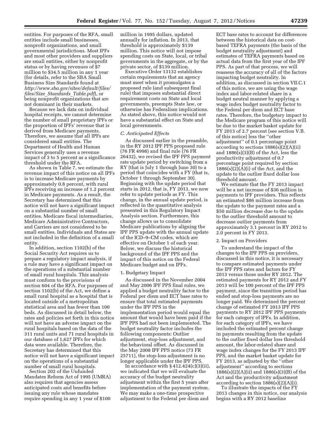entities. For purposes of the RFA, small entities include small businesses, nonprofit organizations, and small governmental jurisdictions. Most IPFs and most other providers and suppliers are small entities, either by nonprofit status or by having revenues of \$7 million to \$34.5 million in any 1 year (for details, refer to the SBA Small Business Size Standards found at *[http://www.sba.gov/sites/default/files/](http://www.sba.gov/sites/default/files/files/Size_Standards_Table.pdf)  files/Size*\_*[Standards](http://www.sba.gov/sites/default/files/files/Size_Standards_Table.pdf)*\_*Table.pdf*), or being nonprofit organizations that are not dominant in their markets.

Because we lack data on individual hospital receipts, we cannot determine the number of small proprietary IPFs or the proportion of IPFs' revenue that is derived from Medicare payments. Therefore, we assume that all IPFs are considered small entities. The Department of Health and Human Services generally uses a revenue impact of 3 to 5 percent as a significance threshold under the RFA.

As shown in Table 7, we estimate the revenue impact of this notice on all IPFs is to increase Medicare payments by approximately 0.8 percent, with rural IPFs receiving an increase of 1.2 percent in Medicare payments. As a result, the Secretary has determined that this notice will not have a significant impact on a substantial number of small entities. Medicare fiscal intermediaries, Medicare Administrative Contractors, and Carriers are not considered to be small entities. Individuals and States are not included in the definition of a small entity.

In addition, section 1102(b) of the Social Security Act requires us to prepare a regulatory impact analysis, if a rule may have a significant impact on the operations of a substantial number of small rural hospitals. This analysis must conform to the provisions of section 604 of the RFA. For purposes of section 1102(b) of the Act, we define a small rural hospital as a hospital that is located outside of a metropolitan statistical area and has fewer than 100 beds. As discussed in detail below, the rates and policies set forth in this notice will not have an adverse impact on the rural hospitals based on the data of the 311 rural units and 71 rural hospitals in our database of 1,627 IPFs for which data were available. Therefore, the Secretary has determined that this notice will not have a significant impact on the operations of a substantial number of small rural hospitals.

Section 202 of the Unfunded Mandates Reform Act of 1995 (UMRA) also requires that agencies assess anticipated costs and benefits before issuing any rule whose mandates require spending in any 1 year of \$100

million in 1995 dollars, updated annually for inflation. In 2013, that threshold is approximately \$139 million. This notice will not impose spending costs on State, local, or tribal governments in the aggregate, or by the private sector, of \$139 million.

Executive Order 13132 establishes certain requirements that an agency must meet when it promulgates a proposed rule (and subsequent final rule) that imposes substantial direct requirement costs on State and local governments, preempts State law, or otherwise has Federalism implications. As stated above, this notice would not have a substantial effect on State and local governments.

#### *C. Anticipated Effects*

As discussed earlier in the preamble, in the RY 2012 IPF PPS proposed rule (76 FR 4998) and final rule (76 FR 26432), we revised the IPF PPS payment rate update period by switching from a RY (that is July 1 through June 30) to a period that coincides with a FY (that is, October 1 through September 30). Beginning with the update period that starts in 2012, that is, FY 2013, we now refer to update periods as FY. This change, in the annual update period, is reflected in the quantitative analysis presented in this Regulatory Impact Analysis section. Furthermore, this change allows us to consolidate Medicare publications by aligning the IPF PPS update with the annual update of the ICD–9–CM codes, which are effective on October 1 of each year. Below, we discuss the historical background of the IPF PPS and the impact of this notice on the Federal Medicare budget and on IPFs.

#### 1. Budgetary Impact

As discussed in the November 2004 and May 2006 IPF PPS final rules, we applied a budget neutrality factor to the Federal per diem and ECT base rates to ensure that total estimated payments under the IPF PPS in the implementation period would equal the amount that would have been paid if the IPF PPS had not been implemented. The budget neutrality factor includes the following components: Outlier adjustment, stop-loss adjustment, and the behavioral offset. As discussed in the May 2008 IPF PPS notice (73 FR 25711), the stop-loss adjustment is no longer applicable under the IPF PPS.

In accordance with  $§$  412.424(c)(3)(ii), we indicated that we will evaluate the accuracy of the budget neutrality adjustment within the first 5 years after implementation of the payment system. We may make a one-time prospective adjustment to the Federal per diem and

ECT base rates to account for differences between the historical data on costbased TEFRA payments (the basis of the budget neutrality adjustment) and estimates of TEFRA payments based on actual data from the first year of the IPF PPS. As part of that process, we will reassess the accuracy of all of the factors impacting budget neutrality. In addition, as discussed in section VII.C.1 of this notice, we are using the wage index and labor-related share in a budget neutral manner by applying a wage index budget neutrality factor to the Federal per diem and ECT base rates. Therefore, the budgetary impact to the Medicare program of this notice will be due to the market basket update for FY 2013 of 2.7 percent (see section V.B. of this notice) less the ''other adjustment'' of 0.1 percentage point according to sections 1886(s)(2)(A)(ii) and 1886(s)(3)(B) of the Act, less the productivity adjustment of 0.7 percentage point required by section  $1886(s)(2)(A)(i)$  of the Act, and the update to the outlier fixed dollar loss threshold amount.

We estimate that the FY 2013 impact will be a net increase of \$36 million in payments to IPF providers. This reflects an estimated \$86 million increase from the update to the payment rates and a \$50 million decrease due to the update to the outlier threshold amount to decrease outlier payments from approximately 3.1 percent in RY 2012 to 2.0 percent in FY 2013.

#### 2. Impact on Providers

To understand the impact of the changes to the IPF PPS on providers, discussed in this notice, it is necessary to compare estimated payments under the IPF PPS rates and factors for FY 2013 versus those under RY 2012. The estimated payments for RY 2012 and FY 2013 will be 100 percent of the IPF PPS payment, since the transition period has ended and stop-loss payments are no longer paid. We determined the percent change of estimated FY 2013 IPF PPS payments to RY 2012 IPF PPS payments for each category of IPFs. In addition, for each category of IPFs, we have included the estimated percent change in payments resulting from the update to the outlier fixed dollar loss threshold amount, the labor-related share and wage index changes for the FY 2013 IPF PPS, and the market basket update for FY 2013, as adjusted by the ''other adjustment'' according to sections 1886(s)(2)(A)(ii) and 1886(s)(3)(B) of the Act and the productivity adjustment according to section  $1886(s)(2)(A)(i)$ .

To illustrate the impacts of the FY 2013 changes in this notice, our analysis begins with a RY 2012 baseline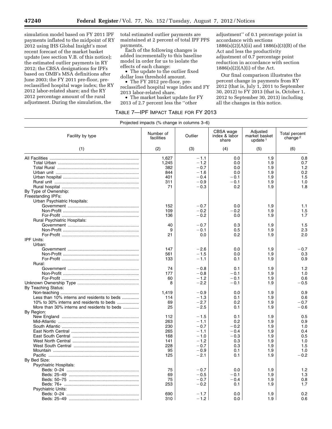simulation model based on FY 2011 IPF payments inflated to the midpoint of RY 2012 using IHS Global Insight's most recent forecast of the market basket update (see section V.B. of this notice); the estimated outlier payments in RY 2012; the CBSA designations for IPFs based on OMB's MSA definitions after June 2003; the FY 2011 pre-floor, prereclassified hospital wage index; the RY 2012 labor-related share; and the RY 2012 percentage amount of the rural adjustment. During the simulation, the

total estimated outlier payments are maintained at 2 percent of total IPF PPS payments.

Each of the following changes is added incrementally to this baseline model in order for us to isolate the effects of each change:

• The update to the outlier fixed dollar loss threshold amount.

• The FY 2012 pre-floor, prereclassified hospital wage index and FY

2013 labor-related share. • The market basket update for FY

2013 of 2.7 percent less the ''other

adjustment'' of 0.1 percentage point in accordance with sections 1886(s)(2)(A)(ii) and 1886(s)(3)(B) of the Act and less the productivity adjustment of 0.7 percentage point reduction in accordance with section 1886(s)(2)(A)(i) of the Act.

Our final comparison illustrates the percent change in payments from RY 2012 (that is, July 1, 2011 to September 30, 2012) to FY 2013 (that is, October 1, 2012 to September 30, 2013) including all the changes in this notice.

#### TABLE 7—IPF IMPACT TABLE FOR FY 2013

| CBSA wage<br>Adjusted<br>Number of<br>Total percent<br>Outlier<br>index & labor<br>market basket<br>Facility by type<br>facilities<br>change <sup>2</sup><br>share<br>update $1$<br>(1)<br>(2)<br>(3)<br>(4)<br>(5)<br>(6)<br>1,627<br>$-1.1$<br>0.0<br>1.9<br>0.8<br>0.7<br>1,245<br>$-1.2$<br>0.0<br>1.9<br>1.2<br>$-0.7$<br>382<br>0.0<br>1.9<br>0.2<br>844<br>$-1.6$<br>0.0<br>1.9<br>1.5<br>401<br>$-0.4$<br>$-0.1$<br>1.9<br>1.0<br>311<br>$-0.9$<br>$-0.1$<br>1.9<br>71<br>$-0.3$<br>0.2<br>1.9<br>1.8<br>By Type of Ownership:<br>Freestanding IPFs:<br>Urban Psychiatric Hospitals:<br>152<br>$-0.7$<br>0.0<br>1.9<br>1.1<br>109<br>$-0.2$<br>1.5<br>$-0.2$<br>1.9<br>136<br>$-0.2$<br>0.0<br>1.7<br>1.9<br><b>Rural Psychiatric Hospitals:</b><br>1.5<br>40<br>$-0.7$<br>0.3<br>1.9<br>$-0.1$<br>0.5<br>2.3<br>9<br>1.9<br>2.0<br>21<br>0.0<br>0.2<br>1.9<br><b>IPF Units:</b><br>Urban:<br>147<br>$-2.6$<br>0.0<br>1.9<br>$-0.7$<br>561<br>$-1.5$<br>1.9<br>0.3<br>0.0<br>0.9<br>133<br>$-1.1$<br>1.9<br>0.1<br>Rural:<br>74<br>$-0.8$<br>0.1<br>1.9<br>1.2<br>177<br>$-0.8$<br>$-0.1$<br>1.0<br>1.9<br>$-0.1$<br>0.6<br>60<br>$-1.2$<br>1.9<br>$-2.2$<br>$-0.1$<br>1.9<br>$-0.5$<br>8<br>By Teaching Status:<br>1,419<br>$-0.9$<br>0.0<br>1.9<br>0.9<br>Less than 10% interns and residents to beds<br>0.6<br>114<br>$-1.3$<br>0.1<br>1.9<br>$-0.7$<br>10% to 30% interns and residents to beds<br>69<br>$-2.7$<br>0.2<br>1.9<br>$-0.6$<br>More than 30% interns and residents to beds<br>25<br>$-2.5$<br>0.1<br>1.9<br>By Region:<br>0.5<br>112<br>$-1.5$<br>0.1<br>1.9<br>263<br>$-1.1$<br>0.2<br>1.9<br>0.9<br>230<br>$-0.7$<br>$-0.2$<br>1.9<br>1.0<br>$-0.4$<br>0.4<br>265<br>$-1.1$<br>1.9<br>0.5<br>$-0.3$<br>168<br>$-1.0$<br>1.9<br>141<br>$-1.2$<br>1.0<br>0.3<br>1.9<br>1.5<br>228<br>$-0.7$<br>0.3<br>1.9<br>1.0<br>95<br>$-0.9$<br>0.1<br>1.9<br>125<br>1.9<br>$-0.2$<br>$-2.1$<br>0.1<br>By Bed Size:<br>Psychiatric Hospitals:<br>1.2<br>75<br>$-0.7$<br>0.0<br>1.9<br>69<br>$-0.5$<br>$-0.1$<br>1.3<br>1.9<br>75<br>$-0.7$<br>$-0.4$<br>0.8<br>1.9<br>253<br>$-0.2$<br>0.1<br>1.9<br>1.7<br><b>Psychiatric Units:</b><br>690<br>0.2<br>$-1.7$<br>0.0<br>1.9<br>310<br>$-1.2$<br>0.0<br>1.9<br>0.6 | Projected impacts (% change in columns 3–6) |  |  |  |  |  |  |
|-------------------------------------------------------------------------------------------------------------------------------------------------------------------------------------------------------------------------------------------------------------------------------------------------------------------------------------------------------------------------------------------------------------------------------------------------------------------------------------------------------------------------------------------------------------------------------------------------------------------------------------------------------------------------------------------------------------------------------------------------------------------------------------------------------------------------------------------------------------------------------------------------------------------------------------------------------------------------------------------------------------------------------------------------------------------------------------------------------------------------------------------------------------------------------------------------------------------------------------------------------------------------------------------------------------------------------------------------------------------------------------------------------------------------------------------------------------------------------------------------------------------------------------------------------------------------------------------------------------------------------------------------------------------------------------------------------------------------------------------------------------------------------------------------------------------------------------------------------------------------------------------------------------------------------------------------------------------------------------------------------------------------------------------------------------------------------------------------------------------------------------------------------------------------------------------------------------------------------|---------------------------------------------|--|--|--|--|--|--|
|                                                                                                                                                                                                                                                                                                                                                                                                                                                                                                                                                                                                                                                                                                                                                                                                                                                                                                                                                                                                                                                                                                                                                                                                                                                                                                                                                                                                                                                                                                                                                                                                                                                                                                                                                                                                                                                                                                                                                                                                                                                                                                                                                                                                                               |                                             |  |  |  |  |  |  |
|                                                                                                                                                                                                                                                                                                                                                                                                                                                                                                                                                                                                                                                                                                                                                                                                                                                                                                                                                                                                                                                                                                                                                                                                                                                                                                                                                                                                                                                                                                                                                                                                                                                                                                                                                                                                                                                                                                                                                                                                                                                                                                                                                                                                                               |                                             |  |  |  |  |  |  |
|                                                                                                                                                                                                                                                                                                                                                                                                                                                                                                                                                                                                                                                                                                                                                                                                                                                                                                                                                                                                                                                                                                                                                                                                                                                                                                                                                                                                                                                                                                                                                                                                                                                                                                                                                                                                                                                                                                                                                                                                                                                                                                                                                                                                                               |                                             |  |  |  |  |  |  |
|                                                                                                                                                                                                                                                                                                                                                                                                                                                                                                                                                                                                                                                                                                                                                                                                                                                                                                                                                                                                                                                                                                                                                                                                                                                                                                                                                                                                                                                                                                                                                                                                                                                                                                                                                                                                                                                                                                                                                                                                                                                                                                                                                                                                                               |                                             |  |  |  |  |  |  |
|                                                                                                                                                                                                                                                                                                                                                                                                                                                                                                                                                                                                                                                                                                                                                                                                                                                                                                                                                                                                                                                                                                                                                                                                                                                                                                                                                                                                                                                                                                                                                                                                                                                                                                                                                                                                                                                                                                                                                                                                                                                                                                                                                                                                                               |                                             |  |  |  |  |  |  |
|                                                                                                                                                                                                                                                                                                                                                                                                                                                                                                                                                                                                                                                                                                                                                                                                                                                                                                                                                                                                                                                                                                                                                                                                                                                                                                                                                                                                                                                                                                                                                                                                                                                                                                                                                                                                                                                                                                                                                                                                                                                                                                                                                                                                                               |                                             |  |  |  |  |  |  |
|                                                                                                                                                                                                                                                                                                                                                                                                                                                                                                                                                                                                                                                                                                                                                                                                                                                                                                                                                                                                                                                                                                                                                                                                                                                                                                                                                                                                                                                                                                                                                                                                                                                                                                                                                                                                                                                                                                                                                                                                                                                                                                                                                                                                                               |                                             |  |  |  |  |  |  |
|                                                                                                                                                                                                                                                                                                                                                                                                                                                                                                                                                                                                                                                                                                                                                                                                                                                                                                                                                                                                                                                                                                                                                                                                                                                                                                                                                                                                                                                                                                                                                                                                                                                                                                                                                                                                                                                                                                                                                                                                                                                                                                                                                                                                                               |                                             |  |  |  |  |  |  |
|                                                                                                                                                                                                                                                                                                                                                                                                                                                                                                                                                                                                                                                                                                                                                                                                                                                                                                                                                                                                                                                                                                                                                                                                                                                                                                                                                                                                                                                                                                                                                                                                                                                                                                                                                                                                                                                                                                                                                                                                                                                                                                                                                                                                                               |                                             |  |  |  |  |  |  |
|                                                                                                                                                                                                                                                                                                                                                                                                                                                                                                                                                                                                                                                                                                                                                                                                                                                                                                                                                                                                                                                                                                                                                                                                                                                                                                                                                                                                                                                                                                                                                                                                                                                                                                                                                                                                                                                                                                                                                                                                                                                                                                                                                                                                                               |                                             |  |  |  |  |  |  |
|                                                                                                                                                                                                                                                                                                                                                                                                                                                                                                                                                                                                                                                                                                                                                                                                                                                                                                                                                                                                                                                                                                                                                                                                                                                                                                                                                                                                                                                                                                                                                                                                                                                                                                                                                                                                                                                                                                                                                                                                                                                                                                                                                                                                                               |                                             |  |  |  |  |  |  |
|                                                                                                                                                                                                                                                                                                                                                                                                                                                                                                                                                                                                                                                                                                                                                                                                                                                                                                                                                                                                                                                                                                                                                                                                                                                                                                                                                                                                                                                                                                                                                                                                                                                                                                                                                                                                                                                                                                                                                                                                                                                                                                                                                                                                                               |                                             |  |  |  |  |  |  |
|                                                                                                                                                                                                                                                                                                                                                                                                                                                                                                                                                                                                                                                                                                                                                                                                                                                                                                                                                                                                                                                                                                                                                                                                                                                                                                                                                                                                                                                                                                                                                                                                                                                                                                                                                                                                                                                                                                                                                                                                                                                                                                                                                                                                                               |                                             |  |  |  |  |  |  |
|                                                                                                                                                                                                                                                                                                                                                                                                                                                                                                                                                                                                                                                                                                                                                                                                                                                                                                                                                                                                                                                                                                                                                                                                                                                                                                                                                                                                                                                                                                                                                                                                                                                                                                                                                                                                                                                                                                                                                                                                                                                                                                                                                                                                                               |                                             |  |  |  |  |  |  |
|                                                                                                                                                                                                                                                                                                                                                                                                                                                                                                                                                                                                                                                                                                                                                                                                                                                                                                                                                                                                                                                                                                                                                                                                                                                                                                                                                                                                                                                                                                                                                                                                                                                                                                                                                                                                                                                                                                                                                                                                                                                                                                                                                                                                                               |                                             |  |  |  |  |  |  |
|                                                                                                                                                                                                                                                                                                                                                                                                                                                                                                                                                                                                                                                                                                                                                                                                                                                                                                                                                                                                                                                                                                                                                                                                                                                                                                                                                                                                                                                                                                                                                                                                                                                                                                                                                                                                                                                                                                                                                                                                                                                                                                                                                                                                                               |                                             |  |  |  |  |  |  |
|                                                                                                                                                                                                                                                                                                                                                                                                                                                                                                                                                                                                                                                                                                                                                                                                                                                                                                                                                                                                                                                                                                                                                                                                                                                                                                                                                                                                                                                                                                                                                                                                                                                                                                                                                                                                                                                                                                                                                                                                                                                                                                                                                                                                                               |                                             |  |  |  |  |  |  |
|                                                                                                                                                                                                                                                                                                                                                                                                                                                                                                                                                                                                                                                                                                                                                                                                                                                                                                                                                                                                                                                                                                                                                                                                                                                                                                                                                                                                                                                                                                                                                                                                                                                                                                                                                                                                                                                                                                                                                                                                                                                                                                                                                                                                                               |                                             |  |  |  |  |  |  |
|                                                                                                                                                                                                                                                                                                                                                                                                                                                                                                                                                                                                                                                                                                                                                                                                                                                                                                                                                                                                                                                                                                                                                                                                                                                                                                                                                                                                                                                                                                                                                                                                                                                                                                                                                                                                                                                                                                                                                                                                                                                                                                                                                                                                                               |                                             |  |  |  |  |  |  |
|                                                                                                                                                                                                                                                                                                                                                                                                                                                                                                                                                                                                                                                                                                                                                                                                                                                                                                                                                                                                                                                                                                                                                                                                                                                                                                                                                                                                                                                                                                                                                                                                                                                                                                                                                                                                                                                                                                                                                                                                                                                                                                                                                                                                                               |                                             |  |  |  |  |  |  |
|                                                                                                                                                                                                                                                                                                                                                                                                                                                                                                                                                                                                                                                                                                                                                                                                                                                                                                                                                                                                                                                                                                                                                                                                                                                                                                                                                                                                                                                                                                                                                                                                                                                                                                                                                                                                                                                                                                                                                                                                                                                                                                                                                                                                                               |                                             |  |  |  |  |  |  |
|                                                                                                                                                                                                                                                                                                                                                                                                                                                                                                                                                                                                                                                                                                                                                                                                                                                                                                                                                                                                                                                                                                                                                                                                                                                                                                                                                                                                                                                                                                                                                                                                                                                                                                                                                                                                                                                                                                                                                                                                                                                                                                                                                                                                                               |                                             |  |  |  |  |  |  |
|                                                                                                                                                                                                                                                                                                                                                                                                                                                                                                                                                                                                                                                                                                                                                                                                                                                                                                                                                                                                                                                                                                                                                                                                                                                                                                                                                                                                                                                                                                                                                                                                                                                                                                                                                                                                                                                                                                                                                                                                                                                                                                                                                                                                                               |                                             |  |  |  |  |  |  |
|                                                                                                                                                                                                                                                                                                                                                                                                                                                                                                                                                                                                                                                                                                                                                                                                                                                                                                                                                                                                                                                                                                                                                                                                                                                                                                                                                                                                                                                                                                                                                                                                                                                                                                                                                                                                                                                                                                                                                                                                                                                                                                                                                                                                                               |                                             |  |  |  |  |  |  |
|                                                                                                                                                                                                                                                                                                                                                                                                                                                                                                                                                                                                                                                                                                                                                                                                                                                                                                                                                                                                                                                                                                                                                                                                                                                                                                                                                                                                                                                                                                                                                                                                                                                                                                                                                                                                                                                                                                                                                                                                                                                                                                                                                                                                                               |                                             |  |  |  |  |  |  |
|                                                                                                                                                                                                                                                                                                                                                                                                                                                                                                                                                                                                                                                                                                                                                                                                                                                                                                                                                                                                                                                                                                                                                                                                                                                                                                                                                                                                                                                                                                                                                                                                                                                                                                                                                                                                                                                                                                                                                                                                                                                                                                                                                                                                                               |                                             |  |  |  |  |  |  |
|                                                                                                                                                                                                                                                                                                                                                                                                                                                                                                                                                                                                                                                                                                                                                                                                                                                                                                                                                                                                                                                                                                                                                                                                                                                                                                                                                                                                                                                                                                                                                                                                                                                                                                                                                                                                                                                                                                                                                                                                                                                                                                                                                                                                                               |                                             |  |  |  |  |  |  |
|                                                                                                                                                                                                                                                                                                                                                                                                                                                                                                                                                                                                                                                                                                                                                                                                                                                                                                                                                                                                                                                                                                                                                                                                                                                                                                                                                                                                                                                                                                                                                                                                                                                                                                                                                                                                                                                                                                                                                                                                                                                                                                                                                                                                                               |                                             |  |  |  |  |  |  |
|                                                                                                                                                                                                                                                                                                                                                                                                                                                                                                                                                                                                                                                                                                                                                                                                                                                                                                                                                                                                                                                                                                                                                                                                                                                                                                                                                                                                                                                                                                                                                                                                                                                                                                                                                                                                                                                                                                                                                                                                                                                                                                                                                                                                                               |                                             |  |  |  |  |  |  |
|                                                                                                                                                                                                                                                                                                                                                                                                                                                                                                                                                                                                                                                                                                                                                                                                                                                                                                                                                                                                                                                                                                                                                                                                                                                                                                                                                                                                                                                                                                                                                                                                                                                                                                                                                                                                                                                                                                                                                                                                                                                                                                                                                                                                                               |                                             |  |  |  |  |  |  |
|                                                                                                                                                                                                                                                                                                                                                                                                                                                                                                                                                                                                                                                                                                                                                                                                                                                                                                                                                                                                                                                                                                                                                                                                                                                                                                                                                                                                                                                                                                                                                                                                                                                                                                                                                                                                                                                                                                                                                                                                                                                                                                                                                                                                                               |                                             |  |  |  |  |  |  |
|                                                                                                                                                                                                                                                                                                                                                                                                                                                                                                                                                                                                                                                                                                                                                                                                                                                                                                                                                                                                                                                                                                                                                                                                                                                                                                                                                                                                                                                                                                                                                                                                                                                                                                                                                                                                                                                                                                                                                                                                                                                                                                                                                                                                                               |                                             |  |  |  |  |  |  |
|                                                                                                                                                                                                                                                                                                                                                                                                                                                                                                                                                                                                                                                                                                                                                                                                                                                                                                                                                                                                                                                                                                                                                                                                                                                                                                                                                                                                                                                                                                                                                                                                                                                                                                                                                                                                                                                                                                                                                                                                                                                                                                                                                                                                                               |                                             |  |  |  |  |  |  |
|                                                                                                                                                                                                                                                                                                                                                                                                                                                                                                                                                                                                                                                                                                                                                                                                                                                                                                                                                                                                                                                                                                                                                                                                                                                                                                                                                                                                                                                                                                                                                                                                                                                                                                                                                                                                                                                                                                                                                                                                                                                                                                                                                                                                                               |                                             |  |  |  |  |  |  |
|                                                                                                                                                                                                                                                                                                                                                                                                                                                                                                                                                                                                                                                                                                                                                                                                                                                                                                                                                                                                                                                                                                                                                                                                                                                                                                                                                                                                                                                                                                                                                                                                                                                                                                                                                                                                                                                                                                                                                                                                                                                                                                                                                                                                                               |                                             |  |  |  |  |  |  |
|                                                                                                                                                                                                                                                                                                                                                                                                                                                                                                                                                                                                                                                                                                                                                                                                                                                                                                                                                                                                                                                                                                                                                                                                                                                                                                                                                                                                                                                                                                                                                                                                                                                                                                                                                                                                                                                                                                                                                                                                                                                                                                                                                                                                                               |                                             |  |  |  |  |  |  |
|                                                                                                                                                                                                                                                                                                                                                                                                                                                                                                                                                                                                                                                                                                                                                                                                                                                                                                                                                                                                                                                                                                                                                                                                                                                                                                                                                                                                                                                                                                                                                                                                                                                                                                                                                                                                                                                                                                                                                                                                                                                                                                                                                                                                                               |                                             |  |  |  |  |  |  |
|                                                                                                                                                                                                                                                                                                                                                                                                                                                                                                                                                                                                                                                                                                                                                                                                                                                                                                                                                                                                                                                                                                                                                                                                                                                                                                                                                                                                                                                                                                                                                                                                                                                                                                                                                                                                                                                                                                                                                                                                                                                                                                                                                                                                                               |                                             |  |  |  |  |  |  |
|                                                                                                                                                                                                                                                                                                                                                                                                                                                                                                                                                                                                                                                                                                                                                                                                                                                                                                                                                                                                                                                                                                                                                                                                                                                                                                                                                                                                                                                                                                                                                                                                                                                                                                                                                                                                                                                                                                                                                                                                                                                                                                                                                                                                                               |                                             |  |  |  |  |  |  |
|                                                                                                                                                                                                                                                                                                                                                                                                                                                                                                                                                                                                                                                                                                                                                                                                                                                                                                                                                                                                                                                                                                                                                                                                                                                                                                                                                                                                                                                                                                                                                                                                                                                                                                                                                                                                                                                                                                                                                                                                                                                                                                                                                                                                                               |                                             |  |  |  |  |  |  |
|                                                                                                                                                                                                                                                                                                                                                                                                                                                                                                                                                                                                                                                                                                                                                                                                                                                                                                                                                                                                                                                                                                                                                                                                                                                                                                                                                                                                                                                                                                                                                                                                                                                                                                                                                                                                                                                                                                                                                                                                                                                                                                                                                                                                                               |                                             |  |  |  |  |  |  |
|                                                                                                                                                                                                                                                                                                                                                                                                                                                                                                                                                                                                                                                                                                                                                                                                                                                                                                                                                                                                                                                                                                                                                                                                                                                                                                                                                                                                                                                                                                                                                                                                                                                                                                                                                                                                                                                                                                                                                                                                                                                                                                                                                                                                                               |                                             |  |  |  |  |  |  |
|                                                                                                                                                                                                                                                                                                                                                                                                                                                                                                                                                                                                                                                                                                                                                                                                                                                                                                                                                                                                                                                                                                                                                                                                                                                                                                                                                                                                                                                                                                                                                                                                                                                                                                                                                                                                                                                                                                                                                                                                                                                                                                                                                                                                                               |                                             |  |  |  |  |  |  |
|                                                                                                                                                                                                                                                                                                                                                                                                                                                                                                                                                                                                                                                                                                                                                                                                                                                                                                                                                                                                                                                                                                                                                                                                                                                                                                                                                                                                                                                                                                                                                                                                                                                                                                                                                                                                                                                                                                                                                                                                                                                                                                                                                                                                                               |                                             |  |  |  |  |  |  |
|                                                                                                                                                                                                                                                                                                                                                                                                                                                                                                                                                                                                                                                                                                                                                                                                                                                                                                                                                                                                                                                                                                                                                                                                                                                                                                                                                                                                                                                                                                                                                                                                                                                                                                                                                                                                                                                                                                                                                                                                                                                                                                                                                                                                                               |                                             |  |  |  |  |  |  |
|                                                                                                                                                                                                                                                                                                                                                                                                                                                                                                                                                                                                                                                                                                                                                                                                                                                                                                                                                                                                                                                                                                                                                                                                                                                                                                                                                                                                                                                                                                                                                                                                                                                                                                                                                                                                                                                                                                                                                                                                                                                                                                                                                                                                                               |                                             |  |  |  |  |  |  |
|                                                                                                                                                                                                                                                                                                                                                                                                                                                                                                                                                                                                                                                                                                                                                                                                                                                                                                                                                                                                                                                                                                                                                                                                                                                                                                                                                                                                                                                                                                                                                                                                                                                                                                                                                                                                                                                                                                                                                                                                                                                                                                                                                                                                                               |                                             |  |  |  |  |  |  |
|                                                                                                                                                                                                                                                                                                                                                                                                                                                                                                                                                                                                                                                                                                                                                                                                                                                                                                                                                                                                                                                                                                                                                                                                                                                                                                                                                                                                                                                                                                                                                                                                                                                                                                                                                                                                                                                                                                                                                                                                                                                                                                                                                                                                                               |                                             |  |  |  |  |  |  |
|                                                                                                                                                                                                                                                                                                                                                                                                                                                                                                                                                                                                                                                                                                                                                                                                                                                                                                                                                                                                                                                                                                                                                                                                                                                                                                                                                                                                                                                                                                                                                                                                                                                                                                                                                                                                                                                                                                                                                                                                                                                                                                                                                                                                                               |                                             |  |  |  |  |  |  |
|                                                                                                                                                                                                                                                                                                                                                                                                                                                                                                                                                                                                                                                                                                                                                                                                                                                                                                                                                                                                                                                                                                                                                                                                                                                                                                                                                                                                                                                                                                                                                                                                                                                                                                                                                                                                                                                                                                                                                                                                                                                                                                                                                                                                                               |                                             |  |  |  |  |  |  |
|                                                                                                                                                                                                                                                                                                                                                                                                                                                                                                                                                                                                                                                                                                                                                                                                                                                                                                                                                                                                                                                                                                                                                                                                                                                                                                                                                                                                                                                                                                                                                                                                                                                                                                                                                                                                                                                                                                                                                                                                                                                                                                                                                                                                                               |                                             |  |  |  |  |  |  |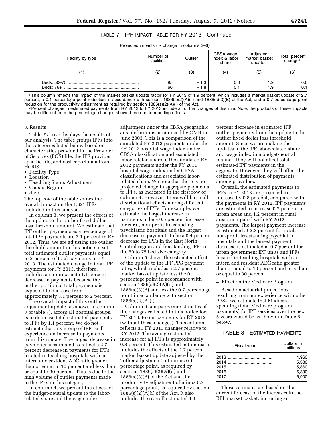| TABLE 7-IPF IMPACT TABLE FOR FY 2013-Continued |
|------------------------------------------------|
|------------------------------------------------|

| Projected impacts (% change in columns 3–6) |                         |                  |                                     |                                         |                                      |
|---------------------------------------------|-------------------------|------------------|-------------------------------------|-----------------------------------------|--------------------------------------|
| Facility by type                            | Number of<br>facilities | Outlier          | CBSA wage<br>index & labor<br>share | Adjusted<br>market basket<br>update $1$ | Total percent<br>change <sup>2</sup> |
| 1)                                          | (2)                     | (3)              | (4)                                 | (5)                                     | (6)                                  |
| Beds: 76+                                   | 95<br>60                | $-1.3$<br>$-1.8$ | 0.0<br>0.1                          | 1.9<br>1.9                              | 0.6<br>0.1                           |

1This column reflects the impact of the market basket update factor for FY 2013 of 1.9 percent, which includes a market basket update of 2.7 percent, a 0.1 percentage point reduction in accordance with sections 1886(s)(2)(A)(ii) and 1886(s)(3)(B) of the Act, and a 0.7 percentage point<br>reduction for the productivity adjustment as required by section 1886(s)(2)(A

<sup>2</sup> Percent changes in estimated payments from RY 2012 to FY 2013 include all of the changes of this rule. Note, the products of these impacts may be different from the percentage changes shown here due to rounding effects.

#### 3. Results

Table 7 above displays the results of our analysis. The table groups IPFs into the categories listed below based on characteristics provided in the Provider of Services (POS) file, the IPF provider specific file, and cost report data from HCRIS:

- Facility Type
- Location
- Teaching Status Adjustment
- Census Region
- Size

The top row of the table shows the overall impact on the 1,627 IPFs included in this analysis.

In column 3, we present the effects of the update to the outlier fixed dollar loss threshold amount. We estimate that IPF outlier payments as a percentage of total IPF payments are 3.1 percent in RY 2012. Thus, we are adjusting the outlier threshold amount in this notice to set total estimated outlier payments equal to 2 percent of total payments in FY 2013. The estimated change in total IPF payments for FY 2013, therefore, includes an approximate 1.1 percent decrease in payments because the outlier portion of total payments is expected to decrease from approximately 3.1 percent to 2 percent.

The overall impact of this outlier adjustment update (as shown in column 3 of table 7), across all hospital groups, is to decrease total estimated payments to IPFs by 1.1 percent. We do not estimate that any group of IPFs will experience an increase in payments from this update. The largest decrease in payments is estimated to reflect a 2.7 percent decrease in payments for IPFs located in teaching hospitals with an intern and resident ADC ratio greater than or equal to 10 percent and less than or equal to 30 percent. This is due to the high volume of outlier payments made to the IPFs in this category.

In column 4, we present the effects of the budget-neutral update to the laborrelated share and the wage index

adjustment under the CBSA geographic area definitions announced by OMB in June 2003. This is a comparison of the simulated FY 2013 payments under the FY 2012 hospital wage index under CBSA classification and associated labor-related share to the simulated RY 2012 payments under the FY 2011 hospital wage index under CBSA classifications and associated laborrelated share. We note that there is no projected change in aggregate payments to IPFs, as indicated in the first row of column 4. However, there will be small distributional effects among different categories of IPFs. For example, we estimate the largest increase in payments to be a 0.5 percent increase for rural, non-profit freestanding psychiatric hospitals and the largest decrease in payments to be a 0.4 percent decrease for IPFs in the East North Central region and freestanding IPFs in the 50 to 75 bed size category.

Column 5 shows the estimated effect of the update to the IPF PPS payment rates, which includes a 2.7 percent market basket update less the 0.1 percentage point in accordance with section  $1886(s)(2)(A)(ii)$  and  $1886(s)(3)(B)$  and less the 0.7 percentage point in accordance with section 1886(s)(2)(A)(i).

Column 6 compares our estimates of the changes reflected in this notice for FY 2013, to our payments for RY 2012 (without these changes). This column reflects all FY 2013 changes relative to RY 2012. The average estimated increase for all IPFs is approximately 0.8 percent. This estimated net increase includes the effects of the 2.7 percent market basket update adjusted by the ''other adjustment'' of minus 0.1 percentage point, as required by sections  $1886(s)(2)(A)(ii)$  and 1886(s)(3)(B) of the Act and the productivity adjustment of minus 0.7 percentage point, as required by section  $1886(s)(2)(A)(i)$  of the Act. It also includes the overall estimated 1.1

percent decrease in estimated IPF outlier payments from the update to the outlier fixed dollar loss threshold amount. Since we are making the updates to the IPF labor-related share and wage index in a budget-neutral manner, they will not affect total estimated IPF payments in the aggregate. However, they will affect the estimated distribution of payments among providers.

Overall, the estimated payments to IPFs in FY 2013 are projected to increase by 0.8 percent, compared with the payments in RY 2012. IPF payments are estimated to increase 0.7 percent in urban areas and 1.2 percent in rural areas, compared with RY 2012 payments. The largest payment increase is estimated at 2.3 percent for rural, non-profit freestanding psychiatric hospitals and the largest payment decrease is estimated at 0.7 percent for urban government IPF units and IPFs located in teaching hospitals with an intern and resident ADC ratio greater than or equal to 10 percent and less than or equal to 30 percent.

#### 4. Effect on the Medicare Program

Based on actuarial projections resulting from our experience with other PPSs, we estimate that Medicare spending (total Medicare program payments) for IPF services over the next 5 years would be as shown in Table 8 below.

#### TABLE 8—ESTIMATED PAYMENTS

| Fiscal year | Dollars in<br>millions |
|-------------|------------------------|
|             | 4.960                  |
|             | 5.380                  |
|             | 5.860                  |
|             | 6.390                  |
|             | 6.900                  |

These estimates are based on the current forecast of the increases in the RPL market basket, including an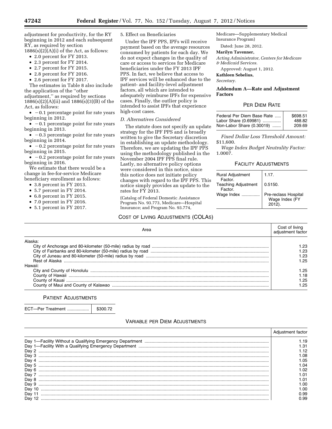adjustment for productivity, for the RY beginning in 2012 and each subsequent RY, as required by section

 $1886(s)(2)(A)(i)$  of the Act, as follows:

- 2.0 percent for FY 2013.
- 2.3 percent for FY 2014.
- 2.7 percent for FY 2015.
- 2.8 percent for FY 2016.
- 2.6 percent for FY 2017.

The estimates in Table 8 also include the application of the ''other adjustment,'' as required by sections 1886(s)(2)(A)(ii) and 1886(s)(3)(B) of the Act, as follows:

 $\bullet$  -0.1 percentage point for rate years beginning in 2012.

 $\bullet$  -0.1 percentage point for rate years beginning in 2013.

 $\bullet$  -0.3 percentage point for rate years beginning in 2014.

 $\bullet$  -0.2 percentage point for rate years beginning in 2015.

 $\bullet$  -0.2 percentage point for rate years beginning in 2016.

We estimate that there would be a change in fee-for-service Medicare beneficiary enrollment as follows:

- 3.8 percent in FY 2013.
- 5.7 percent in FY 2014.
- 6.8 percent in FY 2015.
- 7.0 percent in FY 2016.
- 5.1 percent in FY 2017.

5. Effect on Beneficiaries

Under the IPF PPS, IPFs will receive payment based on the average resources consumed by patients for each day. We do not expect changes in the quality of care or access to services for Medicare beneficiaries under the FY 2013 IPF PPS. In fact, we believe that access to IPF services will be enhanced due to the patient- and facility-level adjustment factors, all which are intended to adequately reimburse IPFs for expensive cases. Finally, the outlier policy is intended to assist IPFs that experience high-cost cases.

#### *D. Alternatives Considered*

The statute does not specify an update strategy for the IPF PPS and is broadly written to give the Secretary discretion in establishing an update methodology. Therefore, we are updating the IPF PPS using the methodology published in the November 2004 IPF PPS final rule. Lastly, no alternative policy options were considered in this notice, since this notice does not initiate policy changes with regard to the IPF PPS. This notice simply provides an update to the rates for FY 2013.

(Catalog of Federal Domestic Assistance Program No. 93.773, Medicare—Hospital Insurance; and Program No. 93.774,

#### COST OF LIVING ADJUSTMENTS (COLAS)

Medicare—Supplementary Medical Insurance Program)

Dated: June 28, 2012.

#### **Marilyn Tavenner,**

*Acting Administrator, Centers for Medicare & Medicaid Services.* 

Approved: August 1, 2012.

**Kathleen Sebelius,** 

*Secretary.* 

#### **Addendum A—Rate and Adjustment Factors**

#### PER DIEM RATE

| Federal Per Diem Base Rate | \$698.51 |
|----------------------------|----------|
| Labor Share (0.69981)      | 488.82   |
| Non-Labor Share (0.30019)  | 209.69   |

*Fixed Dollar Loss Threshold Amount:*  \$11,600.

*Wage Index Budget Neutrality Factor:*  1.0007.

#### FACILITY ADJUSTMENTS

| <b>Rural Adjustment</b><br>Factor.    | 1.17.                                            |
|---------------------------------------|--------------------------------------------------|
| <b>Teaching Adjustment</b><br>Factor. | 0.5150.                                          |
| Wage Index                            | Pre-reclass Hospital<br>Wage Index (FY<br>2012). |

| Area    | Cost of living |
|---------|----------------|
| Alaska  |                |
|         | .23            |
|         | -23            |
|         | '.23           |
|         |                |
| Hawaii: |                |
|         | 1.25           |
|         | l.18           |
|         | l.25           |
|         | -25            |

#### PATIENT ADJUSTMENTS

ECT—Per Treatment .................. \$300.72

#### VARIABLE PER DIEM ADJUSTMENTS

|        | Adjustment factor |
|--------|-------------------|
|        | .19               |
|        | .31               |
| Dav 2  | .12               |
| Dav 3  | 08. ا             |
| Dav 4  | l .05             |
| Dav 5  | I.O4              |
| Day 6  | .02               |
| Dav 7  | .01               |
| Dav 8  | .01               |
| Day 9  | .00               |
| Dav 10 | .ററ               |
| Dav    | 0.99              |
| Dav    | n 99.             |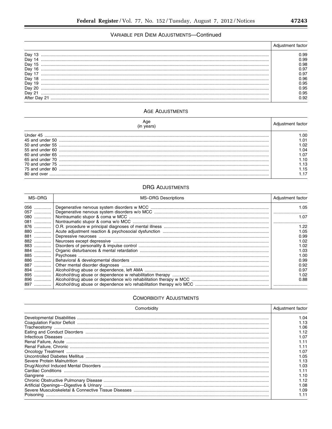## VARIABLE PER DIEM ADJUSTMENTS-Continued

| Dav | ).99<br>).99<br>0.98<br>).97<br>0.97<br>0.96<br>0.95<br>0.95 |
|-----|--------------------------------------------------------------|
|     | ).95                                                         |

## **AGE ADJUSTMENTS**

| Under 45            | .ററ  |
|---------------------|------|
| 45 and under 50     | . በ1 |
| $50$ and under $55$ | .02  |
| 55 and under 60     | 04   |
|                     | l.07 |
|                     | l 10 |
|                     | .13  |
|                     | .15  |
|                     |      |

## **DRG ADJUSTMENTS**

| MS-DRG | <b>MS-DRG Descriptions</b> | Adjustment factor |
|--------|----------------------------|-------------------|
|        |                            | 1.05              |
|        |                            |                   |
|        |                            | 1.07              |
| 081    |                            |                   |
| 876    |                            | 1.22              |
| 880    |                            | 1.05              |
| 881    |                            | 0.99              |
| 882    |                            | 1.02              |
| 883    |                            | 1.02              |
| 884    |                            | 1.03              |
|        |                            | 1.00              |
|        |                            | 0.99              |
| 887  1 |                            | 0.92              |
|        |                            | 0.97              |
| 895    |                            | 1.02              |
| 896    |                            | 0.88              |
|        |                            |                   |

## **COMORBIDITY ADJUSTMENTS**

| Comorbidity                                                                                                                                                                                                                    | Adjustment factor |
|--------------------------------------------------------------------------------------------------------------------------------------------------------------------------------------------------------------------------------|-------------------|
|                                                                                                                                                                                                                                | 1.04              |
|                                                                                                                                                                                                                                | l.13              |
|                                                                                                                                                                                                                                | 1.06              |
|                                                                                                                                                                                                                                | 1.12              |
|                                                                                                                                                                                                                                | 1.07              |
|                                                                                                                                                                                                                                |                   |
|                                                                                                                                                                                                                                | 1.11              |
| Chronical Treatment Chronical Chronical Chronical Chronical Chronical Chronical Chronical Chronical Chronical Chronical Chronical Chronical Chronical Chronical Chronical Chronical Chronical Chronical Chronical Chronical Ch | 1.07              |
|                                                                                                                                                                                                                                | I.O5              |
|                                                                                                                                                                                                                                | l.13              |
|                                                                                                                                                                                                                                | LO3               |
|                                                                                                                                                                                                                                |                   |
|                                                                                                                                                                                                                                | 1 1 N             |
|                                                                                                                                                                                                                                | l 12              |
|                                                                                                                                                                                                                                | L 08              |
|                                                                                                                                                                                                                                | l.09              |
|                                                                                                                                                                                                                                |                   |

۰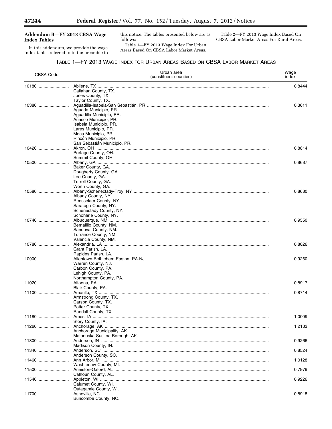Ξ

#### **Addendum B—FY 2013 CBSA Wage Index Tables**

In this addendum, we provide the wage index tables referred to in the preamble to this notice. The tables presented below are as follows:

Table 1—FY 2013 Wage Index For Urban Areas Based On CBSA Labor Market Areas.

Table 2—FY 2013 Wage Index Based On CBSA Labor Market Areas For Rural Areas. ٠

| <b>CBSA Code</b> | Urban area<br>(constituent counties)            | Wage<br>index |
|------------------|-------------------------------------------------|---------------|
| 10180            |                                                 | 0.8444        |
|                  | Callahan County, TX.                            |               |
|                  | Jones County, TX.<br>Taylor County, TX.         |               |
| 10380            |                                                 | 0.3611        |
|                  | Aguada Municipio, PR.                           |               |
|                  | Aguadilla Municipio, PR.                        |               |
|                  | Añasco Municipio, PR.<br>Isabela Municipio, PR. |               |
|                  | Lares Municipio, PR.                            |               |
|                  | Moca Municipio, PR.                             |               |
|                  | Rincón Municipio, PR.                           |               |
| 10420            | San Sebastián Municipio, PR.                    | 0.8814        |
|                  | Portage County, OH.                             |               |
|                  | Summit County, OH.                              |               |
| 10500            |                                                 | 0.8687        |
|                  | Baker County, GA.<br>Dougherty County, GA.      |               |
|                  | Lee County, GA.                                 |               |
|                  | Terrell County, GA.                             |               |
|                  | Worth County, GA.                               |               |
| $10580$          | Albany County, NY.                              | 0.8680        |
|                  | Rensselaer County, NY.                          |               |
|                  | Saratoga County, NY.                            |               |
|                  | Schenectady County, NY.                         |               |
|                  | Schoharie County, NY.                           |               |
| 10740            | Bernalillo County, NM.                          | 0.9550        |
|                  | Sandoval County, NM.                            |               |
|                  | Torrance County, NM.                            |               |
|                  | Valencia County, NM.                            |               |
| 10780            | Grant Parish, LA.                               | 0.8026        |
|                  | Rapides Parish, LA.                             |               |
| 10900            |                                                 | 0.9260        |
|                  | Warren County, NJ.                              |               |
|                  | Carbon County, PA.<br>Lehigh County, PA.        |               |
|                  | Northampton County, PA.                         |               |
|                  |                                                 | 0.8917        |
|                  | Blair County, PA.                               |               |
| 11100            | Armstrong County, TX.                           | 0.8714        |
|                  | Carson County, TX.                              |               |
|                  | Potter County, TX.                              |               |
|                  | Randall County, TX.                             |               |
| 11180            | Story County, IA.                               | 1.0009        |
|                  |                                                 | 1.2133        |
|                  | Anchorage Municipality, AK.                     |               |
|                  | Matanuska-Susitna Borough, AK.                  |               |
| 11300            | Madison County, IN.                             | 0.9266        |
| 11340            |                                                 | 0.8524        |
|                  | Anderson County, SC.                            |               |
| 11460            |                                                 | 1.0128        |
| 11500            | Washtenaw County, MI.                           | 0.7979        |
|                  | Calhoun County, AL.                             |               |
| 11540            |                                                 | 0.9226        |
|                  | Calumet County, WI.                             |               |
| 11700            | Outagamie County, WI.                           | 0.8918        |
|                  | Buncombe County, NC.                            |               |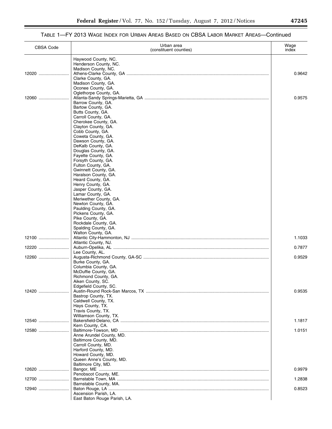## TABLE 1—FY 2013 WAGE INDEX FOR URBAN AREAS BASED ON CBSA LABOR MARKET AREAS—Continued

| <b>CBSA Code</b> | Urban area<br>(constituent counties)                                 | Wage<br>index    |
|------------------|----------------------------------------------------------------------|------------------|
|                  | Haywood County, NC.<br>Henderson County, NC.<br>Madison County, NC.  |                  |
| 12020            | Clarke County, GA.<br>Madison County, GA.                            | 0.9642           |
| 12060            | Oconee County, GA.<br>Oglethorpe County, GA.<br>Barrow County, GA.   | 0.9575           |
|                  | Bartow County, GA.<br>Butts County, GA.<br>Carroll County, GA.       |                  |
|                  | Cherokee County, GA.<br>Clayton County, GA.<br>Cobb County, GA.      |                  |
|                  | Coweta County, GA.<br>Dawson County, GA.<br>DeKalb County, GA.       |                  |
|                  | Douglas County, GA.<br>Fayette County, GA.<br>Forsyth County, GA.    |                  |
|                  | Fulton County, GA.<br>Gwinnett County, GA.<br>Haralson County, GA.   |                  |
|                  | Heard County, GA.<br>Henry County, GA.<br>Jasper County, GA.         |                  |
|                  | Lamar County, GA.<br>Meriwether County, GA.<br>Newton County, GA.    |                  |
|                  | Paulding County, GA.<br>Pickens County, GA.<br>Pike County, GA.      |                  |
|                  | Rockdale County, GA.<br>Spalding County, GA.<br>Walton County, GA.   |                  |
| 12100<br>12220   | Atlantic County, NJ.                                                 | 1.1033<br>0.7877 |
| 12260            | Lee County, AL.<br>Burke County, GA.                                 | 0.9529           |
|                  | Columbia County, GA.<br>McDuffie County, GA.<br>Richmond County, GA. |                  |
| 12420            | Aiken County, SC.<br>Edgefield County, SC.                           | 0.9535           |
|                  | Bastrop County, TX.<br>Caldwell County, TX.<br>Hays County, TX.      |                  |
| 12540            | Travis County, TX.<br>Williamson County, TX.<br>Kern County, CA.     | 1.1817           |
| $12580$          | Anne Arundel County, MD.<br>Baltimore County, MD.                    | 1.0151           |
|                  | Carroll County, MD.<br>Harford County, MD.<br>Howard County, MD.     |                  |
| 12620            | Queen Anne's County, MD.<br>Baltimore City, MD.                      | 0.9979           |
| 12700            | Penobscot County, ME.                                                | 1.2838           |
| 12940            | Barnstable County, MA.<br>Ascension Parish, LA.                      | 0.8523           |
|                  | East Baton Rouge Parish, LA.                                         |                  |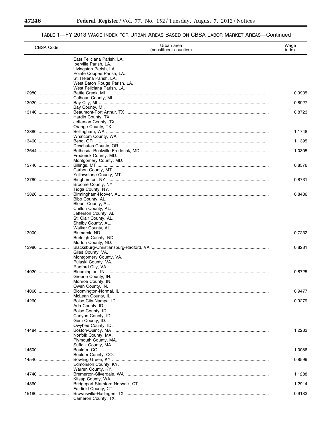Ξ

۰

| <b>CBSA Code</b> | Urban area<br>(constituent counties)                                          | Wage<br>index |
|------------------|-------------------------------------------------------------------------------|---------------|
|                  | East Feliciana Parish, LA.<br>Iberville Parish, LA.<br>Livingston Parish, LA. |               |
|                  | Pointe Coupee Parish, LA.<br>St. Helena Parish, LA.                           |               |
| 12980            | West Baton Rouge Parish, LA.<br>West Feliciana Parish, LA.                    | 0.9935        |
| 13020            | Calhoun County, MI.                                                           | 0.8927        |
|                  | Bay County, MI.                                                               | 0.8723        |
|                  | Hardin County, TX.<br>Jefferson County, TX.                                   |               |
| 13380            | Orange County, TX.                                                            | 1.1748        |
| 13460            | Whatcom County, WA.                                                           | 1.1395        |
| 13644            | Deschutes County, OR.                                                         | 1.0305        |
|                  | Frederick County, MD.<br>Montgomery County, MD.                               |               |
| 13740            | Carbon County, MT.                                                            | 0.8576        |
| 13780            | Yellowstone County, MT.<br>Broome County, NY.                                 | 0.8731        |
|                  | Tioga County, NY.<br>Bibb County, AL.<br>Blount County, AL.                   | 0.8436        |
|                  | Chilton County, AL.<br>Jefferson County, AL.                                  |               |
|                  | St. Clair County, AL.<br>Shelby County, AL.<br>Walker County, AL.             |               |
| 13900            | Burleigh County, ND.                                                          | 0.7232        |
| 13980            | Morton County, ND.                                                            | 0.8281        |
|                  | Giles County, VA.<br>Montgomery County, VA.<br>Pulaski County, VA.            |               |
| 14020            | Radford City, VA.                                                             | 0.8725        |
|                  | Greene County, IN.<br>Monroe County, IN.<br>Owen County, IN.                  |               |
| 14060            |                                                                               | 0.9477        |
| 14260            | McLean County, IL.                                                            | 0.9279        |
|                  | Ada County, ID.<br>Boise County, ID.                                          |               |
|                  | Canyon County, ID.<br>Gem County, ID.                                         |               |
| 14484            | Owyhee County, ID.                                                            | 1.2283        |
|                  | Norfolk County, MA.<br>Plymouth County, MA.                                   |               |
| 14500            | Suffolk County, MA.                                                           | 1.0086        |
| 14540            | Boulder County, CO.                                                           | 0.8599        |
|                  | Edmonson County, KY.<br>Warren County, KY.                                    |               |
| 14740            | Kitsap County, WA.                                                            | 1.1288        |
| 14860            | Fairfield County, CT.                                                         | 1.2914        |
| 15180            | Cameron County, TX.                                                           | 0.9183        |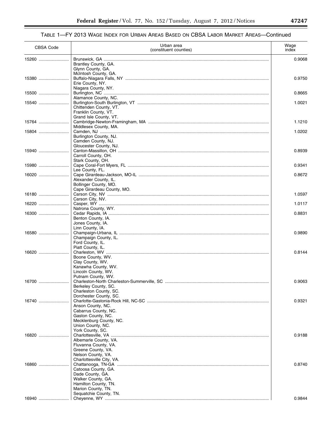| <b>CBSA Code</b> | Urban area<br>(constituent counties)                                                                                                     | Wage<br>index |
|------------------|------------------------------------------------------------------------------------------------------------------------------------------|---------------|
| 15260            | Brantley County, GA.<br>Glynn County, GA.                                                                                                | 0.9068        |
| 15380            | McIntosh County, GA.<br>Erie County, NY.                                                                                                 | 0.9750        |
| 15500            | Niagara County, NY.                                                                                                                      | 0.8665        |
| 15540            | Alamance County, NC.<br>Chittenden County, VT.<br>Franklin County, VT.                                                                   | 1.0021        |
| 15764            | Grand Isle County, VT.<br>Middlesex County, MA.                                                                                          | 1.1210        |
| 15804            | Burlington County, NJ.<br>Camden County, NJ.                                                                                             | 1.0202        |
| 15940            | Gloucester County, NJ.<br>Carroll County, OH.<br>Stark County, OH.                                                                       | 0.8939        |
| 15980            | Lee County, FL.                                                                                                                          | 0.9341        |
| 16020            | Alexander County, IL.<br>Bollinger County, MO.<br>Cape Girardeau County, MO.                                                             | 0.8672        |
| 16180            | Carson City, NV.                                                                                                                         | 1.0597        |
| 16220            |                                                                                                                                          | 1.0117        |
| 16300            | Natrona County, WY.<br>Benton County, IA.<br>Jones County, IA.                                                                           | 0.8831        |
| 16580            | Linn County, IA.<br>Champaign County, IL.<br>Ford County, IL.                                                                            | 0.9890        |
| 16620            | Piatt County, IL.<br>Boone County, WV.<br>Clay County, WV.<br>Kanawha County, WV.<br>Lincoln County, WV.<br>Putnam County, WV.           | 0.8144        |
| 16700            | Berkeley County, SC.<br>Charleston County, SC.<br>Dorchester County, SC.                                                                 | 0.9063        |
| 16740            | Anson County, NC.<br>Cabarrus County, NC.<br>Gaston County, NC.<br>Mecklenburg County, NC.<br>Union County, NC.<br>York County, SC.      | 0.9321        |
| 16820            | Albemarle County, VA.<br>Fluvanna County, VA.<br>Greene County, VA.<br>Nelson County, VA.                                                | 0.9188        |
| 16860            | Charlottesville City, VA.<br>Catoosa County, GA.<br>Dade County, GA.<br>Walker County, GA.<br>Hamilton County, TN.<br>Marion County, TN. | 0.8740        |
| 16940            | Sequatchie County, TN.                                                                                                                   | 0.9844        |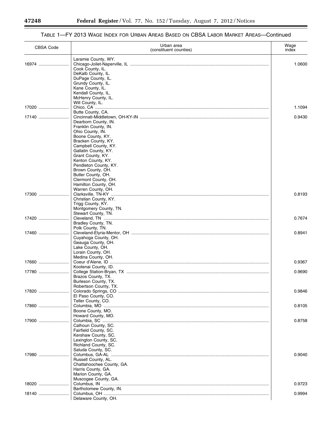Ξ

۰

| <b>CBSA Code</b> | Urban area<br>(constituent counties)                                  | Wage<br>index |
|------------------|-----------------------------------------------------------------------|---------------|
| 16974            | Laramie County, WY.<br>Cook County, IL.<br>DeKalb County, IL.         | 1.0600        |
|                  | DuPage County, IL.<br>Grundy County, IL.<br>Kane County, IL.          |               |
|                  | Kendall County, IL.<br>McHenry County, IL.<br>Will County, IL.        |               |
| 17020            | Butte County, CA.                                                     | 1.1094        |
| 17140            | Dearborn County, IN.<br>Franklin County, IN.                          | 0.9430        |
|                  | Ohio County, IN.<br>Boone County, KY.<br>Bracken County, KY.          |               |
|                  | Campbell County, KY.<br>Gallatin County, KY.                          |               |
|                  | Grant County, KY.<br>Kenton County, KY.<br>Pendleton County, KY.      |               |
|                  | Brown County, OH.<br>Butler County, OH.<br>Clermont County, OH.       |               |
|                  | Hamilton County, OH.<br>Warren County, OH.                            |               |
| 17300            | Christian County, KY.<br>Trigg County, KY.                            | 0.8193        |
| 17420            | Montgomery County, TN.<br>Stewart County, TN.                         | 0.7674        |
|                  | Bradley County, TN.<br>Polk County, TN.                               |               |
| 17460            | Cuyahoga County, OH.<br>Geauga County, OH.                            | 0.8941        |
|                  | Lake County, OH.<br>Lorain County, OH.                                |               |
| 17660            | Medina County, OH.                                                    | 0.9367        |
| 17780            | Kootenai County, ID.<br>Brazos County, TX.                            | 0.9690        |
|                  | Burleson County, TX.<br>Robertson County, TX.                         |               |
| 17820            | El Paso County, CO.<br>Teller County, CO.                             | 0.9846        |
| 17860            | Boone County, MO.<br>Howard County, MO.                               | 0.8105        |
| 17900            | Calhoun County, SC.                                                   | 0.8758        |
|                  | Fairfield County, SC.<br>Kershaw County, SC.<br>Lexington County, SC. |               |
|                  | Richland County, SC.<br>Saluda County, SC.                            |               |
| 17980            | Russell County, AL.<br>Chattahoochee County, GA.                      | 0.9040        |
|                  | Harris County, GA.<br>Marion County, GA.                              |               |
| 18020            | Muscogee County, GA.                                                  | 0.9723        |
| 18140            | Bartholomew County, IN.<br>Delaware County, OH.                       | 0.9994        |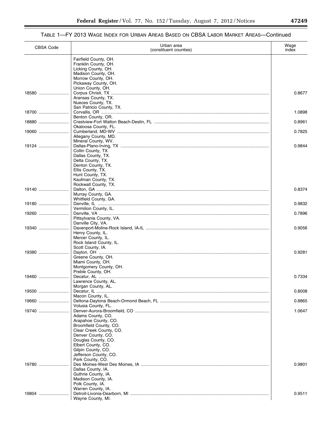—

## TABLE 1—FY 2013 WAGE INDEX FOR URBAN AREAS BASED ON CBSA LABOR MARKET AREAS—Continued

| <b>CBSA Code</b> | Urban area<br>(constituent counties)           | Wage<br>index |
|------------------|------------------------------------------------|---------------|
|                  | Fairfield County, OH.<br>Franklin County, OH.  |               |
|                  | Licking County, OH.                            |               |
|                  | Madison County, OH.<br>Morrow County, OH.      |               |
|                  | Pickaway County, OH.                           |               |
|                  | Union County, OH.                              |               |
| 18580            | Aransas County, TX.                            | 0.8677        |
|                  | Nueces County, TX.                             |               |
|                  | San Patricio County, TX.                       | 1.0898        |
|                  | Benton County, OR.                             |               |
| 18880            |                                                | 0.8961        |
| 19060            | Okaloosa County, FL.                           | 0.7825        |
|                  | Allegany County, MD.                           |               |
| 19124            | Mineral County, WV.                            | 0.9844        |
|                  | Collin County, TX.                             |               |
|                  | Dallas County, TX.                             |               |
|                  | Delta County, TX.<br>Denton County, TX.        |               |
|                  | Ellis County, TX.                              |               |
|                  | Hunt County, TX.                               |               |
|                  | Kaufman County, TX.<br>Rockwall County, TX.    |               |
| 19140            |                                                | 0.8374        |
|                  | Murray County, GA.                             |               |
|                  | Whitfield County, GA.                          |               |
| 19180            | Vermilion County, IL.                          | 0.9832        |
| 19260            |                                                | 0.7896        |
|                  | Pittsylvania County, VA.<br>Danville City, VA. |               |
| 19340            |                                                | 0.9056        |
|                  | Henry County, IL.                              |               |
|                  | Mercer County, IL.<br>Rock Island County, IL.  |               |
|                  | Scott County, IA.                              |               |
| $19380$          |                                                | 0.9281        |
|                  | Greene County, OH.<br>Miami County, OH.        |               |
|                  | Montgomery County, OH.                         |               |
|                  | Preble County, OH.                             |               |
| 19460            | Lawrence County, AL.                           | 0.7334        |
|                  | Morgan County, AL.                             |               |
| $19500$          |                                                | 0.8008        |
| 19660            | Macon County, IL.                              | 0.8865        |
|                  | Volusia County, FL.                            |               |
|                  |                                                | 1.0647        |
|                  | Adams County, CO.<br>Arapahoe County, CO.      |               |
|                  | Broomfield County, CO.                         |               |
|                  | Clear Creek County, CO.                        |               |
|                  | Denver County, CO.<br>Douglas County, CO.      |               |
|                  | Elbert County, CO.                             |               |
|                  | Gilpin County, CO.                             |               |
|                  | Jefferson County, CO.<br>Park County, CO.      |               |
| 19780            |                                                | 0.9801        |
|                  | Dallas County, IA.                             |               |
|                  | Guthrie County, IA.                            |               |
|                  | Madison County, IA.<br>Polk County, IA.        |               |
|                  | Warren County, IA.                             |               |
| 19804            | Wayne County, MI.                              | 0.9511        |
|                  |                                                |               |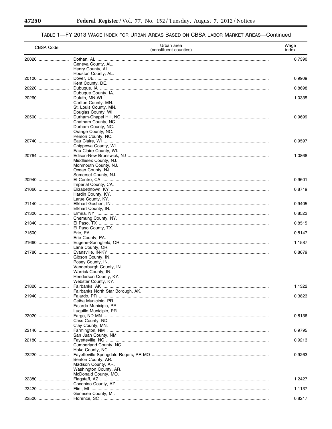#### Urban area Wage **CBSA Code** (constituent counties) index 0.7390 Geneva County, AL. Henry County, AL. Houston County, AL. 20100 .......................... 0.9909 Kent County, DE. 20220 .......................... Dubuque, IA ........ 0.8698 Dubuque County, IA. 20260 .......................... 1.0335 Carlton County, MN. St. Louis County, MN. Douglas County, WI. 20500 .......................... 0.9699 Chatham County, NC. Durham County, NC. Orange County, NC. Person County, NC. 20740 .......................... 0.9597 Chippewa County, WI. Eau Claire County, WI. 20764 .......................... 1.0868 Middlesex County, NJ. Monmouth County, NJ. Ocean County, NJ. Somerset County, NJ. 20940 .......................... 0.9601 Imperial County, CA. 21060 ......................... 0.8719 Hardin County, KY. Larue County, KY. 21140 .......................... 0.9405 Elkhart County, IN. 21300 .......................... 0.8522 Chemung County, NY. 21340 ......................... 0.8515 El Paso County, TX. 21500 ......................... 0.8147 Erie County, PA. 21660 .......................... 1.1587 Lane County, OR. 21780 ........................ Evansville, IN-KY 0.8679 Gibson County, IN. Posey County, IN. Vanderburgh County, IN. Warrick County, IN. Henderson County, KY. Webster County, KY. 1.1322 Fairbanks North Star Borough, AK. 21940 .......................... Faiardo, PR ....... 0.3823 Ceiba Municipio, PR. Fajardo Municipio, PR. Luquillo Municipio, PR. 22020 .......................... 0.8136 Cass County, ND. Clay County, MN. Farmington, NM .... 22140 ......................... 0.9795 San Juan County, NM. 22180 ........................... 0.9213 Cumberland County, NC. Hoke County, NC. 22220 ......................... 0.9263 Benton County, AR. Madison County, AR. Washington County, AR. McDonald County, MO. 22380 ........................ 1.2427 Coconino County, AZ. 22420 .......................... 1.1137 Genesee County, MI. 0.8217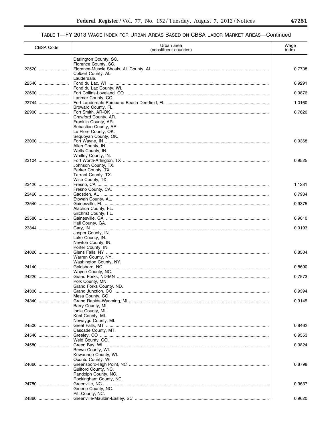| CBSA Code | Urban area<br>(constituent counties)                                                                                  | Wage<br>index |
|-----------|-----------------------------------------------------------------------------------------------------------------------|---------------|
|           | Darlington County, SC.                                                                                                |               |
| 22520     | Florence County, SC.<br>Colbert County, AL.                                                                           | 0.7738        |
| 22540     | Lauderdale.                                                                                                           | 0.9291        |
| 22660     | Fond du Lac County, WI.                                                                                               | 0.9876        |
| 22744     | Larimer County, CO.                                                                                                   | 1.0160        |
| 22900     | Broward County, FL.                                                                                                   | 0.7620        |
|           | Crawford County, AR.<br>Franklin County, AR.<br>Sebastian County, AR.<br>Le Flore County, OK.<br>Sequoyah County, OK. |               |
| 23060     | Allen County, IN.                                                                                                     | 0.9368        |
|           | Wells County, IN.                                                                                                     |               |
| 23104     | Whitley County, IN.                                                                                                   | 0.9525        |
|           | Johnson County, TX.<br>Parker County, TX.<br>Tarrant County, TX.<br>Wise County, TX.                                  |               |
| 23420     | Fresno County, CA.                                                                                                    | 1.1281        |
| 23460     |                                                                                                                       | 0.7934        |
| 23540     | Etowah County, AL.<br>Alachua County, FL.                                                                             | 0.9375        |
| 23580     | Gilchrist County, FL.                                                                                                 | 0.9010        |
| 23844     | Hall County, GA.                                                                                                      | 0.9193        |
|           | Jasper County, IN.<br>Lake County, IN.<br>Newton County, IN.<br>Porter County, IN.                                    |               |
| 24020     | Warren County, NY.                                                                                                    | 0.8504        |
| 24140     | Washington County, NY.                                                                                                | 0.8690        |
| 24220     | Wayne County, NC.<br>Polk County, MN.                                                                                 | 0.7573        |
| 24300     | Grand Forks County, ND.                                                                                               | 0.9394        |
| 24340     | Mesa County, CO.                                                                                                      | 0.9145        |
|           | Barry County, MI.<br>Ionia County, MI.<br>Kent County, MI.                                                            |               |
| 24500     | Newaygo County, MI.                                                                                                   | 0.8462        |
| 24540     | Cascade County, MT.                                                                                                   | 0.9553        |
| 24580     | Weld County, CO.                                                                                                      | 0.9824        |
|           | Brown County, WI.<br>Kewaunee County, WI.<br>Oconto County, WI.                                                       |               |
| 24660     | Guilford County, NC.                                                                                                  | 0.8798        |
|           | Randolph County, NC.<br>Rockingham County, NC.                                                                        |               |
| 24780     | Greene County, NC.<br>Pitt County, NC.                                                                                | 0.9637        |
| 24860     |                                                                                                                       | 0.9620        |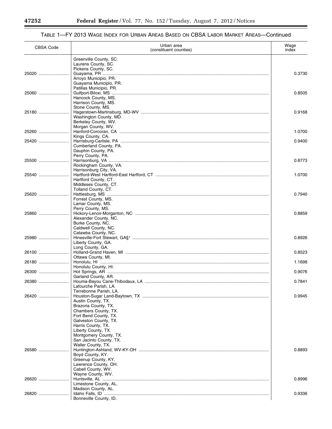Ξ

| <b>CBSA Code</b> | Urban area<br>(constituent counties)                                     | Wage<br>index |
|------------------|--------------------------------------------------------------------------|---------------|
|                  | Greenville County, SC.<br>Laurens County, SC.                            |               |
| 25020            | Pickens County, SC.<br>Arroyo Municipio, PR.                             | 0.3730        |
|                  | Guayama Municipio, PR.<br>Patillas Municipio, PR.                        |               |
| 25060            | Hancock County, MS.<br>Harrison County, MS.                              | 0.8505        |
| 25180            | Stone County, MS.<br>Washington County, MD.                              | 0.9168        |
| 25260            | Berkeley County, WV.<br>Morgan County, WV.                               | 1.0700        |
| 25420            | Kings County, CA.                                                        | 0.9400        |
|                  | Cumberland County, PA.<br>Dauphin County, PA.<br>Perry County, PA.       |               |
| 25500            | Rockingham County, VA.                                                   | 0.8773        |
| 25540            | Harrisonburg City, VA.<br>Hartford County, CT.                           | 1.0700        |
| 25620            | Middlesex County, CT.<br>Tolland County, CT.                             | 0.7940        |
|                  | Forrest County, MS.<br>Lamar County, MS.                                 |               |
| 25860            | Perry County, MS.<br>Alexander County, NC.                               | 0.8859        |
|                  | Burke County, NC.<br>Caldwell County, NC.<br>Catawba County, NC.         |               |
| 25980            | Liberty County, GA.                                                      | 0.8926        |
| 26100            | Long County, GA.<br>Ottawa County, MI.                                   | 0.8523        |
| 26180            | Honolulu County, Hl.                                                     | 1.1698        |
| 26300            | Garland County, AR.                                                      | 0.9076        |
|                  | Lafourche Parish, LA.<br>Terrebonne Parish, LA.                          | 0.7841        |
| 26420            | Austin County, TX.                                                       | 0.9945        |
|                  | Brazoria County, TX.<br>Chambers County, TX.<br>Fort Bend County, TX.    |               |
|                  | Galveston County, TX.<br>Harris County, TX.                              |               |
|                  | Liberty County, TX.<br>Montgomery County, TX.<br>San Jacinto County, TX. |               |
| 26580            | Waller County, TX.                                                       | 0.8893        |
|                  | Boyd County, KY.<br>Greenup County, KY.<br>Lawrence County, OH.          |               |
|                  | Cabell County, WV.<br>Wayne County, WV.                                  |               |
| 26620            | Limestone County, AL.<br>Madison County, AL.                             | 0.8996        |
| 26820            | Bonneville County, ID.                                                   | 0.9336        |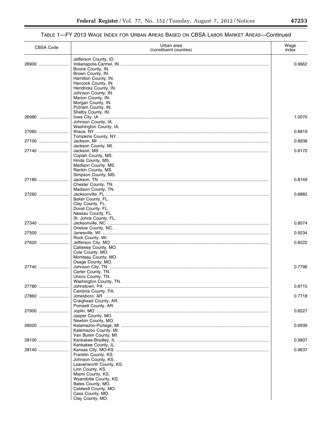## TABLE 1—FY 2013 WAGE INDEX FOR URBAN AREAS BASED ON CBSA LABOR MARKET AREAS—Continued

| <b>CBSA Code</b> | Urban area<br>(constituent counties)                                                                                                                                                                                             | Wage<br>index |
|------------------|----------------------------------------------------------------------------------------------------------------------------------------------------------------------------------------------------------------------------------|---------------|
| 26900            | Jefferson County, ID.<br>Boone County, IN.<br>Brown County, IN.<br>Hamilton County, IN.<br>Hancock County, IN.<br>Hendricks County, IN.<br>Johnson County, IN.<br>Marion County, IN.<br>Morgan County, IN.<br>Putnam County, IN. | 0.9662        |
| 26980            | Shelby County, IN.<br>Johnson County, IA.                                                                                                                                                                                        | 1.0070        |
| 27060            | Washington County, IA.                                                                                                                                                                                                           | 0.8819        |
| 27100            | Tompkins County, NY.                                                                                                                                                                                                             | 0.8938        |
|                  | Jackson County, MI.                                                                                                                                                                                                              |               |
| 27140            | Copiah County, MS.<br>Hinds County, MS.<br>Madison County, MS.<br>Rankin County, MS.<br>Simpson County, MS.                                                                                                                      | 0.8172        |
| 27180            | Chester County, TN.<br>Madison County, TN.                                                                                                                                                                                       | 0.8149        |
| 27260            | Baker County, FL.<br>Clay County, FL.<br>Duval County, FL.<br>Nassau County, FL.                                                                                                                                                 | 0.8882        |
| 27340            | St. Johns County, FL.                                                                                                                                                                                                            | 0.8074        |
| 27500            | Onslow County, NC.                                                                                                                                                                                                               | 0.9234        |
|                  | Rock County, WI.                                                                                                                                                                                                                 |               |
| 27620            | Callaway County, MO.<br>Cole County, MO.<br>Moniteau County, MO.<br>Osage County, MO.                                                                                                                                            | 0.8222        |
| 27740            | Carter County, TN.<br>Unicoi County, TN.                                                                                                                                                                                         | 0.7796        |
| 27780            | Washington County, TN.                                                                                                                                                                                                           | 0.8715        |
| 27860            | Cambria County, PA.                                                                                                                                                                                                              | 0.7718        |
|                  | Craighead County, AR.<br>Poinsett County, AR.                                                                                                                                                                                    |               |
| 27900            | Jasper County, MO.<br>Newton County, MO.                                                                                                                                                                                         | 0.8227        |
| 28020            | Kalamazoo County, Ml.<br>Van Buren County, MI.                                                                                                                                                                                   | 0.9939        |
| 28100            |                                                                                                                                                                                                                                  | 0.9807        |
| 28140            | Kankakee County, IL.                                                                                                                                                                                                             | 0.9637        |
|                  | Franklin County, KS.<br>Johnson County, KS.<br>Leavenworth County, KS.<br>Linn County, KS.<br>Miami County, KS.<br>Wyandotte County, KS.<br>Bates County, MO.<br>Caldwell County, MO.<br>Cass County, MO.<br>Clay County, MO.    |               |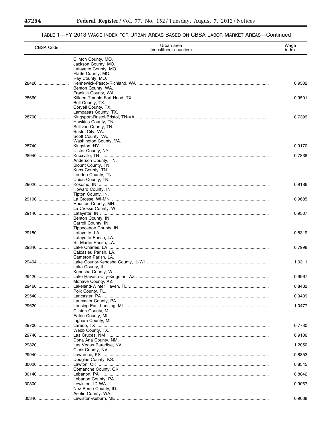Ξ

▀

| <b>CBSA Code</b> | Urban area<br>(constituent counties)                                                                          | Wage<br>index |
|------------------|---------------------------------------------------------------------------------------------------------------|---------------|
|                  | Clinton County, MO.<br>Jackson County, MO.<br>Lafayette County, MO.<br>Platte County, MO.                     |               |
| 28420            | Ray County, MO.<br>Benton County, WA.                                                                         | 0.9582        |
| 28660            | Franklin County, WA.<br>Bell County, TX.<br>Coryell County, TX.                                               | 0.9501        |
| 28700            | Lampasas County, TX.<br>Hawkins County, TN.<br>Sullivan County, TN.<br>Bristol City, VA.<br>Scott County, VA. | 0.7399        |
| 28740            | Washington County, VA.                                                                                        | 0.9170        |
|                  | Ulster County, NY.                                                                                            |               |
| 28940            | Anderson County, TN.<br>Blount County, TN.<br>Knox County, TN.<br>Loudon County, TN.<br>Union County, TN.     | 0.7838        |
| 29020            | Howard County, IN.<br>Tipton County, IN.                                                                      | 0.9186        |
| 29100            | Houston County, MN.                                                                                           | 0.9685        |
| 29140            | La Crosse County, WI.<br>Benton County, IN.<br>Carroll County, IN.                                            | 0.9507        |
| 29180            | Tippecanoe County, IN.<br>Lafayette Parish, LA.                                                               | 0.8319        |
| 29340            | St. Martin Parish, LA.<br>Calcasieu Parish, LA.                                                               | 0.7998        |
| 29404            | Cameron Parish, LA.                                                                                           | 1.0311        |
| 29420            | Lake County, IL.<br>Kenosha County, WI.                                                                       | 0.9967        |
| 29460            | Mohave County, AZ.                                                                                            | 0.8432        |
|                  | Polk County, FL.                                                                                              |               |
| 29540            | Lancaster County, PA.                                                                                         | 0.9439        |
| 29620            | Clinton County, MI.<br>Eaton County, MI.<br>Ingham County, MI.                                                | 1.0477        |
| 29700            |                                                                                                               | 0.7730        |
| 29740            | Webb County, TX.                                                                                              | 0.9106        |
| 29820            | Dona Ana County, NM.                                                                                          | 1.2050        |
| 29940            | Clark County, NV.                                                                                             | 0.8853        |
|                  | Douglas County, KS.                                                                                           | 0.8545        |
|                  | Comanche County, OK.                                                                                          |               |
| 30140            | Lebanon County, PA.                                                                                           | 0.8042        |
|                  | Nez Perce County, ID.<br>Asotin County, WA.                                                                   | 0.9067        |
|                  |                                                                                                               | 0.9038        |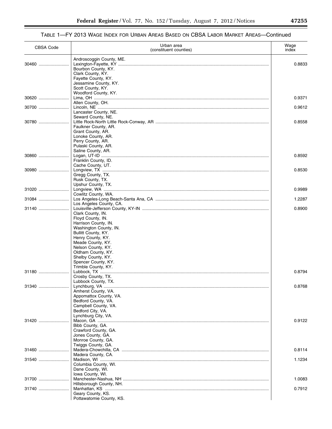## TABLE 1—FY 2013 WAGE INDEX FOR URBAN AREAS BASED ON CBSA LABOR MARKET AREAS—Continued

| CBSA Code      | Urban area<br>(constituent counties)                                                                                                                                                                                                                                      | Wage<br>index    |
|----------------|---------------------------------------------------------------------------------------------------------------------------------------------------------------------------------------------------------------------------------------------------------------------------|------------------|
| 30460          | Androscoggin County, ME.<br>Bourbon County, KY.<br>Clark County, KY.                                                                                                                                                                                                      | 0.8833           |
|                | Fayette County, KY.<br>Jessamine County, KY.<br>Scott County, KY.<br>Woodford County, KY.                                                                                                                                                                                 |                  |
| 30620          | Allen County, OH.                                                                                                                                                                                                                                                         | 0.9371           |
| 30700          | Lancaster County, NE.<br>Seward County, NE.                                                                                                                                                                                                                               | 0.9612           |
| 30780          | Faulkner County, AR.<br>Grant County, AR.<br>Lonoke County, AR.<br>Perry County, AR.<br>Pulaski County, AR.                                                                                                                                                               | 0.8558           |
| 30860          | Saline County, AR.<br>Franklin County, ID.<br>Cache County, UT.                                                                                                                                                                                                           | 0.8592           |
| 30980          | Gregg County, TX.<br>Rusk County, TX.<br>Upshur County, TX.                                                                                                                                                                                                               | 0.8530           |
| 31020          | Cowlitz County, WA.                                                                                                                                                                                                                                                       | 0.9989           |
| 31084          | Los Angeles County, CA.                                                                                                                                                                                                                                                   | 1.2287           |
| 31140<br>31180 | Clark County, IN.<br>Floyd County, IN.<br>Harrison County, IN.<br>Washington County, IN.<br>Bullitt County, KY.<br>Henry County, KY.<br>Meade County, KY.<br>Nelson County, KY.<br>Oldham County, KY.<br>Shelby County, KY.<br>Spencer County, KY.<br>Trimble County, KY. | 0.8900<br>0.8794 |
|                | Crosby County, TX.<br>Lubbock County, TX.                                                                                                                                                                                                                                 |                  |
| 31340          | Amherst County, VA.<br>Appomattox County, VA.<br>Bedford County, VA.<br>Campbell County, VA.<br>Bedford City, VA.<br>Lynchburg City, VA.                                                                                                                                  | 0.8768           |
| 31420          | Bibb County, GA.<br>Crawford County, GA.<br>Jones County, GA.<br>Monroe County, GA.<br>Twiggs County, GA.                                                                                                                                                                 | 0.9122           |
|                |                                                                                                                                                                                                                                                                           | 0.8114           |
| 31540          | Madera County, CA.<br>Columbia County, WI.<br>Dane County, WI.<br>Iowa County, WI.                                                                                                                                                                                        | 1.1234           |
| 31700          | Hillsborough County, NH.                                                                                                                                                                                                                                                  | 1.0083           |
| 31740          | Geary County, KS.<br>Pottawatomie County, KS.                                                                                                                                                                                                                             | 0.7912           |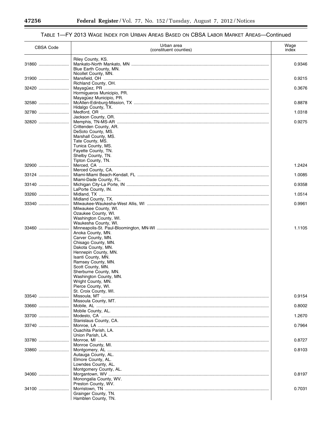Ξ

۰

| CBSA Code | Urban area<br>(constituent counties)                                                                                                                                                                                                                                                                                          | Wage<br>index |
|-----------|-------------------------------------------------------------------------------------------------------------------------------------------------------------------------------------------------------------------------------------------------------------------------------------------------------------------------------|---------------|
| 31860     | Riley County, KS.<br>Blue Earth County, MN.                                                                                                                                                                                                                                                                                   | 0.9346        |
| 31900     | Nicollet County, MN.                                                                                                                                                                                                                                                                                                          | 0.9215        |
| 32420     | Richland County, OH.<br>Hormigueros Municipio, PR.                                                                                                                                                                                                                                                                            | 0.3676        |
| 32580     | Mayagüez Municipio, PR.                                                                                                                                                                                                                                                                                                       | 0.8878        |
| 32780     | Hidalgo County, TX.                                                                                                                                                                                                                                                                                                           | 1.0318        |
| 32820     | Jackson County, OR.<br>Crittenden County, AR.<br>DeSoto County, MS.<br>Marshall County, MS.<br>Tate County, MS.<br>Tunica County, MS.                                                                                                                                                                                         | 0.9275        |
|           | Fayette County, TN.<br>Shelby County, TN.<br>Tipton County, TN.                                                                                                                                                                                                                                                               |               |
| 32900     | Merced County, CA.                                                                                                                                                                                                                                                                                                            | 1.2424        |
| 33124     | Miami-Dade County, FL.                                                                                                                                                                                                                                                                                                        | 1.0085        |
| 33140     | LaPorte County, IN.                                                                                                                                                                                                                                                                                                           | 0.9358        |
| 33260     | Midland County, TX.                                                                                                                                                                                                                                                                                                           | 1.0514        |
| 33340     | Milwaukee County, WI.<br>Ozaukee County, WI.<br>Washington County, WI.                                                                                                                                                                                                                                                        | 0.9961        |
| 33460     | Waukesha County, WI.<br>Anoka County, MN.<br>Carver County, MN.<br>Chisago County, MN.<br>Dakota County, MN.<br>Hennepin County, MN.<br>Isanti County, MN.<br>Ramsey County, MN.<br>Scott County, MN.<br>Sherburne County, MN.<br>Washington County, MN.<br>Wright County, MN.<br>Pierce County, WI.<br>St. Croix County, WI. | 1.1105        |
| 33540     | Missoula County, MT.                                                                                                                                                                                                                                                                                                          | 0.9154        |
| 33660     |                                                                                                                                                                                                                                                                                                                               | 0.8002        |
| 33700     | Mobile County, AL.                                                                                                                                                                                                                                                                                                            | 1.2670        |
| 33740     | Stanislaus County, CA.<br>Ouachita Parish, LA.<br>Union Parish, LA.                                                                                                                                                                                                                                                           | 0.7964        |
| 33780     |                                                                                                                                                                                                                                                                                                                               | 0.8727        |
| 33860     | Monroe County, MI.<br>Autauga County, AL.<br>Elmore County, AL.<br>Lowndes County, AL.                                                                                                                                                                                                                                        | 0.8103        |
| 34060     | Montgomery County, AL.<br>Monongalia County, WV.<br>Preston County, WV.                                                                                                                                                                                                                                                       | 0.8197        |
| 34100     | Grainger County, TN.<br>Hamblen County, TN.                                                                                                                                                                                                                                                                                   | 0.7031        |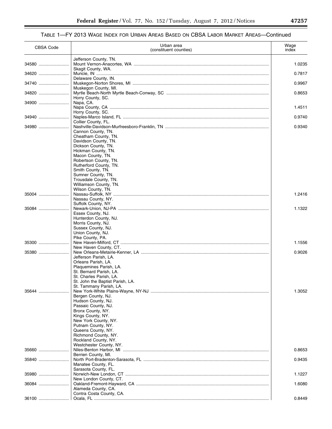| CBSA Code | Urban area<br>(constituent counties)                        | Wage<br>index |
|-----------|-------------------------------------------------------------|---------------|
|           | Jefferson County, TN.                                       |               |
| 34580     | Skagit County, WA.                                          | 1.0235        |
| 34620     |                                                             | 0.7817        |
| 34740     | Delaware County, IN.                                        | 0.9967        |
|           | Muskegon County, MI.                                        |               |
| 34820     | Horry County, SC.                                           | 0.8653        |
| 34900     | Napa, CA.                                                   |               |
|           | Horry County, SC.                                           | 1.4511        |
| 34940     |                                                             | 0.9740        |
| 34980     | Collier County, FL.                                         | 0.9340        |
|           | Cannon County, TN.                                          |               |
|           | Cheatham County, TN.<br>Davidson County, TN.                |               |
|           | Dickson County, TN.                                         |               |
|           | Hickman County, TN.<br>Macon County, TN.                    |               |
|           | Robertson County, TN.                                       |               |
|           | Rutherford County, TN.<br>Smith County, TN.                 |               |
|           | Sumner County, TN.                                          |               |
|           | Trousdale County, TN.                                       |               |
|           | Williamson County, TN.<br>Wilson County, TN.                |               |
| 35004     |                                                             | 1.2416        |
|           | Nassau County, NY.<br>Suffolk County, NY.                   |               |
| 35084     |                                                             | 1.1322        |
|           | Essex County, NJ.<br>Hunterdon County, NJ.                  |               |
|           | Morris County, NJ.                                          |               |
|           | Sussex County, NJ.<br>Union County, NJ.                     |               |
|           | Pike County, PA.                                            |               |
| 35300     | New Haven County, CT.                                       | 1.1556        |
|           |                                                             | 0.9026        |
|           | Jefferson Parish, LA.<br>Orleans Parish, LA.                |               |
|           | Plaquemines Parish, LA.                                     |               |
|           | St. Bernard Parish, LA.                                     |               |
|           | St. Charles Parish, LA.<br>St. John the Baptist Parish, LA. |               |
|           | St. Tammany Parish, LA.                                     |               |
| 35644     | Bergen County, NJ.                                          | 1.3052        |
|           | Hudson County, NJ.                                          |               |
|           | Passaic County, NJ.<br>Bronx County, NY.                    |               |
|           | Kings County, NY.                                           |               |
|           | New York County, NY.<br>Putnam County, NY.                  |               |
|           | Queens County, NY.                                          |               |
|           | Richmond County, NY.                                        |               |
|           | Rockland County, NY.<br>Westchester County, NY.             |               |
| 35660     |                                                             | 0.8653        |
| 35840     | Berrien County, MI.                                         | 0.9435        |
|           | Manatee County, FL.                                         |               |
| 35980     | Sarasota County, FL.                                        | 1.1227        |
|           | New London County, CT.                                      |               |
| 36084     |                                                             | 1.6080        |
|           | Alameda County, CA.<br>Contra Costa County, CA.             |               |
| 36100     |                                                             | 0.8449        |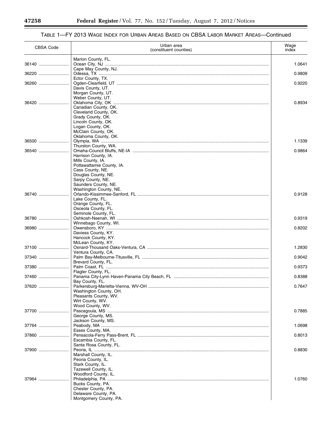Ξ

۰

| <b>CBSA Code</b> | Urban area<br>(constituent counties)           | Wage<br>index |
|------------------|------------------------------------------------|---------------|
|                  | Marion County, FL.                             |               |
| 36140            | Cape May County, NJ.                           | 1.0641        |
| 36220            | Ector County, TX.                              | 0.9809        |
| 36260            |                                                | 0.9220        |
|                  | Davis County, UT.<br>Morgan County, UT.        |               |
|                  | Weber County, UT.                              |               |
| 36420            | Canadian County, OK.                           | 0.8934        |
|                  | Cleveland County, OK.                          |               |
|                  | Grady County, OK.<br>Lincoln County, OK.       |               |
|                  | Logan County, OK.                              |               |
|                  | McClain County, OK.<br>Oklahoma County, OK.    |               |
| 36500            |                                                | 1.1339        |
|                  | Thurston County, WA.                           |               |
|                  | Harrison County, IA.                           | 0.9864        |
|                  | Mills County, IA.                              |               |
|                  | Pottawattamie County, IA.<br>Cass County, NE.  |               |
|                  | Douglas County, NE.                            |               |
|                  | Sarpy County, NE.<br>Saunders County, NE.      |               |
|                  | Washington County, NE.                         |               |
| 36740            | Lake County, FL.                               | 0.9128        |
|                  | Orange County, FL.                             |               |
|                  | Osceola County, FL.<br>Seminole County, FL.    |               |
| 36780            |                                                | 0.9319        |
| 36980            | Winnebago County, WI.                          | 0.8202        |
|                  | Daviess County, KY.                            |               |
|                  | Hancock County, KY.<br>McLean County, KY.      |               |
| 37100            |                                                | 1.2830        |
| 37340            | Ventura County, CA.                            | 0.9042        |
|                  | Brevard County, FL.                            |               |
| 37380            | Flagler County, FL.                            | 0.9373        |
| 37460            |                                                | 0.8388        |
| 37620            | Bay County, FL.                                | 0.7647        |
|                  | Washington County, OH.                         |               |
|                  | Pleasants County, WV.<br>Wirt County, WV.      |               |
|                  | Wood County, WV.                               |               |
| 37700            | George County, MS.                             | 0.7885        |
|                  | Jackson County, MS.                            |               |
| 37764            | Essex County, MA.                              | 1.0698        |
| 37860            |                                                | 0.8013        |
|                  | Escambia County, FL.<br>Santa Rosa County, FL. |               |
| 37900            |                                                | 0.8830        |
|                  | Marshall County, IL.                           |               |
|                  | Peoria County, IL.<br>Stark County, IL.        |               |
|                  | Tazewell County, IL.<br>Woodford County, IL.   |               |
| 37964            |                                                | 1.0760        |
|                  | Bucks County, PA.                              |               |
|                  | Chester County, PA.<br>Delaware County, PA.    |               |
|                  | Montgomery County, PA.                         |               |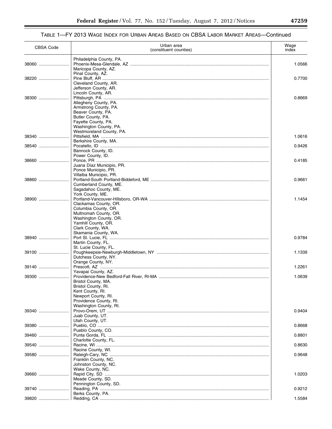## TABLE 1—FY 2013 WAGE INDEX FOR URBAN AREAS BASED ON CBSA LABOR MARKET AREAS—Continued

| <b>CBSA Code</b> | Urban area<br>(constituent counties)                                                                                | Wage<br>index |
|------------------|---------------------------------------------------------------------------------------------------------------------|---------------|
| 38060            | Philadelphia County, PA.<br>Maricopa County, AZ.                                                                    | 1.0566        |
| 38220            | Pinal County, AZ.<br>Cleveland County, AR.                                                                          | 0.7700        |
| 38300            | Jefferson County, AR.<br>Lincoln County, AR.<br>Allegheny County, PA.                                               | 0.8669        |
|                  | Armstrong County, PA.<br>Beaver County, PA.<br>Butler County, PA.<br>Fayette County, PA.<br>Washington County, PA.  |               |
| 38340            | Westmoreland County, PA.                                                                                            | 1.0616        |
| 38540            | Berkshire County, MA.<br>Bannock County, ID.<br>Power County, ID.                                                   | 0.9426        |
| 38660            | Juana Díaz Municipio, PR.<br>Ponce Municipio, PR.<br>Villalba Municipio, PR.                                        | 0.4185        |
| 38860            | Cumberland County, ME.<br>Sagadahoc County, ME.                                                                     | 0.9661        |
| 38900            | York County, ME.<br>Clackamas County, OR.                                                                           | 1.1454        |
|                  | Columbia County, OR.<br>Multnomah County, OR.<br>Washington County, OR.<br>Yamhill County, OR.<br>Clark County, WA. |               |
| 38940            | Skamania County, WA.<br>Martin County, FL.                                                                          | 0.9784        |
| 39100            | St. Lucie County, FL.<br>Dutchess County, NY.                                                                       | 1.1339        |
| 39140            | Orange County, NY.<br>Yavapai County, AZ.                                                                           | 1.2261        |
| 39300            | Bristol County, MA.                                                                                                 | 1.0639        |
|                  | Bristol County, RI.<br>Kent County, RI.<br>Newport County, RI.<br>Providence County, RI.                            |               |
| 39340            | Washington County, RI.<br>Juab County, UT.                                                                          | 0.9404        |
| 39380            | Utah County, UT.<br>Pueblo County, CO.                                                                              | 0.8668        |
| 39460            | Charlotte County, FL.                                                                                               | 0.8801        |
| 39540            | Racine County, WI.                                                                                                  | 0.8630        |
| 39580            | Franklin County, NC.<br>Johnston County, NC.                                                                        | 0.9648        |
| 39660            | Wake County, NC.<br>Meade County, SD.                                                                               | 1.0203        |
| 39740            | Pennington County, SD.<br>Berks County, PA.                                                                         | 0.9212        |
| 39820            |                                                                                                                     | 1.5584        |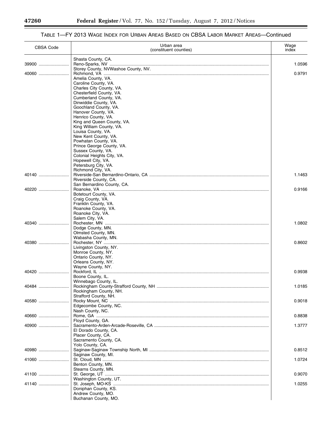Ξ

۰

| <b>CBSA Code</b> | Urban area<br>(constituent counties)              | Wage<br>index |
|------------------|---------------------------------------------------|---------------|
|                  | Shasta County, CA.                                |               |
| 39900            | Storey County, NVWashoe County, NV.               | 1.0596        |
| $40060$          |                                                   | 0.9791        |
|                  | Amelia County, VA.                                |               |
|                  | Caroline County, VA.<br>Charles City County, VA.  |               |
|                  | Chesterfield County, VA.                          |               |
|                  | Cumberland County, VA.<br>Dinwiddie County, VA.   |               |
|                  | Goochland County, VA.                             |               |
|                  | Hanover County, VA.                               |               |
|                  | Henrico County, VA.<br>King and Queen County, VA. |               |
|                  | King William County, VA.                          |               |
|                  | Louisa County, VA.                                |               |
|                  | New Kent County, VA.<br>Powhatan County, VA.      |               |
|                  | Prince George County, VA.                         |               |
|                  | Sussex County, VA.                                |               |
|                  | Colonial Heights City, VA.<br>Hopewell City, VA.  |               |
|                  | Petersburg City, VA.                              |               |
|                  | Richmond City, VA.                                |               |
| 40140            | Riverside County, CA.                             | 1.1463        |
|                  | San Bernardino County, CA.                        |               |
| 40220            |                                                   | 0.9166        |
|                  | Botetourt County, VA.<br>Craig County, VA.        |               |
|                  | Franklin County, VA.                              |               |
|                  | Roanoke County, VA.                               |               |
|                  | Roanoke City, VA.<br>Salem City, VA.              |               |
| 40340            |                                                   | 1.0802        |
|                  | Dodge County, MN.<br>Olmsted County, MN.          |               |
|                  | Wabasha County, MN.                               |               |
| 40380            |                                                   | 0.8602        |
|                  | Livingston County, NY.                            |               |
|                  | Monroe County, NY.<br>Ontario County, NY.         |               |
|                  | Orleans County, NY.                               |               |
| 40420            | Wayne County, NY.                                 | 0.9938        |
|                  | Boone County, IL.                                 |               |
|                  | Winnebago County, IL.                             |               |
| 40484            | Rockingham County, NH.                            | 1.0185        |
|                  | Strafford County, NH.                             |               |
| 40580            |                                                   | 0.9018        |
|                  | Edgecombe County, NC.<br>Nash County, NC.         |               |
| 40660            |                                                   | 0.8838        |
|                  | Floyd County, GA.                                 |               |
| 40900            | El Dorado County, CA.                             | 1.3777        |
|                  | Placer County, CA.                                |               |
|                  | Sacramento County, CA.                            |               |
| 40980            | Yolo County, CA.                                  | 0.8512        |
|                  | Saginaw County, MI.                               |               |
| 41060            |                                                   | 1.0724        |
|                  | Benton County, MN.<br>Stearns County, MN.         |               |
| 41100            |                                                   | 0.9070        |
|                  | Washington County, UT.                            |               |
| 41140            | Doniphan County, KS.                              | 1.0255        |
|                  | Andrew County, MO.                                |               |
|                  | Buchanan County, MO.                              |               |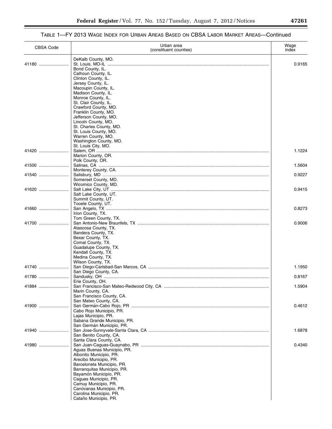| <b>CBSA Code</b> | Urban area<br>(constituent counties)                                                                                                                                                                                                                                                                     | Wage<br>index |
|------------------|----------------------------------------------------------------------------------------------------------------------------------------------------------------------------------------------------------------------------------------------------------------------------------------------------------|---------------|
| 41180            | DeKalb County, MO.<br>Bond County, IL.<br>Calhoun County, IL.<br>Clinton County, IL.<br>Jersey County, IL.<br>Macoupin County, IL.<br>Madison County, IL.<br>Monroe County, IL.<br>St. Clair County, IL.<br>Crawford County, MO.<br>Franklin County, MO.<br>Jefferson County, MO.                        | 0.9165        |
|                  | Lincoln County, MO.<br>St. Charles County, MO.<br>St. Louis County, MO.<br>Warren County, MO.<br>Washington County, MO.<br>St. Louis City, MO.                                                                                                                                                           |               |
| 41420            | Marion County, OR.<br>Polk County, OR.                                                                                                                                                                                                                                                                   | 1.1224        |
| 41500            | Monterey County, CA.                                                                                                                                                                                                                                                                                     | 1.5604        |
| 41540            | Somerset County, MD.<br>Wicomico County, MD.                                                                                                                                                                                                                                                             | 0.9227        |
| 41620            | Salt Lake County, UT.<br>Summit County, UT.<br>Tooele County, UT.                                                                                                                                                                                                                                        | 0.9415        |
| 41660            | Irion County, TX.<br>Tom Green County, TX.                                                                                                                                                                                                                                                               | 0.8273        |
| 41700            | Atascosa County, TX.<br>Bandera County, TX.<br>Bexar County, TX.<br>Comal County, TX.<br>Guadalupe County, TX.<br>Kendall County, TX.<br>Medina County, TX.                                                                                                                                              | 0.9006        |
| 41740            | Wilson County, TX.<br>San Diego County, CA.                                                                                                                                                                                                                                                              | 1.1950        |
| 41780            | Erie County, OH.                                                                                                                                                                                                                                                                                         | 0.8167        |
| 41884            | Marin County, CA.<br>San Francisco County, CA.<br>San Mateo County, CA.                                                                                                                                                                                                                                  | 1.5904        |
|                  | Cabo Rojo Municipio, PR.<br>Lajas Municipio, PR.<br>Sabana Grande Municipio, PR.<br>San Germán Municipio, PR.                                                                                                                                                                                            | 0.4612        |
| 41940            | San Benito County, CA.<br>Santa Clara County, CA.                                                                                                                                                                                                                                                        | 1.6878        |
| 41980            | Aguas Buenas Municipio, PR.<br>Aibonito Municipio, PR.<br>Arecibo Municipio, PR.<br>Barceloneta Municipio, PR.<br>Barranquitas Municipio, PR.<br>Bayamón Municipio, PR.<br>Caguas Municipio, PR.<br>Camuy Municipio, PR.<br>Canóvanas Municipio, PR.<br>Carolina Municipio, PR.<br>Cataño Municipio, PR. | 0.4340        |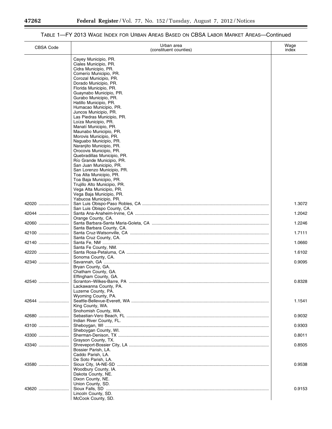۳

| <b>CBSA Code</b> | Urban area<br>(constituent counties)                                                                                                                                                                                                                                                                                                                                                                                                                                                                                                                                                                                                                                                                                                                                     | Wage<br>index |
|------------------|--------------------------------------------------------------------------------------------------------------------------------------------------------------------------------------------------------------------------------------------------------------------------------------------------------------------------------------------------------------------------------------------------------------------------------------------------------------------------------------------------------------------------------------------------------------------------------------------------------------------------------------------------------------------------------------------------------------------------------------------------------------------------|---------------|
|                  | Cayey Municipio, PR.<br>Ciales Municipio, PR.<br>Cidra Municipio, PR.<br>Comerío Municipio, PR.<br>Corozal Municipio, PR.<br>Dorado Municipio, PR.<br>Florida Municipio, PR.<br>Guaynabo Municipio, PR.<br>Gurabo Municipio, PR.<br>Hatillo Municipio, PR.<br>Humacao Municipio, PR.<br>Juncos Municipio, PR.<br>Las Piedras Municipio, PR.<br>Loíza Municipio, PR.<br>Manatí Municipio, PR.<br>Maunabo Municipio, PR.<br>Morovis Municipio, PR.<br>Naguabo Municipio, PR.<br>Naranjito Municipio, PR.<br>Orocovis Municipio, PR.<br>Quebradillas Municipio. PR.<br>Río Grande Municipio, PR.<br>San Juan Municipio, PR.<br>San Lorenzo Municipio, PR.<br>Toa Alta Municipio, PR.<br>Toa Baja Municipio, PR.<br>Trujillo Alto Municipio, PR.<br>Vega Alta Municipio, PR. |               |
| 42020            | Vega Baja Municipio, PR.<br>Yabucoa Municipio, PR.                                                                                                                                                                                                                                                                                                                                                                                                                                                                                                                                                                                                                                                                                                                       | 1.3072        |
| 42044            | San Luis Obispo County, CA.                                                                                                                                                                                                                                                                                                                                                                                                                                                                                                                                                                                                                                                                                                                                              | 1.2042        |
|                  | Orange County, CA.                                                                                                                                                                                                                                                                                                                                                                                                                                                                                                                                                                                                                                                                                                                                                       |               |
| 42060            | Santa Barbara County, CA.                                                                                                                                                                                                                                                                                                                                                                                                                                                                                                                                                                                                                                                                                                                                                | 1.2246        |
| 42100            | Santa Cruz County, CA.                                                                                                                                                                                                                                                                                                                                                                                                                                                                                                                                                                                                                                                                                                                                                   | 1.7111        |
| 42140            | Santa Fe County, NM.                                                                                                                                                                                                                                                                                                                                                                                                                                                                                                                                                                                                                                                                                                                                                     | 1.0660        |
| 42220            | Sonoma County, CA.                                                                                                                                                                                                                                                                                                                                                                                                                                                                                                                                                                                                                                                                                                                                                       | 1.6102        |
| 42340            | Bryan County, GA.<br>Chatham County, GA.                                                                                                                                                                                                                                                                                                                                                                                                                                                                                                                                                                                                                                                                                                                                 | 0.9095        |
| 42540            | Effingham County, GA.<br>Scranton-Wilkes-Barre, PA<br>Lackawanna County, PA.<br>Luzerne County, PA.                                                                                                                                                                                                                                                                                                                                                                                                                                                                                                                                                                                                                                                                      | 0.8328        |
| 42644            | Wyoming County, PA.<br>King County, WA.<br>Snohomish County, WA.                                                                                                                                                                                                                                                                                                                                                                                                                                                                                                                                                                                                                                                                                                         | 1.1541        |
| 42680            |                                                                                                                                                                                                                                                                                                                                                                                                                                                                                                                                                                                                                                                                                                                                                                          | 0.9032        |
| 43100            | Indian River County, FL.                                                                                                                                                                                                                                                                                                                                                                                                                                                                                                                                                                                                                                                                                                                                                 | 0.9303        |
| 43300            | Sheboygan County, WI.                                                                                                                                                                                                                                                                                                                                                                                                                                                                                                                                                                                                                                                                                                                                                    | 0.8011        |
| 43340            | Grayson County, TX.<br>Bossier Parish, LA.                                                                                                                                                                                                                                                                                                                                                                                                                                                                                                                                                                                                                                                                                                                               | 0.8505        |
| 43580            | Caddo Parish, LA.<br>De Soto Parish, LA.<br>Woodbury County, IA.<br>Dakota County, NE.<br>Dixon County, NE.                                                                                                                                                                                                                                                                                                                                                                                                                                                                                                                                                                                                                                                              | 0.9538        |
| 43620            | Union County, SD.<br>Lincoln County, SD.<br>McCook County, SD.                                                                                                                                                                                                                                                                                                                                                                                                                                                                                                                                                                                                                                                                                                           | 0.9153        |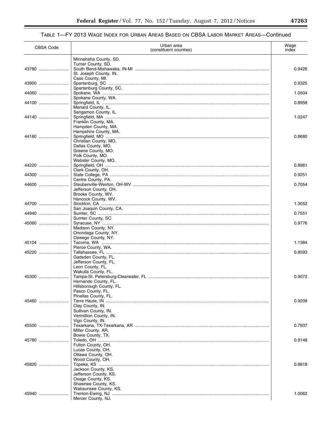## TABLE 1—FY 2013 WAGE INDEX FOR URBAN AREAS BASED ON CBSA LABOR MARKET AREAS—Continued

| <b>CBSA Code</b> | Urban area<br>(constituent counties)          | Wage<br>index |
|------------------|-----------------------------------------------|---------------|
|                  | Minnehaha County, SD.                         |               |
| 43780            | Turner County, SD.                            | 0.9426        |
|                  | St. Joseph County, IN.                        |               |
| 43900            | Cass County, MI.                              | 0.9325        |
| 44060            | Spartanburg County, SC.                       | 1.0504        |
|                  | Spokane County, WA.                           |               |
| 44100            | Menard County, IL.                            | 0.8958        |
|                  | Sangamon County, IL.                          |               |
| 44140            | Franklin County, MA.                          | 1.0247        |
|                  | Hampden County, MA.                           |               |
| 44180            | Hampshire County, MA.                         | 0.8680        |
|                  | Christian County, MO.                         |               |
|                  | Dallas County, MO.<br>Greene County, MO.      |               |
|                  | Polk County, MO.                              |               |
|                  | Webster County, MO.                           |               |
| 44220            | Clark County, OH.                             | 0.8981        |
| 44300            |                                               | 0.9251        |
| 44600            | Centre County, PA.                            | 0.7054        |
|                  | Jefferson County, OH.                         |               |
|                  | Brooke County, WV.<br>Hancock County, WV.     |               |
| 44700            |                                               | 1.3052        |
| 44940            | San Joaquin County, CA.                       | 0.7551        |
|                  | Sumter County, SC.                            |               |
| 45060            | Madison County, NY.                           | 0.9776        |
|                  | Onondaga County, NY.                          |               |
| 45104            | Oswego County, NY.                            | 1.1384        |
|                  | Pierce County, WA.                            |               |
|                  | Gadsden County, FL.                           | 0.8593        |
|                  | Jefferson County, FL.                         |               |
|                  | Leon County, FL.<br>Wakulla County, FL.       |               |
| 45300            |                                               | 0.9072        |
|                  | Hernando County, FL.                          |               |
|                  | Hillsborough County, FL.<br>Pasco County, FL. |               |
|                  | Pinellas County, FL.                          |               |
| 45460            | Clay County, IN.                              | 0.9209        |
|                  | Sullivan County, IN.                          |               |
|                  | Vermillion County, IN.<br>Vigo County, IN.    |               |
| 45500            |                                               | 0.7937        |
|                  | Miller County, AR.<br>Bowie County, TX.       |               |
| 45780            |                                               | 0.9148        |
|                  | Fulton County, OH.<br>Lucas County, OH.       |               |
|                  | Ottawa County, OH.                            |               |
| 45820            | Wood County, OH.                              | 0.8818        |
|                  | Jackson County, KS.                           |               |
|                  | Jefferson County, KS.                         |               |
|                  | Osage County, KS.<br>Shawnee County, KS.      |               |
|                  | Wabaunsee County, KS.                         |               |
| 45940            | Mercer County, NJ.                            | 1.0062        |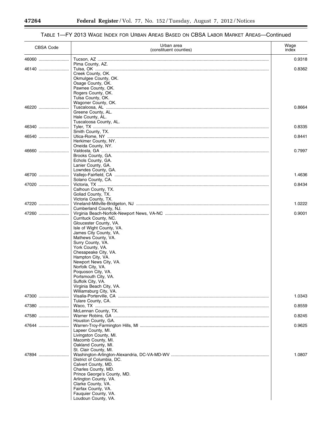#### CBSA Code Urban area (constituent counties) Wage index 46060 ......................... Tucson, AZ .............................................................................................................................................. 0.9318 Pima County, AZ.<br>Tulsa, OK ........... 46140 ......................... Tulsa, OK ................................................................................................................................................ 0.8362 Creek County, OK. Okmulgee County, OK. Osage County, OK. Pawnee County, OK. Rogers County, OK. Tulsa County, OK. Wagoner County, OK. 46220 ......................... Tuscaloosa, AL ....................................................................................................................................... 0.8664 Greene County, AL. Hale County, AL. Tuscaloosa County, AL. 46340 ......................... Tyler, TX .................................................................................................................................................. 0.8335 Smith County, TX.<br>Utica-Rome, NY .... 46540 ......................... Utica-Rome, NY ...................................................................................................................................... 0.8441 Herkimer County, NY. Oneida County, NY. 46660 ......................... Valdosta, GA ........................................................................................................................................... 0.7997 Brooks County, GA. Echols County, GA. Lanier County, GA. Lowndes County, GA. 46700 ......................... Vallejo-Fairfield, CA ................................................................................................................................ 1.4636 Solano County, CA. 47020 ......................... Victoria, TX .............................................................................................................................................. 0.8434 Calhoun County, TX. Goliad County, TX. Victoria County, TX. 47220 ......................... Vineland-Millville-Bridgeton, NJ .............................................................................................................. 1.0222 Cumberland County, NJ. 47260 ......................... Virginia Beach-Norfolk-Newport News, VA-NC ...................................................................................... 0.9001 Currituck County, NC. Gloucester County, VA. Isle of Wight County, VA. James City County, VA. Mathews County, VA. Surry County, VA. York County, VA. Chesapeake City, VA. Hampton City, VA. Newport News City, VA. Norfolk City, VA. Poquoson City, VA. Portsmouth City, VA. Suffolk City, VA. Virginia Beach City, VA. Williamsburg City, VA. 47300 ......................... Visalia-Porterville, CA ............................................................................................................................. 1.0343 Tulare County, CA.<br>Waco, TX ............. 47380 ......................... Waco, TX ................................................................................................................................................ 0.8559 McLennan County, TX. 47580 ......................... Warner Robins, GA ................................................................................................................................. 0.8245 Houston County, GA. 47644 ......................... Warren-Troy-Farmington Hills, MI ........................................................................................................... 0.9625 Lapeer County, MI. Livingston County, MI. Macomb County, MI. Oakland County, MI. St. Clair County, MI. 47894 ......................... Washington-Arlington-Alexandria, DC-VA-MD-WV ................................................................................. 1.0807 District of Columbia, DC. Calvert County, MD. Charles County, MD. Prince George's County, MD. Arlington County, VA. Clarke County, VA. Fairfax County, VA. Fauquier County, VA.

Loudoun County, VA.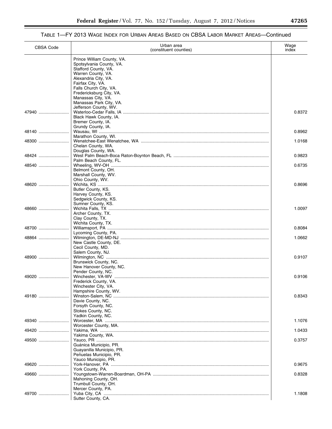## TABLE 1—FY 2013 WAGE INDEX FOR URBAN AREAS BASED ON CBSA LABOR MARKET AREAS—Continued

| <b>CBSA Code</b> | Urban area<br>(constituent counties)                 | Wage<br>index |
|------------------|------------------------------------------------------|---------------|
|                  | Prince William County, VA.                           |               |
|                  | Spotsylvania County, VA.<br>Stafford County, VA.     |               |
|                  | Warren County, VA.                                   |               |
|                  | Alexandria City, VA.                                 |               |
|                  | Fairfax City, VA.<br>Falls Church City, VA.          |               |
|                  | Fredericksburg City, VA.                             |               |
|                  | Manassas City, VA.<br>Manassas Park City, VA.        |               |
|                  | Jefferson County, WV.                                |               |
| 47940            |                                                      | 0.8372        |
|                  | Black Hawk County, IA.<br>Bremer County, IA.         |               |
|                  | Grundy County, IA.                                   |               |
| 48140            | Marathon County, WI.                                 | 0.8962        |
| 48300            |                                                      | 1.0168        |
|                  | Chelan County, WA.                                   |               |
| 48424            | Douglas County, WA.                                  | 0.9823        |
|                  | Palm Beach County, FL.                               |               |
| 48540            |                                                      | 0.6735        |
|                  | Belmont County, OH.<br>Marshall County, WV.          |               |
|                  | Ohio County, WV.                                     |               |
| 48620            |                                                      | 0.8696        |
|                  | Butler County, KS.<br>Harvey County, KS.             |               |
|                  | Sedgwick County, KS.                                 |               |
| 48660            | Sumner County, KS.                                   | 1.0097        |
|                  | Archer County, TX.                                   |               |
|                  | Clay County, TX.                                     |               |
| 48700            | Wichita County, TX.                                  | 0.8084        |
|                  | Lycoming County, PA.                                 |               |
| 48864            |                                                      | 1.0662        |
|                  | New Castle County, DE.<br>Cecil County, MD.          |               |
|                  | Salem County, NJ.                                    |               |
| 48900            | Brunswick County, NC.                                | 0.9107        |
|                  | New Hanover County, NC.                              |               |
|                  | Pender County, NC.                                   |               |
| 49020            | Frederick County, VA.                                | 0.9106        |
|                  | Winchester City, VA.                                 |               |
|                  | Hampshire County, WV.                                |               |
| 49180            | Davie County, NC.                                    | 0.8343        |
|                  | Forsyth County, NC.                                  |               |
|                  | Stokes County, NC.<br>Yadkin County, NC.             |               |
| 49340            |                                                      | 1.1076        |
|                  | Worcester County, MA.                                |               |
| 49420            | Yakima County, WA.                                   | 1.0433        |
| 49500            |                                                      | 0.3757        |
|                  | Guánica Municipio, PR.                               |               |
|                  | Guayanilla Municipio, PR.<br>Penuelas Municipio, PR. |               |
|                  | Yauco Municipio, PR.                                 |               |
| 49620            | York County, PA.                                     | 0.9675        |
| 49660            |                                                      | 0.8328        |
|                  | Mahoning County, OH.                                 |               |
|                  | Trumbull County, OH.<br>Mercer County, PA.           |               |
| 49700            |                                                      | 1.1808        |
|                  | Sutter County, CA.                                   |               |